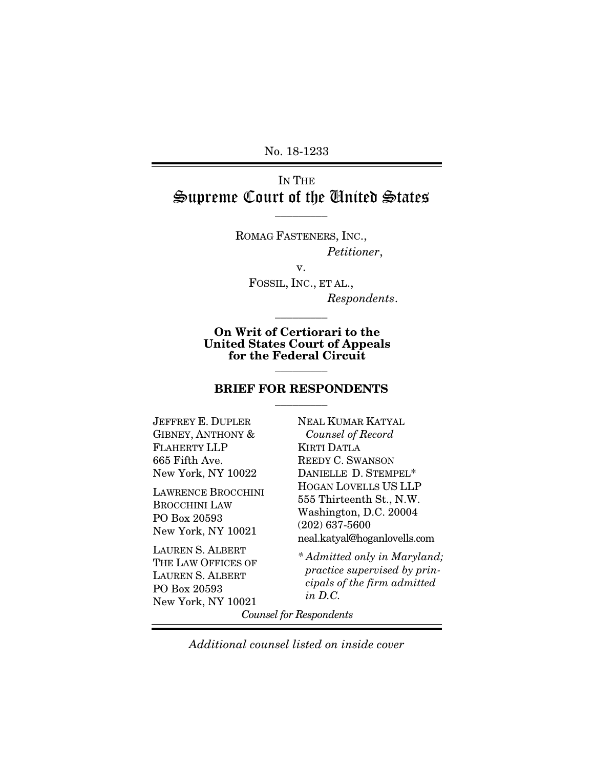No. 18-1233

# IN THE Supreme Court of the United States

 $\overline{\phantom{a}}$  . The set of  $\overline{\phantom{a}}$ 

ROMAG FASTENERS, INC., *Petitioner*,

v.

FOSSIL, INC., ET AL., *Respondents*.

On Writ of Certiorari to the United States Court of Appeals for the Federal Circuit

 $\overline{\phantom{a}}$  . The set of  $\overline{\phantom{a}}$ 

#### BRIEF FOR RESPONDENTS  $\overline{\phantom{a}}$  . The set of  $\overline{\phantom{a}}$

 $\overline{\phantom{a}}$  . The set of  $\overline{\phantom{a}}$ 

JEFFREY E. DUPLER GIBNEY, ANTHONY & FLAHERTY LLP 665 Fifth Ave. New York, NY 10022

LAWRENCE BROCCHINI BROCCHINI LAW PO Box 20593 New York, NY 10021

LAUREN S. ALBERT THE LAW OFFICES OF LAUREN S. ALBERT PO Box 20593 New York, NY 10021

NEAL KUMAR KATYAL  *Counsel of Record* KIRTI DATLA REEDY C. SWANSON DANIELLE D. STEMPEL\* HOGAN LOVELLS US LLP 555 Thirteenth St., N.W. Washington, D.C. 20004 (202) 637-5600 neal.katyal@hoganlovells.com

*\* Admitted only in Maryland; practice supervised by principals of the firm admitted in D.C.*

*Counsel for Respondents* 

*Additional counsel listed on inside cover*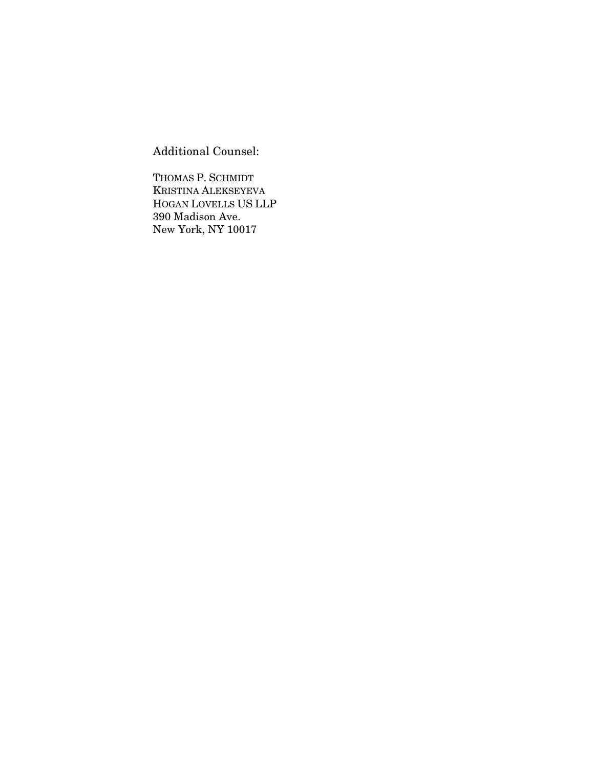Additional Counsel:

THOMAS P. SCHMIDT KRISTINA ALEKSEYEVA HOGAN LOVELLS US LLP 390 Madison Ave. New York, NY 10017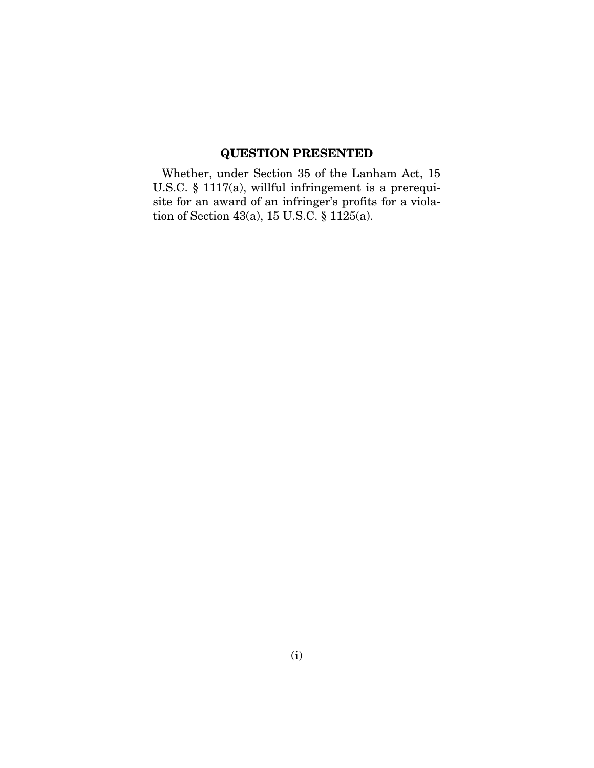# QUESTION PRESENTED

Whether, under Section 35 of the Lanham Act, 15 U.S.C. § 1117(a), willful infringement is a prerequisite for an award of an infringer's profits for a violation of Section 43(a), 15 U.S.C. § 1125(a).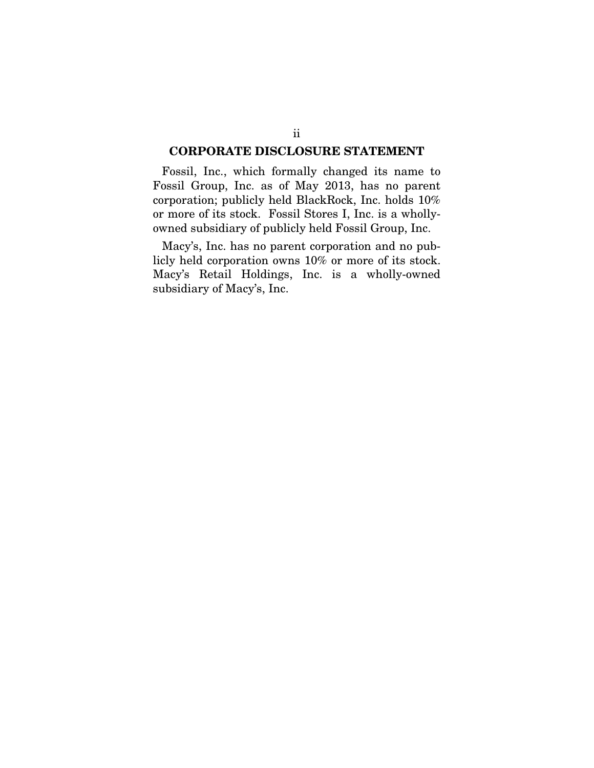#### CORPORATE DISCLOSURE STATEMENT

Fossil, Inc., which formally changed its name to Fossil Group, Inc. as of May 2013, has no parent corporation; publicly held BlackRock, Inc. holds 10% or more of its stock. Fossil Stores I, Inc. is a whollyowned subsidiary of publicly held Fossil Group, Inc.

Macy's, Inc. has no parent corporation and no publicly held corporation owns 10% or more of its stock. Macy's Retail Holdings, Inc. is a wholly-owned subsidiary of Macy's, Inc.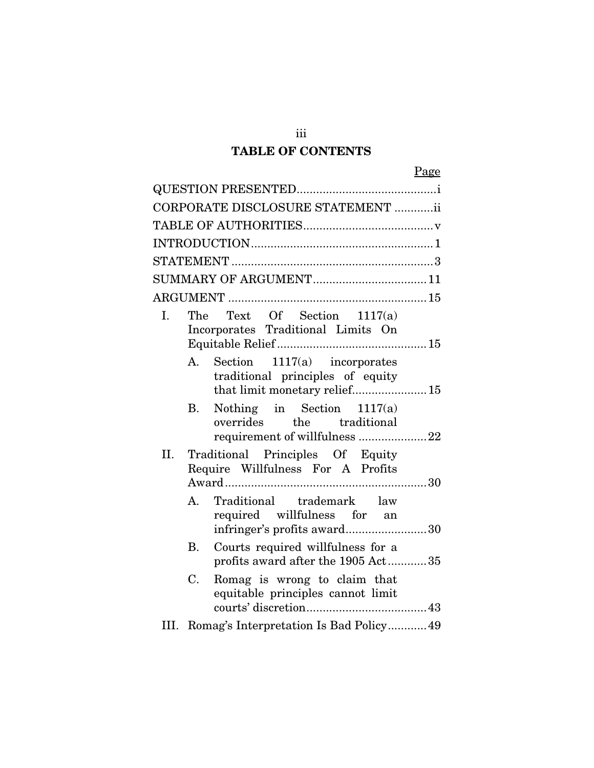# TABLE OF CONTENTS

iii

|     |             | CORPORATE DISCLOSURE STATEMENT ii                                                                    |
|-----|-------------|------------------------------------------------------------------------------------------------------|
|     |             |                                                                                                      |
|     |             |                                                                                                      |
|     |             |                                                                                                      |
|     |             |                                                                                                      |
|     |             |                                                                                                      |
| I.  |             | The Text Of Section 1117(a)<br>Incorporates Traditional Limits On                                    |
|     |             | A. Section 1117(a) incorporates<br>traditional principles of equity<br>that limit monetary relief 15 |
|     | В.          | Nothing in Section $1117(a)$<br>overrides the traditional<br>requirement of willfulness 22           |
| II. |             | Traditional Principles Of Equity<br>Require Willfulness For A Profits                                |
|     | A.          | Traditional trademark law<br>required willfulness for an<br>infringer's profits award30              |
|     | <b>B.</b>   | Courts required willfulness for a<br>profits award after the $1905$ Act $\ldots\ldots\ldots\ldots35$ |
|     | $C_{\cdot}$ | Romag is wrong to claim that<br>equitable principles cannot limit                                    |
|     |             | III. Romag's Interpretation Is Bad Policy49                                                          |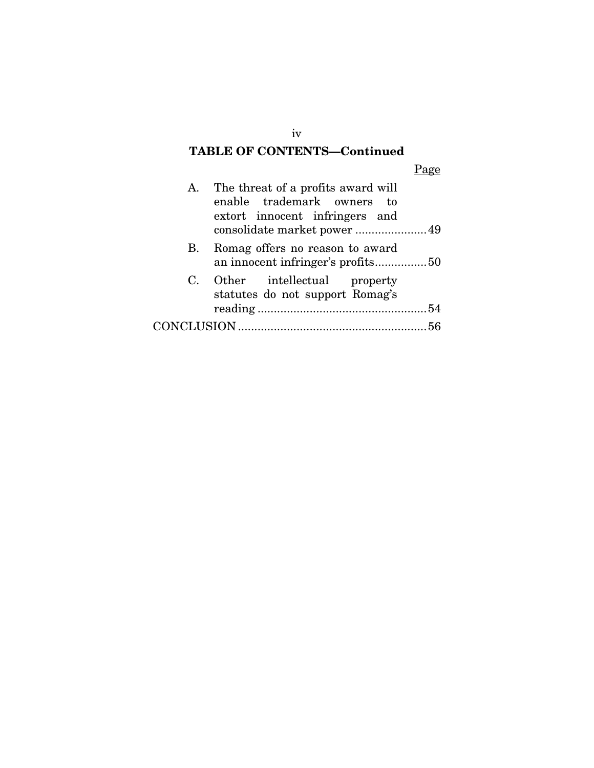# TABLE OF CONTENTS—Continued

Page

|    | A. The threat of a profits award will<br>enable trademark owners to<br>extort innocent infringers and |  |
|----|-------------------------------------------------------------------------------------------------------|--|
|    | consolidate market power  49                                                                          |  |
| В. | Romag offers no reason to award<br>an innocent infringer's profits50                                  |  |
|    | C. Other intellectual property<br>statutes do not support Romag's                                     |  |
|    |                                                                                                       |  |
|    |                                                                                                       |  |

iv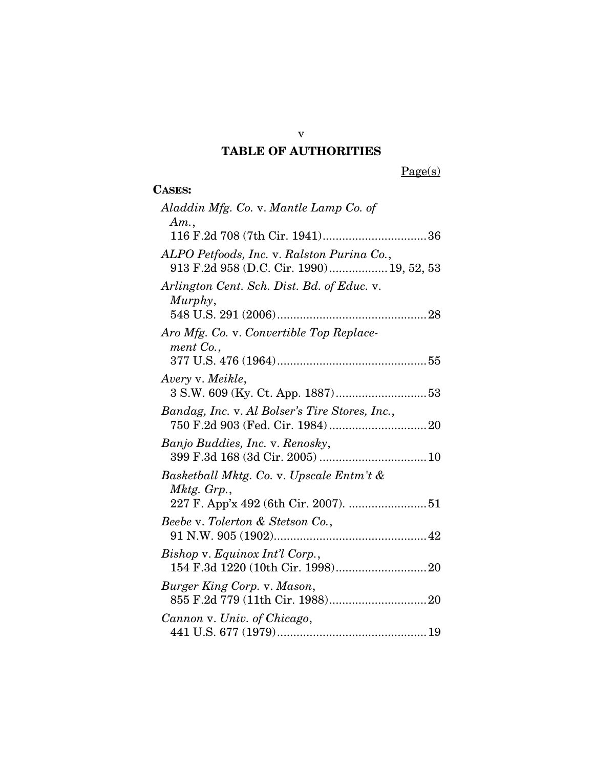## TABLE OF AUTHORITIES

 $Page(s)$ 

| <b>CASES:</b> |
|---------------|

| Aladdin Mfg. Co. v. Mantle Lamp Co. of<br>Am.,                                         |
|----------------------------------------------------------------------------------------|
|                                                                                        |
| ALPO Petfoods, Inc. v. Ralston Purina Co.,<br>913 F.2d 958 (D.C. Cir. 1990) 19, 52, 53 |
| Arlington Cent. Sch. Dist. Bd. of Educ. v.<br>Murphy,                                  |
|                                                                                        |
| Aro Mfg. Co. v. Convertible Top Replace-<br>ment Co.,                                  |
|                                                                                        |
| Avery v. Meikle,                                                                       |
| Bandag, Inc. v. Al Bolser's Tire Stores, Inc.,                                         |
| Banjo Buddies, Inc. v. Renosky,                                                        |
| Basketball Mktg. Co. v. Upscale Entm't &<br>Mktg. Grp.,                                |
|                                                                                        |
| Beebe v. Tolerton & Stetson Co.,                                                       |
| Bishop v. Equinox Int'l Corp.,                                                         |
| Burger King Corp. v. Mason,                                                            |
| Cannon v. Univ. of Chicago,                                                            |

v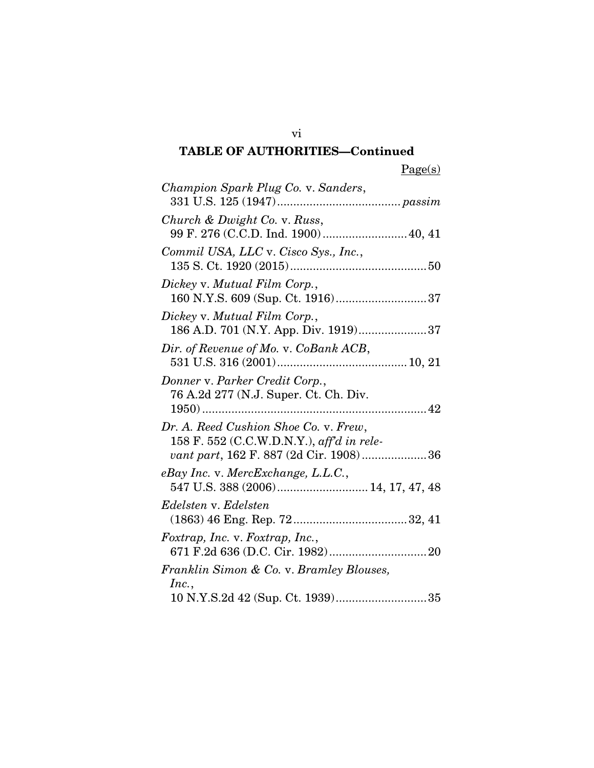|--|

| Champion Spark Plug Co. v. Sanders,                                                                                          |
|------------------------------------------------------------------------------------------------------------------------------|
| Church & Dwight Co. v. Russ,<br>99 F. 276 (C.C.D. Ind. 1900) 40, 41                                                          |
| Commil USA, LLC v. Cisco Sys., Inc.,                                                                                         |
| Dickey v. Mutual Film Corp.,                                                                                                 |
| Dickey v. Mutual Film Corp.,                                                                                                 |
| Dir. of Revenue of Mo. v. CoBank ACB,                                                                                        |
| Donner v. Parker Credit Corp.,<br>76 A.2d 277 (N.J. Super. Ct. Ch. Div.                                                      |
| Dr. A. Reed Cushion Shoe Co. v. Frew,<br>158 F. 552 (C.C.W.D.N.Y.), aff'd in rele-<br>vant part, 162 F. 887 (2d Cir. 1908)36 |
| $e$ Bay Inc. v. MercExchange, L.L.C.,<br>547 U.S. 388 (2006) 14, 17, 47, 48                                                  |
| Edelsten v. Edelsten                                                                                                         |
| Foxtrap, Inc. v. Foxtrap, Inc.,                                                                                              |
| Franklin Simon & Co. v. Bramley Blouses,                                                                                     |
| Inc.,                                                                                                                        |

vi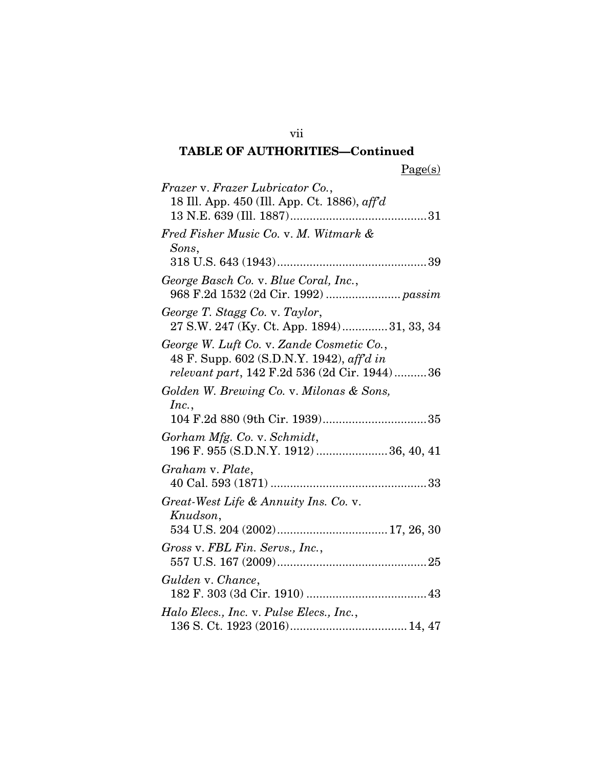Page(s)

| Frazer v. Frazer Lubricator Co.,                       |
|--------------------------------------------------------|
| 18 Ill. App. 450 (Ill. App. Ct. 1886), $\alpha f f' d$ |
| 31                                                     |
| Fred Fisher Music Co. v. M. Witmark &                  |
| Sons,                                                  |
|                                                        |
| George Basch Co. v. Blue Coral, Inc.,                  |
|                                                        |
| George T. Stagg Co. v. Taylor,                         |
| 27 S.W. 247 (Ky. Ct. App. 1894)31, 33, 34              |
| George W. Luft Co. v. Zande Cosmetic Co.,              |
| 48 F. Supp. 602 (S.D.N.Y. 1942), aff'd in              |
| relevant part, 142 F.2d 536 (2d Cir. 1944)36           |
| Golden W. Brewing Co. v. Milonas & Sons,               |
| Inc.,                                                  |
|                                                        |
| Gorham Mfg. Co. v. Schmidt,                            |
| 196 F. 955 (S.D.N.Y. 1912)  36, 40, 41                 |
| Graham v. Plate,                                       |
|                                                        |
| Great-West Life & Annuity Ins. Co. v.                  |
| Knudson,                                               |
|                                                        |
| Gross v. FBL Fin. Servs., Inc.,                        |
|                                                        |
| Gulden v. Chance,                                      |
|                                                        |
| Halo Elecs., Inc. v. Pulse Elecs., Inc.,               |
|                                                        |

vii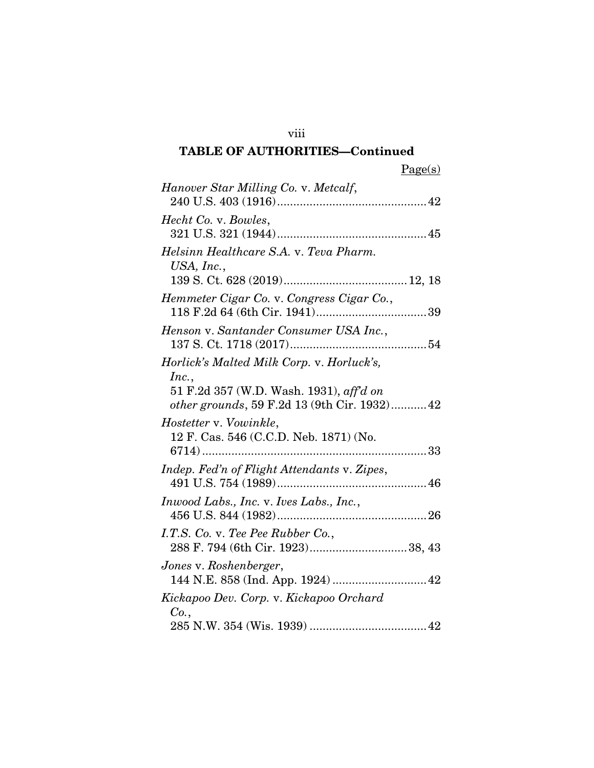|--|

viii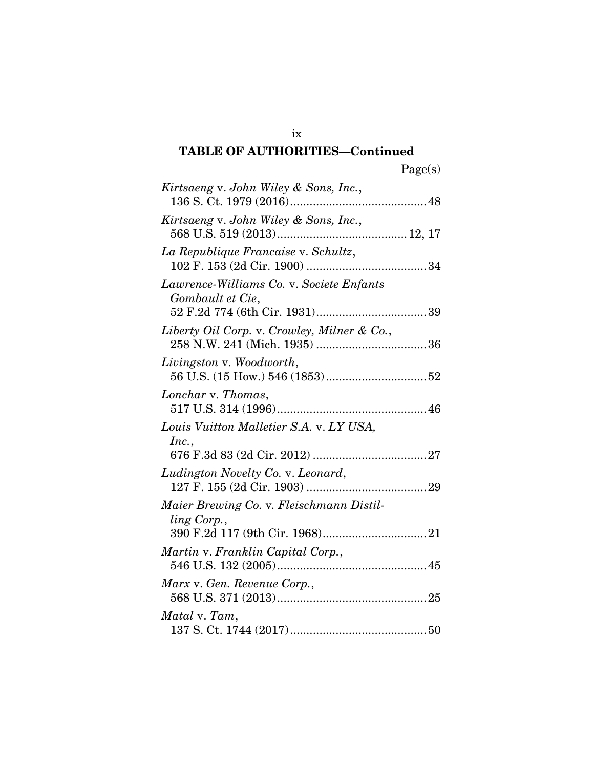ix

| Kirtsaeng v. John Wiley & Sons, Inc.,                        |  |
|--------------------------------------------------------------|--|
| Kirtsaeng v. John Wiley & Sons, Inc.,                        |  |
| La Republique Francaise v. Schultz,                          |  |
| Lawrence-Williams Co. v. Societe Enfants<br>Gombault et Cie, |  |
| Liberty Oil Corp. v. Crowley, Milner & Co.,                  |  |
| Livingston v. Woodworth,                                     |  |
| Lonchar v. Thomas,                                           |  |
| Louis Vuitton Malletier S.A. v. LY USA,                      |  |
| Inc.,                                                        |  |
| Ludington Novelty Co. v. Leonard,                            |  |
| Maier Brewing Co. v. Fleischmann Distil-<br>ling Corp.,      |  |
| Martin v. Franklin Capital Corp.,                            |  |
| Marx v. Gen. Revenue Corp.,                                  |  |
| Matal v. Tam,                                                |  |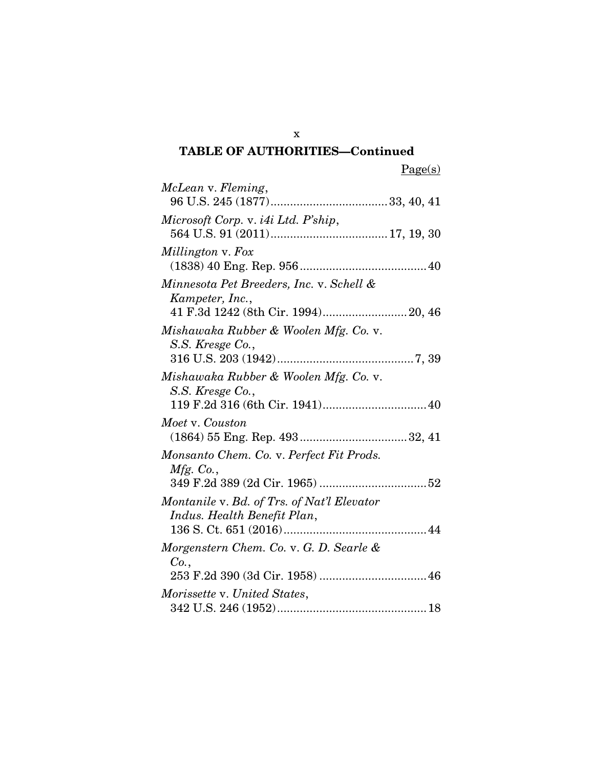Page(s)

| McLean v. Fleming,                                                        |
|---------------------------------------------------------------------------|
| Microsoft Corp. v. i4i Ltd. P'ship,                                       |
|                                                                           |
| Millington v. Fox                                                         |
|                                                                           |
| Minnesota Pet Breeders, Inc. v. Schell &<br>Kampeter, Inc.,               |
|                                                                           |
| Mishawaka Rubber & Woolen Mfg. Co. v.<br>S.S. Kresge Co.,                 |
|                                                                           |
| Mishawaka Rubber & Woolen Mfg. Co. v.<br>S.S. Kresge Co.,                 |
|                                                                           |
| Moet v. Couston                                                           |
|                                                                           |
| Monsanto Chem. Co. v. Perfect Fit Prods.<br><i>Mfg.</i> Co.,              |
|                                                                           |
| Montanile v. Bd. of Trs. of Nat'l Elevator<br>Indus. Health Benefit Plan, |
|                                                                           |
| Morgenstern Chem. Co. v. G. D. Searle &<br>Co.,                           |
|                                                                           |
| Morissette v. United States,                                              |
|                                                                           |

x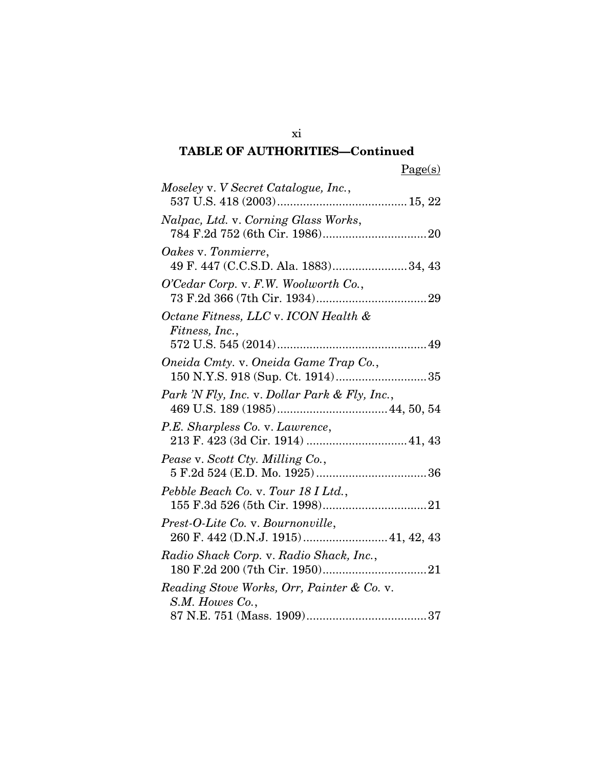|--|

| Moseley v. V Secret Catalogue, Inc.,                                      |
|---------------------------------------------------------------------------|
|                                                                           |
| Nalpac, Ltd. v. Corning Glass Works,                                      |
| Oakes v. Tonmierre,<br>49 F. 447 (C.C.S.D. Ala. 1883)34, 43               |
| O'Cedar Corp. v. F.W. Woolworth Co.,                                      |
| Octane Fitness, LLC v. ICON Health &<br>Fitness, Inc.,                    |
|                                                                           |
| Oneida Cmty. v. Oneida Game Trap Co.,<br>150 N.Y.S. 918 (Sup. Ct. 1914)35 |
| Park 'N Fly, Inc. v. Dollar Park & Fly, Inc.,                             |
| P.E. Sharpless Co. v. Lawrence,<br>213 F. 423 (3d Cir. 1914)  41, 43      |
| Pease v. Scott Cty. Milling Co.,                                          |
| Pebble Beach Co. v. Tour 18 I Ltd.,                                       |
| Prest-O-Lite Co. v. Bournonville,                                         |
| Radio Shack Corp. v. Radio Shack, Inc.,                                   |
| Reading Stove Works, Orr, Painter & Co. v.<br>S.M. Howes Co.,             |
|                                                                           |
|                                                                           |

xi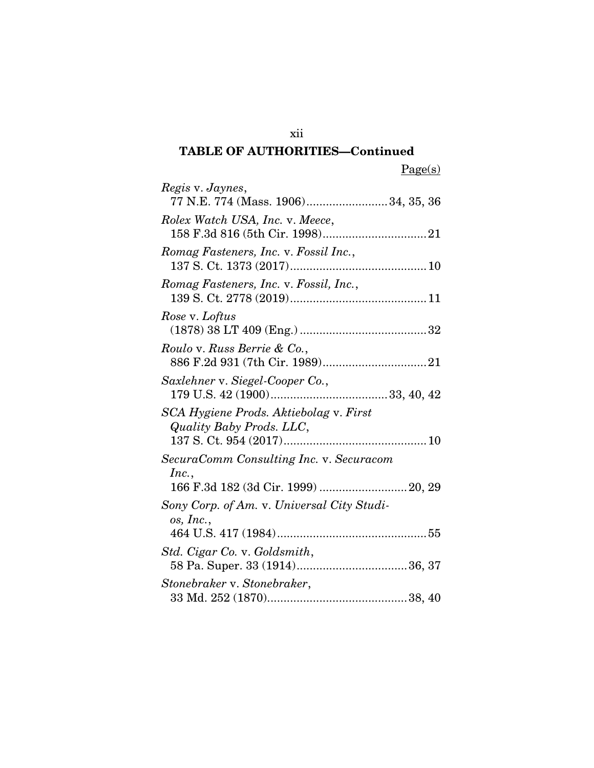Page(s)

| Regis v. Jaynes,<br>77 N.E. 774 (Mass. 1906)34, 35, 36             |
|--------------------------------------------------------------------|
| Rolex Watch USA, Inc. v. Meece,                                    |
| Romag Fasteners, Inc. v. Fossil Inc.,                              |
| Romag Fasteners, Inc. v. Fossil, Inc.,                             |
| Rose v. Loftus                                                     |
| Roulo v. Russ Berrie & Co.,                                        |
| Saxlehner v. Siegel-Cooper Co.,                                    |
| SCA Hygiene Prods. Aktiebolag v. First<br>Quality Baby Prods. LLC, |
| SecuraComm Consulting Inc. v. Securacom                            |
| Inc.,                                                              |
| Sony Corp. of Am. v. Universal City Studi-<br>os, Inc.,            |
| Std. Cigar Co. v. Goldsmith,                                       |
| Stonebraker v. Stonebraker,                                        |

xii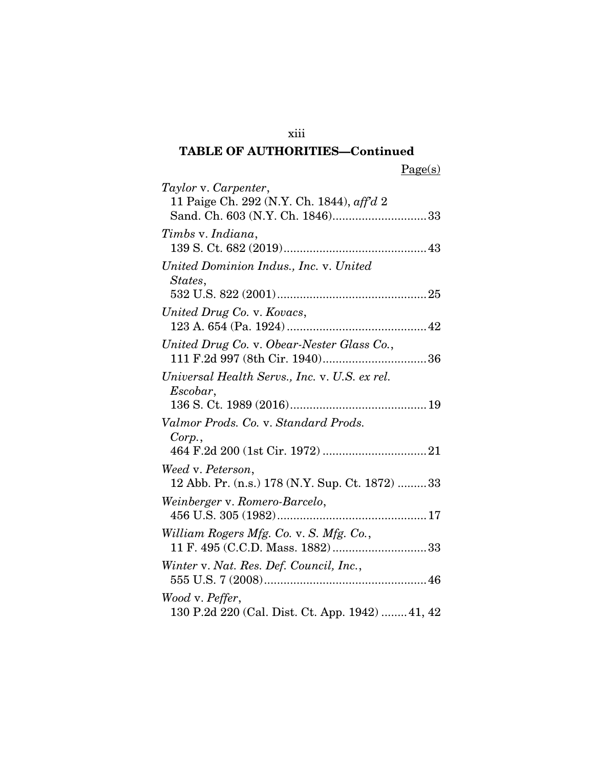xiii

Page(s)

| Taylor v. Carpenter,                            |
|-------------------------------------------------|
| 11 Paige Ch. 292 (N.Y. Ch. 1844), aff'd 2       |
| Sand. Ch. 603 (N.Y. Ch. 1846)33                 |
| Timbs v. Indiana,                               |
|                                                 |
| United Dominion Indus., Inc. v. United          |
| States,                                         |
|                                                 |
| United Drug Co. v. Kovacs,                      |
|                                                 |
| United Drug Co. v. Obear-Nester Glass Co.,      |
| 111 F.2d 997 (8th Cir. 1940)36                  |
| Universal Health Servs., Inc. v. U.S. ex rel.   |
| Escobar,                                        |
|                                                 |
| Valmor Prods. Co. v. Standard Prods.            |
| Corp.                                           |
|                                                 |
| Weed v. Peterson,                               |
| 12 Abb. Pr. (n.s.) 178 (N.Y. Sup. Ct. 1872) 33  |
| Weinberger v. Romero-Barcelo,                   |
|                                                 |
| William Rogers Mfg. Co. v. S. Mfg. Co.,         |
| 11 F. 495 (C.C.D. Mass. 1882)33                 |
| Winter v. Nat. Res. Def. Council, Inc.,         |
|                                                 |
| Wood v. Peffer,                                 |
| 130 P.2d 220 (Cal. Dist. Ct. App. 1942)  41, 42 |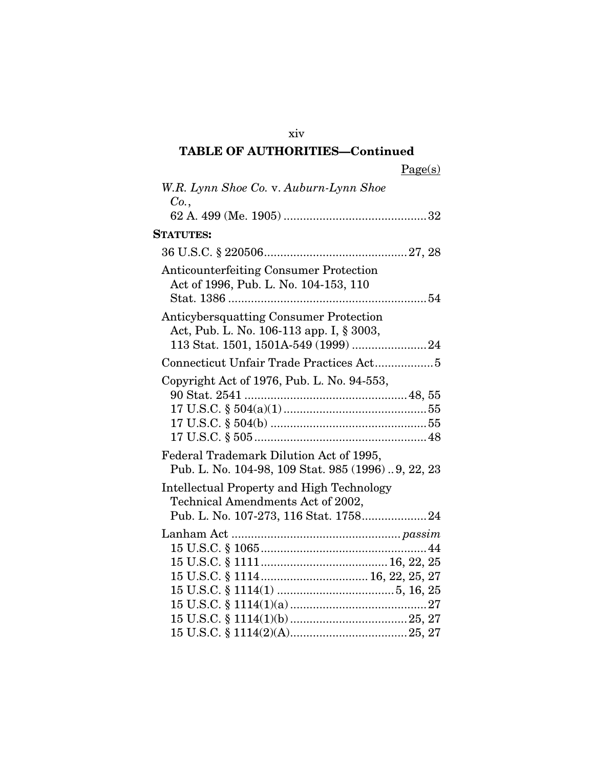xiv

| W.R. Lynn Shoe Co. v. Auburn-Lynn Shoe<br>Co.,                                                                          |
|-------------------------------------------------------------------------------------------------------------------------|
|                                                                                                                         |
| <b>STATUTES:</b>                                                                                                        |
|                                                                                                                         |
| <b>Anticounterfeiting Consumer Protection</b><br>Act of 1996, Pub. L. No. 104-153, 110                                  |
| Anticybersquatting Consumer Protection<br>Act, Pub. L. No. 106-113 app. I, § 3003,                                      |
|                                                                                                                         |
| Copyright Act of 1976, Pub. L. No. 94-553,                                                                              |
| Federal Trademark Dilution Act of 1995,<br>Pub. L. No. 104-98, 109 Stat. 985 (1996)9, 22, 23                            |
| Intellectual Property and High Technology<br>Technical Amendments Act of 2002,<br>Pub. L. No. 107-273, 116 Stat. 175824 |
|                                                                                                                         |
|                                                                                                                         |
|                                                                                                                         |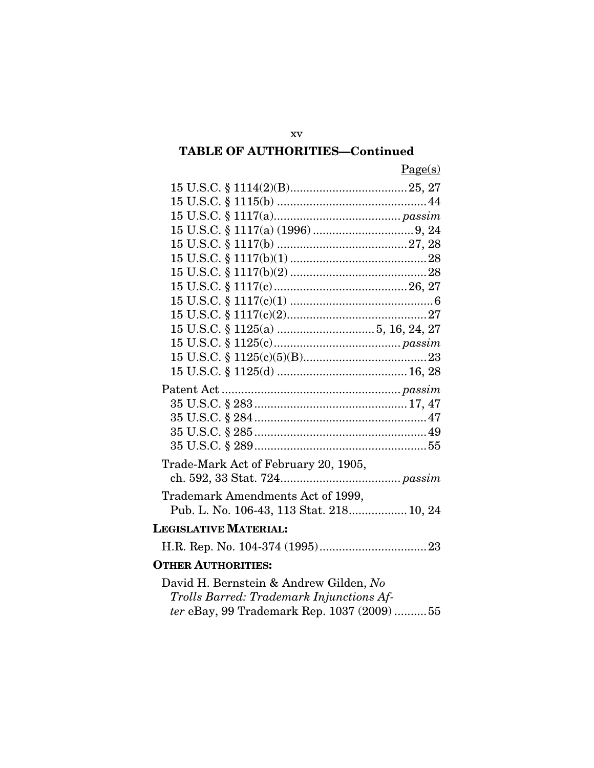| Page(s)                                  |
|------------------------------------------|
|                                          |
|                                          |
|                                          |
|                                          |
|                                          |
|                                          |
|                                          |
|                                          |
|                                          |
|                                          |
|                                          |
|                                          |
|                                          |
|                                          |
|                                          |
|                                          |
|                                          |
|                                          |
|                                          |
| Trade-Mark Act of February 20, 1905,     |
|                                          |
| Trademark Amendments Act of 1999,        |
| Pub. L. No. 106-43, 113 Stat. 218 10, 24 |
|                                          |
| <b>LEGISLATIVE MATERIAL:</b>             |
|                                          |
| <b>OTHER AUTHORITIES:</b>                |
| David H. Bernstein & Andrew Gilden, No   |

| David H. Bernstein & Andrew Gilden, <i>No</i>    |
|--------------------------------------------------|
| Trolls Barred: Trademark Injunctions Af-         |
| <i>ter</i> eBay, 99 Trademark Rep. 1037 (2009)55 |

xv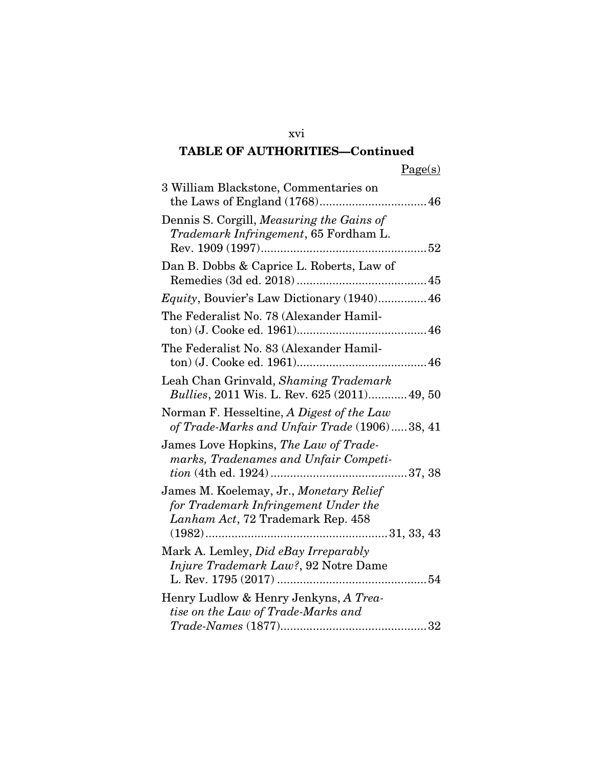| 3 William Blackstone, Commentaries on                                                                                    |
|--------------------------------------------------------------------------------------------------------------------------|
| Dennis S. Corgill, Measuring the Gains of<br>Trademark Infringement, 65 Fordham L.                                       |
| Dan B. Dobbs & Caprice L. Roberts, Law of                                                                                |
| <i>Equity</i> , Bouvier's Law Dictionary (1940) 46                                                                       |
| The Federalist No. 78 (Alexander Hamil-                                                                                  |
| The Federalist No. 83 (Alexander Hamil-                                                                                  |
| Leah Chan Grinvald, Shaming Trademark<br><i>Bullies</i> , 2011 Wis. L. Rev. 625 (2011) 49, 50                            |
| Norman F. Hesseltine, A Digest of the Law<br>of Trade-Marks and Unfair Trade (1906)38, 41                                |
| James Love Hopkins, The Law of Trade-<br>marks, Tradenames and Unfair Competi-                                           |
| James M. Koelemay, Jr., Monetary Relief<br>for Trademark Infringement Under the<br>Lanham Act, 72 Trademark Rep. 458     |
| Mark A. Lemley, Did eBay Irreparably<br>Injure Trademark Law?, 92 Notre Dame                                             |
| Henry Ludlow & Henry Jenkyns, A Trea-<br>tise on the Law of Trade-Marks and<br>$Trade\mbox{-}\nNames\ (1877) \dots 1877$ |

xvi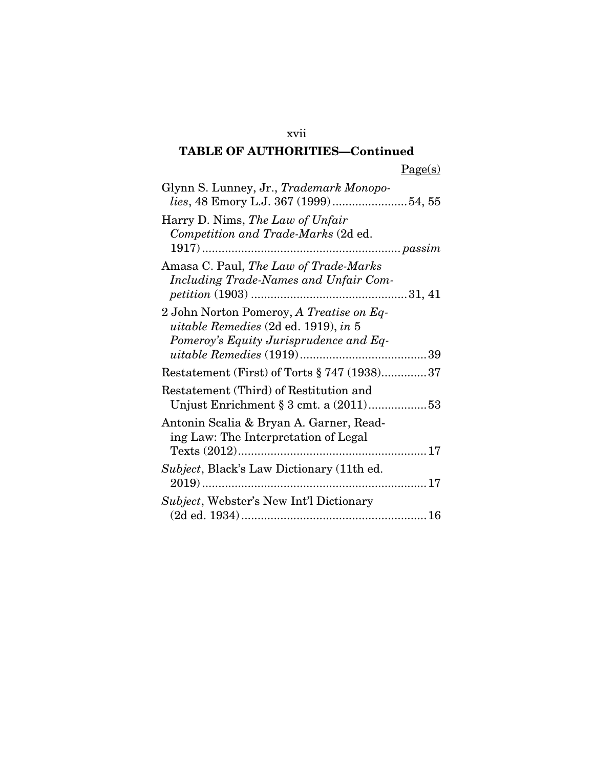| Glynn S. Lunney, Jr., Trademark Monopo-<br>lies, 48 Emory L.J. 367 (1999)54, 55                                            |
|----------------------------------------------------------------------------------------------------------------------------|
| Harry D. Nims, The Law of Unfair<br>Competition and Trade-Marks (2d ed.                                                    |
| Amasa C. Paul, The Law of Trade-Marks<br>Including Trade-Names and Unfair Com-                                             |
| 2 John Norton Pomeroy, A Treatise on Eq-<br>uitable Remedies (2d ed. 1919), in 5<br>Pomeroy's Equity Jurisprudence and Eq- |
| Restatement (First) of Torts § 747 (1938)37                                                                                |
| Restatement (Third) of Restitution and<br>Unjust Enrichment $\S 3$ cmt. a $(2011)$ 53                                      |
| Antonin Scalia & Bryan A. Garner, Read-<br>ing Law: The Interpretation of Legal                                            |
| <i>Subject</i> , Black's Law Dictionary (11th ed.                                                                          |
| <i>Subject</i> , Webster's New Int'l Dictionary                                                                            |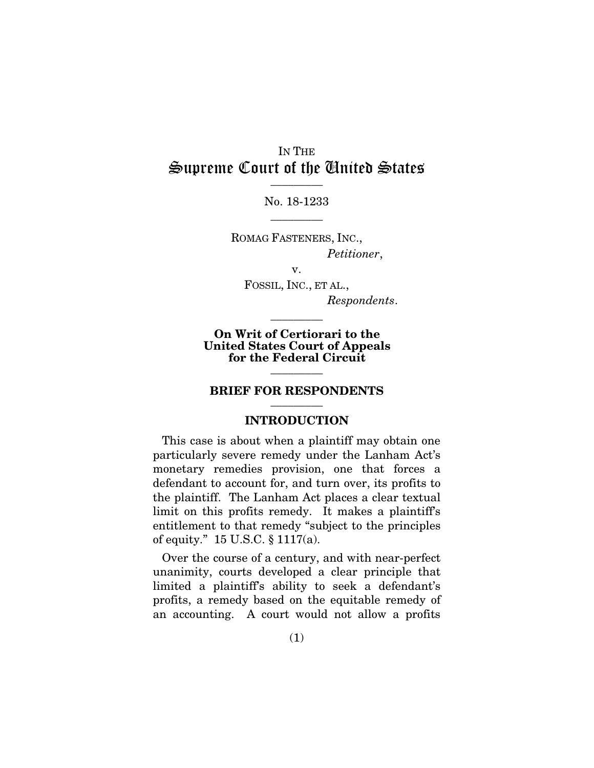### IN THE Supreme Court of the United States  $\overline{\phantom{a}}$  . The set of  $\overline{\phantom{a}}$

No. 18-1233  $\overline{\phantom{a}}$  . The set of  $\overline{\phantom{a}}$ 

ROMAG FASTENERS, INC., *Petitioner*,

v. FOSSIL, INC., ET AL., *Respondents*.

On Writ of Certiorari to the United States Court of Appeals for the Federal Circuit

 $\overline{\phantom{a}}$  . The set of  $\overline{\phantom{a}}$ 

#### BRIEF FOR RESPONDENTS  $\overline{\phantom{a}}$  . The set of  $\overline{\phantom{a}}$

 $\overline{\phantom{a}}$  . The set of  $\overline{\phantom{a}}$ 

#### INTRODUCTION

This case is about when a plaintiff may obtain one particularly severe remedy under the Lanham Act's monetary remedies provision, one that forces a defendant to account for, and turn over, its profits to the plaintiff. The Lanham Act places a clear textual limit on this profits remedy. It makes a plaintiff's entitlement to that remedy "subject to the principles of equity." 15 U.S.C. § 1117(a).

Over the course of a century, and with near-perfect unanimity, courts developed a clear principle that limited a plaintiff's ability to seek a defendant's profits, a remedy based on the equitable remedy of an accounting. A court would not allow a profits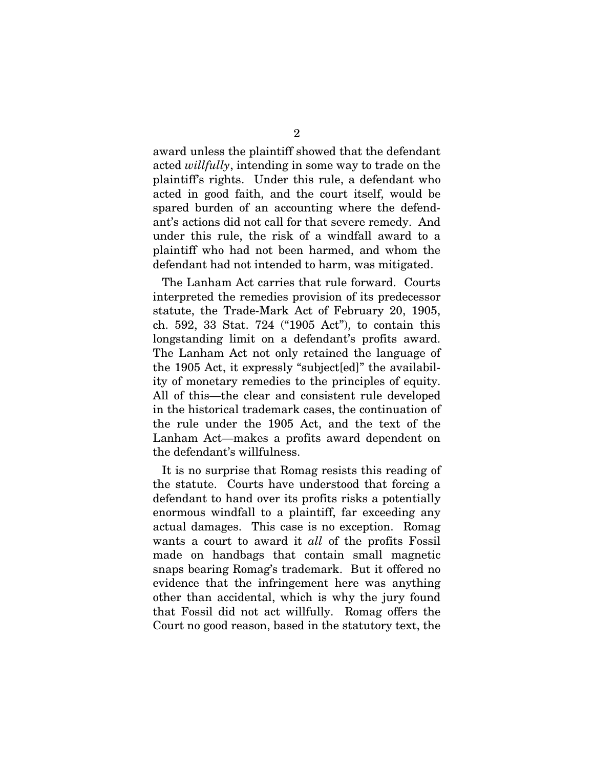award unless the plaintiff showed that the defendant acted *willfully*, intending in some way to trade on the plaintiff's rights. Under this rule, a defendant who acted in good faith, and the court itself, would be spared burden of an accounting where the defendant's actions did not call for that severe remedy. And under this rule, the risk of a windfall award to a plaintiff who had not been harmed, and whom the defendant had not intended to harm, was mitigated.

The Lanham Act carries that rule forward. Courts interpreted the remedies provision of its predecessor statute, the Trade-Mark Act of February 20, 1905, ch. 592, 33 Stat. 724 ("1905 Act"), to contain this longstanding limit on a defendant's profits award. The Lanham Act not only retained the language of the 1905 Act, it expressly "subject[ed]" the availability of monetary remedies to the principles of equity. All of this—the clear and consistent rule developed in the historical trademark cases, the continuation of the rule under the 1905 Act, and the text of the Lanham Act—makes a profits award dependent on the defendant's willfulness.

It is no surprise that Romag resists this reading of the statute. Courts have understood that forcing a defendant to hand over its profits risks a potentially enormous windfall to a plaintiff, far exceeding any actual damages. This case is no exception. Romag wants a court to award it *all* of the profits Fossil made on handbags that contain small magnetic snaps bearing Romag's trademark. But it offered no evidence that the infringement here was anything other than accidental, which is why the jury found that Fossil did not act willfully. Romag offers the Court no good reason, based in the statutory text, the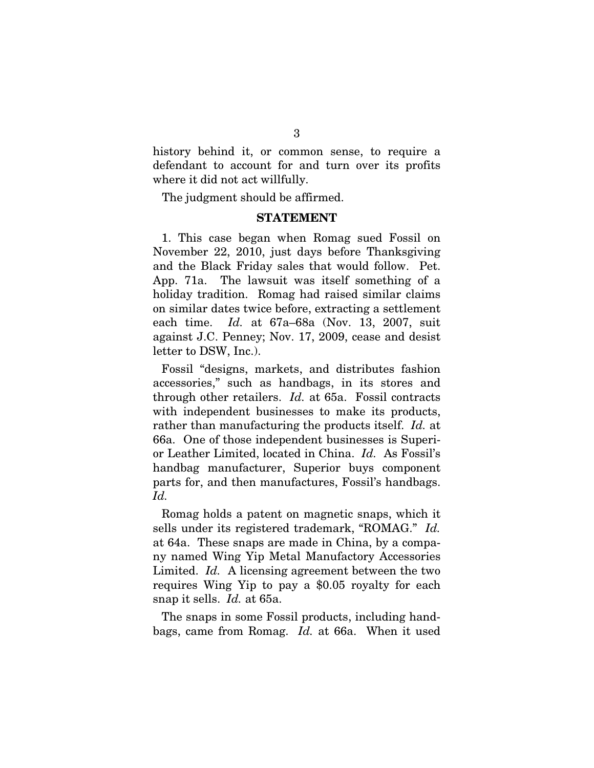history behind it, or common sense, to require a defendant to account for and turn over its profits where it did not act willfully.

The judgment should be affirmed.

#### STATEMENT

1. This case began when Romag sued Fossil on November 22, 2010, just days before Thanksgiving and the Black Friday sales that would follow. Pet. App. 71a. The lawsuit was itself something of a holiday tradition. Romag had raised similar claims on similar dates twice before, extracting a settlement each time. *Id.* at 67a–68a (Nov. 13, 2007, suit against J.C. Penney; Nov. 17, 2009, cease and desist letter to DSW, Inc.).

Fossil "designs, markets, and distributes fashion accessories," such as handbags, in its stores and through other retailers. *Id.* at 65a. Fossil contracts with independent businesses to make its products, rather than manufacturing the products itself. *Id.* at 66a. One of those independent businesses is Superior Leather Limited, located in China. *Id.* As Fossil's handbag manufacturer, Superior buys component parts for, and then manufactures, Fossil's handbags. *Id.*

Romag holds a patent on magnetic snaps, which it sells under its registered trademark, "ROMAG." *Id.* at 64a. These snaps are made in China, by a company named Wing Yip Metal Manufactory Accessories Limited. *Id.* A licensing agreement between the two requires Wing Yip to pay a \$0.05 royalty for each snap it sells. *Id.* at 65a.

The snaps in some Fossil products, including handbags, came from Romag. *Id.* at 66a. When it used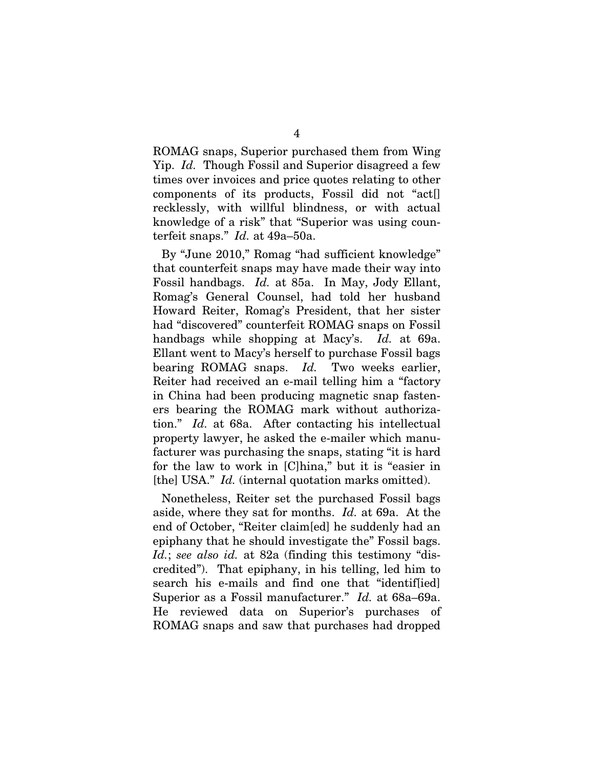ROMAG snaps, Superior purchased them from Wing Yip. *Id.* Though Fossil and Superior disagreed a few times over invoices and price quotes relating to other components of its products, Fossil did not "act[] recklessly, with willful blindness, or with actual knowledge of a risk" that "Superior was using counterfeit snaps." *Id.* at 49a–50a.

By "June 2010," Romag "had sufficient knowledge" that counterfeit snaps may have made their way into Fossil handbags. *Id.* at 85a. In May, Jody Ellant, Romag's General Counsel, had told her husband Howard Reiter, Romag's President, that her sister had "discovered" counterfeit ROMAG snaps on Fossil handbags while shopping at Macy's. *Id.* at 69a. Ellant went to Macy's herself to purchase Fossil bags bearing ROMAG snaps. *Id.* Two weeks earlier, Reiter had received an e-mail telling him a "factory in China had been producing magnetic snap fasteners bearing the ROMAG mark without authorization." *Id.* at 68a. After contacting his intellectual property lawyer, he asked the e-mailer which manufacturer was purchasing the snaps, stating "it is hard for the law to work in [C]hina," but it is "easier in [the] USA." *Id.* (internal quotation marks omitted).

Nonetheless, Reiter set the purchased Fossil bags aside, where they sat for months. *Id.* at 69a. At the end of October, "Reiter claim[ed] he suddenly had an epiphany that he should investigate the" Fossil bags. *Id.*; *see also id.* at 82a (finding this testimony "discredited"). That epiphany, in his telling, led him to search his e-mails and find one that "identif[ied] Superior as a Fossil manufacturer." *Id.* at 68a–69a. He reviewed data on Superior's purchases of ROMAG snaps and saw that purchases had dropped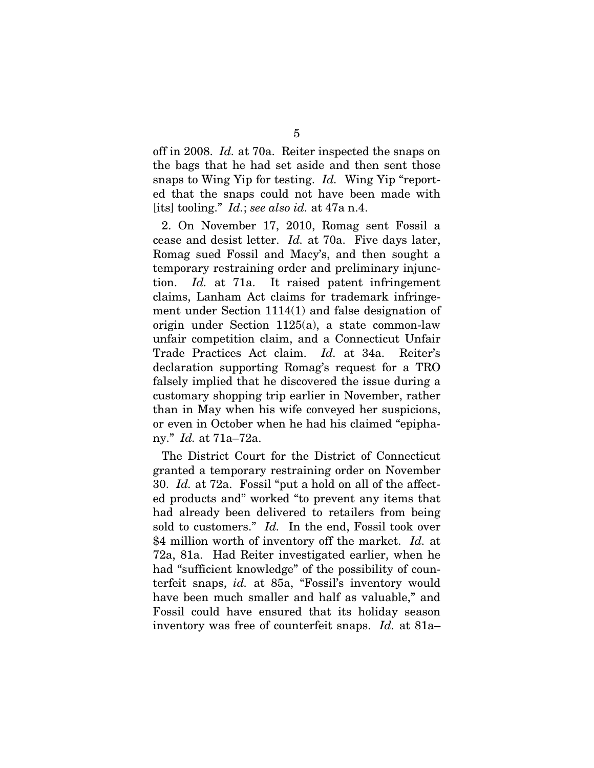off in 2008. *Id.* at 70a. Reiter inspected the snaps on the bags that he had set aside and then sent those snaps to Wing Yip for testing. *Id.* Wing Yip "reported that the snaps could not have been made with [its] tooling." *Id.*; *see also id.* at 47a n.4.

2. On November 17, 2010, Romag sent Fossil a cease and desist letter. *Id.* at 70a. Five days later, Romag sued Fossil and Macy's, and then sought a temporary restraining order and preliminary injunction. *Id.* at 71a. It raised patent infringement claims, Lanham Act claims for trademark infringement under Section 1114(1) and false designation of origin under Section 1125(a), a state common-law unfair competition claim, and a Connecticut Unfair Trade Practices Act claim. *Id.* at 34a. Reiter's declaration supporting Romag's request for a TRO falsely implied that he discovered the issue during a customary shopping trip earlier in November, rather than in May when his wife conveyed her suspicions, or even in October when he had his claimed "epiphany." *Id.* at 71a–72a.

The District Court for the District of Connecticut granted a temporary restraining order on November 30. *Id.* at 72a. Fossil "put a hold on all of the affected products and" worked "to prevent any items that had already been delivered to retailers from being sold to customers." *Id.* In the end, Fossil took over \$4 million worth of inventory off the market. *Id.* at 72a, 81a. Had Reiter investigated earlier, when he had "sufficient knowledge" of the possibility of counterfeit snaps, *id.* at 85a, "Fossil's inventory would have been much smaller and half as valuable," and Fossil could have ensured that its holiday season inventory was free of counterfeit snaps. *Id.* at 81a–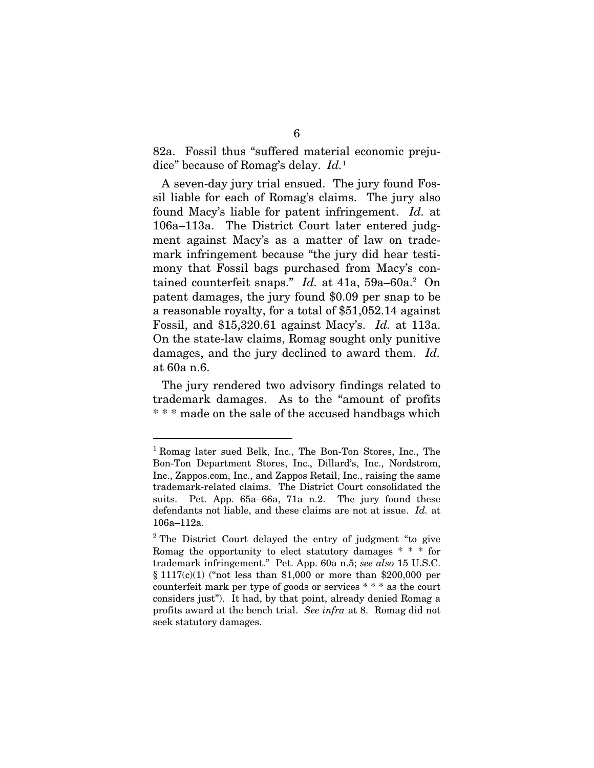82a. Fossil thus "suffered material economic prejudice" because of Romag's delay. *Id.*<sup>1</sup>

A seven-day jury trial ensued. The jury found Fossil liable for each of Romag's claims. The jury also found Macy's liable for patent infringement. *Id.* at 106a–113a. The District Court later entered judgment against Macy's as a matter of law on trademark infringement because "the jury did hear testimony that Fossil bags purchased from Macy's contained counterfeit snaps." *Id.* at 41a, 59a–60a.<sup>2</sup> On patent damages, the jury found \$0.09 per snap to be a reasonable royalty, for a total of \$51,052.14 against Fossil, and \$15,320.61 against Macy's. *Id.* at 113a. On the state-law claims, Romag sought only punitive damages, and the jury declined to award them. *Id.* at 60a n.6.

The jury rendered two advisory findings related to trademark damages. As to the "amount of profits \* \* \* made on the sale of the accused handbags which

<sup>1</sup> Romag later sued Belk, Inc., The Bon-Ton Stores, Inc., The Bon-Ton Department Stores, Inc., Dillard's, Inc., Nordstrom, Inc., Zappos.com, Inc., and Zappos Retail, Inc., raising the same trademark-related claims. The District Court consolidated the suits. Pet. App. 65a–66a, 71a n.2. The jury found these defendants not liable, and these claims are not at issue. *Id.* at 106a–112a.

<sup>&</sup>lt;sup>2</sup> The District Court delayed the entry of judgment "to give Romag the opportunity to elect statutory damages \* \* \* for trademark infringement." Pet. App. 60a n.5; *see also* 15 U.S.C. § 1117(c)(1) ("not less than \$1,000 or more than \$200,000 per counterfeit mark per type of goods or services \* \* \* as the court considers just"). It had, by that point, already denied Romag a profits award at the bench trial. *See infra* at 8. Romag did not seek statutory damages.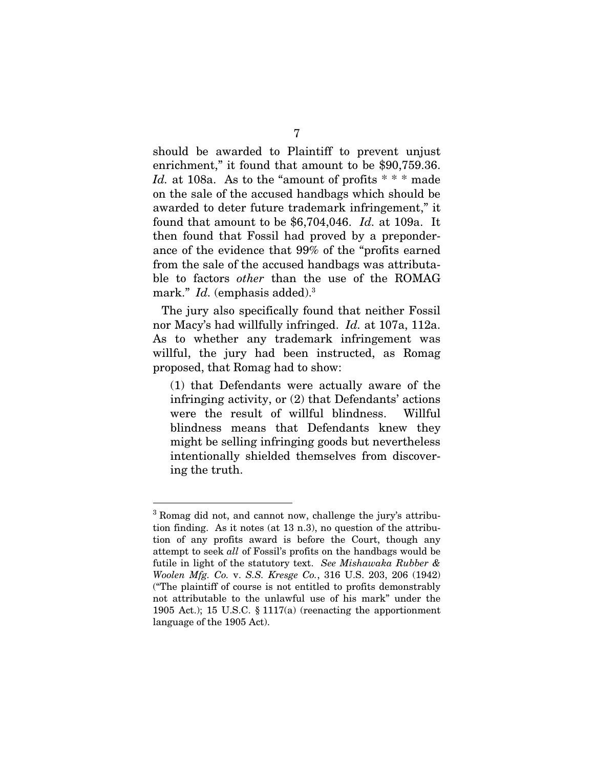should be awarded to Plaintiff to prevent unjust enrichment," it found that amount to be \$90,759.36. *Id.* at 108a. As to the "amount of profits \* \* \* made on the sale of the accused handbags which should be awarded to deter future trademark infringement," it found that amount to be \$6,704,046. *Id.* at 109a. It then found that Fossil had proved by a preponderance of the evidence that 99% of the "profits earned from the sale of the accused handbags was attributable to factors *other* than the use of the ROMAG mark." *Id.* (emphasis added).<sup>3</sup>

The jury also specifically found that neither Fossil nor Macy's had willfully infringed. *Id.* at 107a, 112a. As to whether any trademark infringement was willful, the jury had been instructed, as Romag proposed, that Romag had to show:

(1) that Defendants were actually aware of the infringing activity, or (2) that Defendants' actions were the result of willful blindness. Willful blindness means that Defendants knew they might be selling infringing goods but nevertheless intentionally shielded themselves from discovering the truth.

<sup>&</sup>lt;sup>3</sup> Romag did not, and cannot now, challenge the jury's attribution finding. As it notes (at 13 n.3), no question of the attribution of any profits award is before the Court, though any attempt to seek *all* of Fossil's profits on the handbags would be futile in light of the statutory text. *See Mishawaka Rubber & Woolen Mfg. Co.* v. *S.S. Kresge Co.*, 316 U.S. 203, 206 (1942) ("The plaintiff of course is not entitled to profits demonstrably not attributable to the unlawful use of his mark" under the 1905 Act.); 15 U.S.C. § 1117(a) (reenacting the apportionment language of the 1905 Act).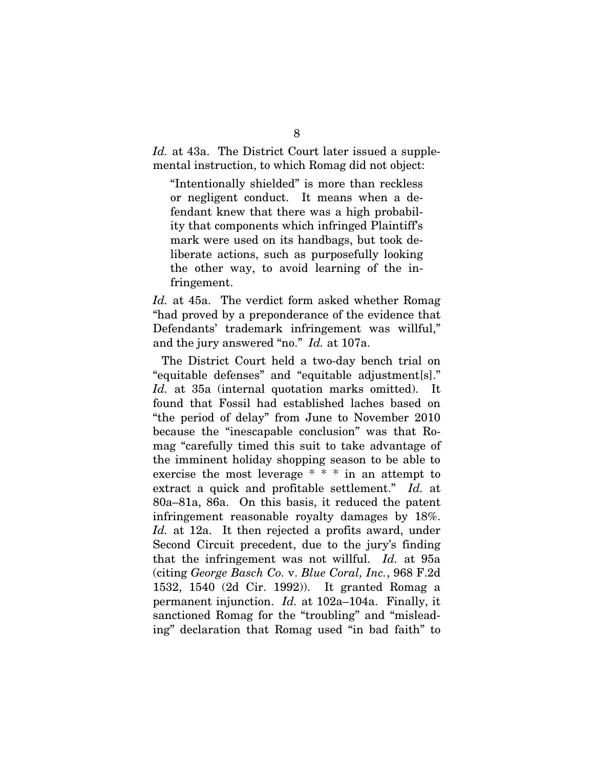*Id.* at 43a. The District Court later issued a supplemental instruction, to which Romag did not object:

"Intentionally shielded" is more than reckless or negligent conduct. It means when a defendant knew that there was a high probability that components which infringed Plaintiff's mark were used on its handbags, but took deliberate actions, such as purposefully looking the other way, to avoid learning of the infringement.

*Id.* at 45a. The verdict form asked whether Romag "had proved by a preponderance of the evidence that Defendants' trademark infringement was willful," and the jury answered "no." *Id.* at 107a.

The District Court held a two-day bench trial on "equitable defenses" and "equitable adjustment[s]." *Id.* at 35a (internal quotation marks omitted). It found that Fossil had established laches based on "the period of delay" from June to November 2010 because the "inescapable conclusion" was that Romag "carefully timed this suit to take advantage of the imminent holiday shopping season to be able to exercise the most leverage \* \* \* in an attempt to extract a quick and profitable settlement." *Id.* at 80a–81a, 86a. On this basis, it reduced the patent infringement reasonable royalty damages by 18%. *Id.* at 12a. It then rejected a profits award, under Second Circuit precedent, due to the jury's finding that the infringement was not willful. *Id.* at 95a (citing *George Basch Co.* v. *Blue Coral, Inc.*, 968 F.2d 1532, 1540 (2d Cir. 1992)). It granted Romag a permanent injunction. *Id.* at 102a–104a. Finally, it sanctioned Romag for the "troubling" and "misleading" declaration that Romag used "in bad faith" to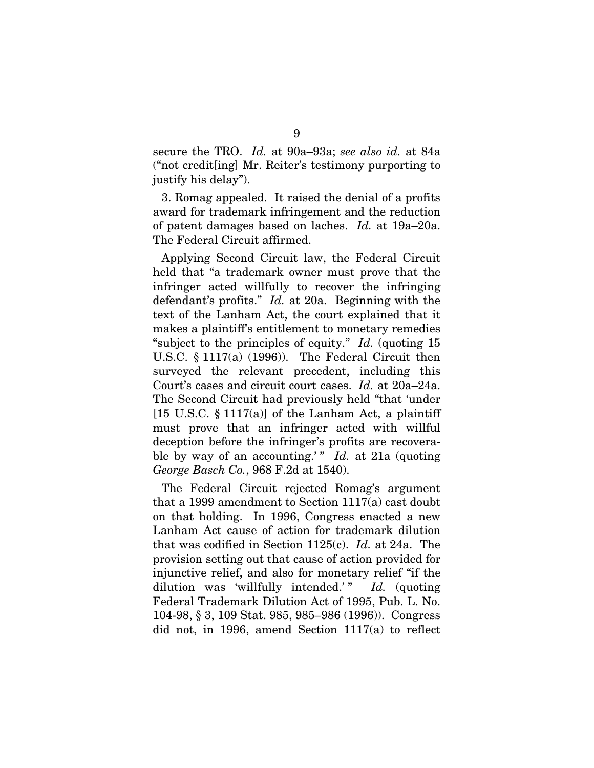secure the TRO. *Id.* at 90a–93a; *see also id.* at 84a ("not credit[ing] Mr. Reiter's testimony purporting to justify his delay").

3. Romag appealed. It raised the denial of a profits award for trademark infringement and the reduction of patent damages based on laches. *Id.* at 19a–20a. The Federal Circuit affirmed.

Applying Second Circuit law, the Federal Circuit held that "a trademark owner must prove that the infringer acted willfully to recover the infringing defendant's profits." *Id.* at 20a. Beginning with the text of the Lanham Act, the court explained that it makes a plaintiff's entitlement to monetary remedies "subject to the principles of equity." *Id.* (quoting 15 U.S.C. § 1117(a) (1996)). The Federal Circuit then surveyed the relevant precedent, including this Court's cases and circuit court cases. *Id.* at 20a–24a. The Second Circuit had previously held "that 'under [15 U.S.C.  $\S 1117(a)$ ] of the Lanham Act, a plaintiff must prove that an infringer acted with willful deception before the infringer's profits are recoverable by way of an accounting.'" *Id.* at 21a (quoting *George Basch Co.*, 968 F.2d at 1540).

The Federal Circuit rejected Romag's argument that a 1999 amendment to Section 1117(a) cast doubt on that holding. In 1996, Congress enacted a new Lanham Act cause of action for trademark dilution that was codified in Section 1125(c). *Id.* at 24a. The provision setting out that cause of action provided for injunctive relief, and also for monetary relief "if the dilution was 'willfully intended.'" Id. (quoting Federal Trademark Dilution Act of 1995, Pub. L. No. 104-98, § 3, 109 Stat. 985, 985–986 (1996)). Congress did not, in 1996, amend Section 1117(a) to reflect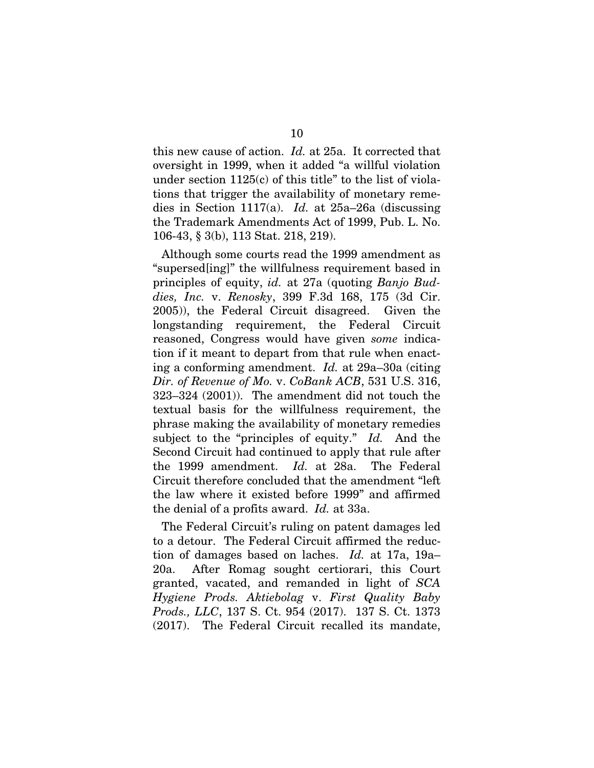this new cause of action. *Id.* at 25a. It corrected that oversight in 1999, when it added "a willful violation under section  $1125(c)$  of this title" to the list of violations that trigger the availability of monetary remedies in Section 1117(a). *Id.* at 25a–26a (discussing the Trademark Amendments Act of 1999, Pub. L. No. 106-43, § 3(b), 113 Stat. 218, 219).

Although some courts read the 1999 amendment as "supersed[ing]" the willfulness requirement based in principles of equity, *id.* at 27a (quoting *Banjo Buddies, Inc.* v. *Renosky*, 399 F.3d 168, 175 (3d Cir. 2005)), the Federal Circuit disagreed. Given the longstanding requirement, the Federal Circuit reasoned, Congress would have given *some* indication if it meant to depart from that rule when enacting a conforming amendment. *Id.* at 29a–30a (citing *Dir. of Revenue of Mo.* v. *CoBank ACB*, 531 U.S. 316, 323–324 (2001)). The amendment did not touch the textual basis for the willfulness requirement, the phrase making the availability of monetary remedies subject to the "principles of equity." *Id.* And the Second Circuit had continued to apply that rule after the 1999 amendment. *Id.* at 28a. The Federal Circuit therefore concluded that the amendment "left the law where it existed before 1999" and affirmed the denial of a profits award. *Id.* at 33a.

The Federal Circuit's ruling on patent damages led to a detour. The Federal Circuit affirmed the reduction of damages based on laches. *Id.* at 17a, 19a– 20a. After Romag sought certiorari, this Court granted, vacated, and remanded in light of *SCA Hygiene Prods. Aktiebolag* v. *First Quality Baby Prods., LLC*, 137 S. Ct. 954 (2017). 137 S. Ct. 1373 (2017). The Federal Circuit recalled its mandate,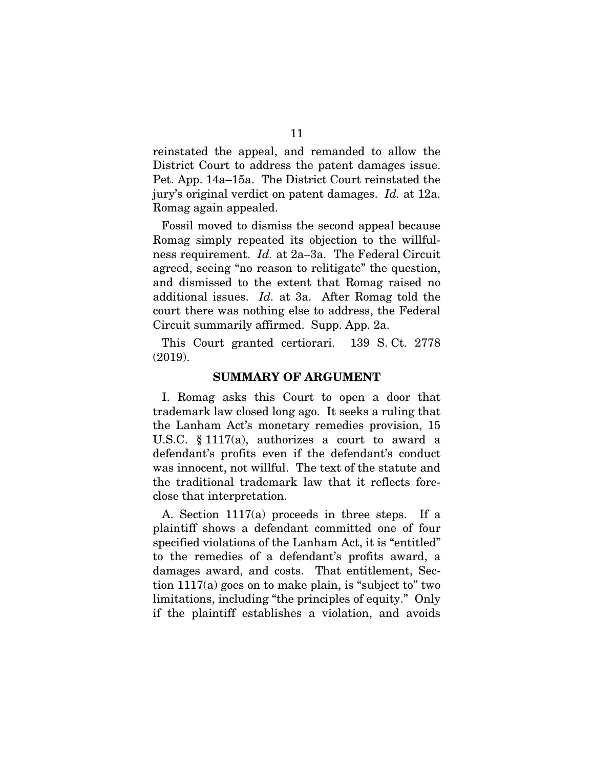reinstated the appeal, and remanded to allow the District Court to address the patent damages issue. Pet. App. 14a–15a. The District Court reinstated the jury's original verdict on patent damages. *Id.* at 12a. Romag again appealed.

Fossil moved to dismiss the second appeal because Romag simply repeated its objection to the willfulness requirement. *Id.* at 2a–3a. The Federal Circuit agreed, seeing "no reason to relitigate" the question, and dismissed to the extent that Romag raised no additional issues. *Id.* at 3a. After Romag told the court there was nothing else to address, the Federal Circuit summarily affirmed. Supp. App. 2a.

This Court granted certiorari. 139 S. Ct. 2778 (2019).

#### SUMMARY OF ARGUMENT

I. Romag asks this Court to open a door that trademark law closed long ago. It seeks a ruling that the Lanham Act's monetary remedies provision, 15 U.S.C. § 1117(a), authorizes a court to award a defendant's profits even if the defendant's conduct was innocent, not willful. The text of the statute and the traditional trademark law that it reflects foreclose that interpretation.

A. Section 1117(a) proceeds in three steps. If a plaintiff shows a defendant committed one of four specified violations of the Lanham Act, it is "entitled" to the remedies of a defendant's profits award, a damages award, and costs. That entitlement, Section 1117(a) goes on to make plain, is "subject to" two limitations, including "the principles of equity." Only if the plaintiff establishes a violation, and avoids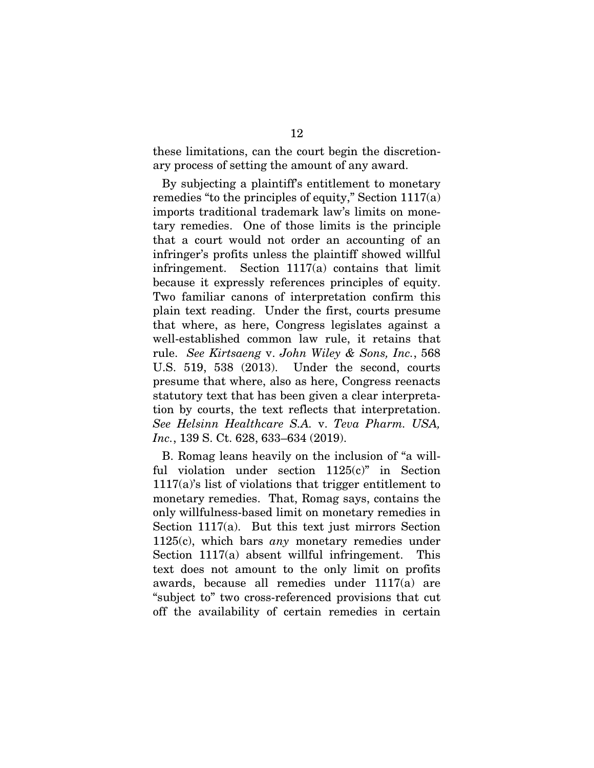these limitations, can the court begin the discretionary process of setting the amount of any award.

By subjecting a plaintiff's entitlement to monetary remedies "to the principles of equity," Section 1117(a) imports traditional trademark law's limits on monetary remedies. One of those limits is the principle that a court would not order an accounting of an infringer's profits unless the plaintiff showed willful infringement. Section 1117(a) contains that limit because it expressly references principles of equity. Two familiar canons of interpretation confirm this plain text reading. Under the first, courts presume that where, as here, Congress legislates against a well-established common law rule, it retains that rule. *See Kirtsaeng* v. *John Wiley & Sons, Inc.*, 568 U.S. 519, 538 (2013). Under the second, courts presume that where, also as here, Congress reenacts statutory text that has been given a clear interpretation by courts, the text reflects that interpretation. *See Helsinn Healthcare S.A.* v. *Teva Pharm. USA, Inc.*, 139 S. Ct. 628, 633–634 (2019).

B. Romag leans heavily on the inclusion of "a willful violation under section 1125(c)" in Section 1117(a)'s list of violations that trigger entitlement to monetary remedies. That, Romag says, contains the only willfulness-based limit on monetary remedies in Section 1117(a). But this text just mirrors Section 1125(c), which bars *any* monetary remedies under Section 1117(a) absent willful infringement. This text does not amount to the only limit on profits awards, because all remedies under 1117(a) are "subject to" two cross-referenced provisions that cut off the availability of certain remedies in certain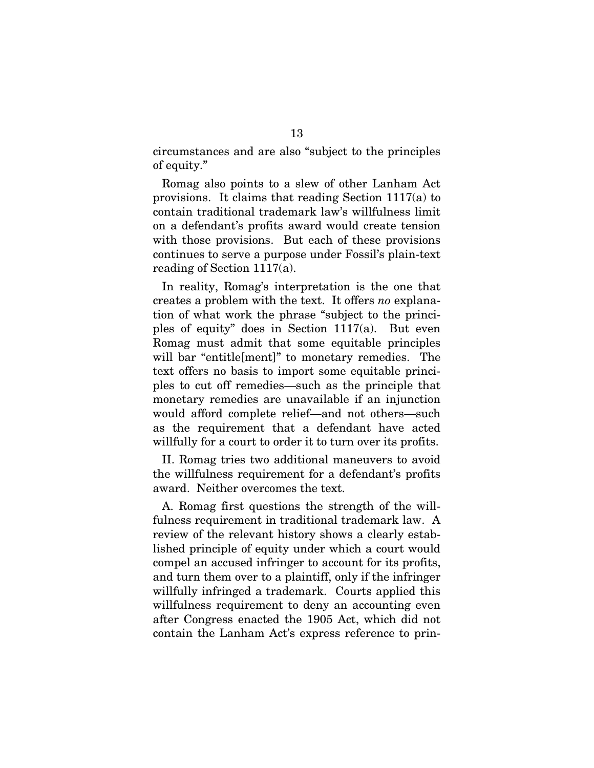circumstances and are also "subject to the principles of equity."

Romag also points to a slew of other Lanham Act provisions. It claims that reading Section 1117(a) to contain traditional trademark law's willfulness limit on a defendant's profits award would create tension with those provisions. But each of these provisions continues to serve a purpose under Fossil's plain-text reading of Section 1117(a).

In reality, Romag's interpretation is the one that creates a problem with the text. It offers *no* explanation of what work the phrase "subject to the principles of equity" does in Section 1117(a). But even Romag must admit that some equitable principles will bar "entitle[ment]" to monetary remedies. The text offers no basis to import some equitable principles to cut off remedies—such as the principle that monetary remedies are unavailable if an injunction would afford complete relief—and not others—such as the requirement that a defendant have acted willfully for a court to order it to turn over its profits.

II. Romag tries two additional maneuvers to avoid the willfulness requirement for a defendant's profits award. Neither overcomes the text.

A. Romag first questions the strength of the willfulness requirement in traditional trademark law. A review of the relevant history shows a clearly established principle of equity under which a court would compel an accused infringer to account for its profits, and turn them over to a plaintiff, only if the infringer willfully infringed a trademark. Courts applied this willfulness requirement to deny an accounting even after Congress enacted the 1905 Act, which did not contain the Lanham Act's express reference to prin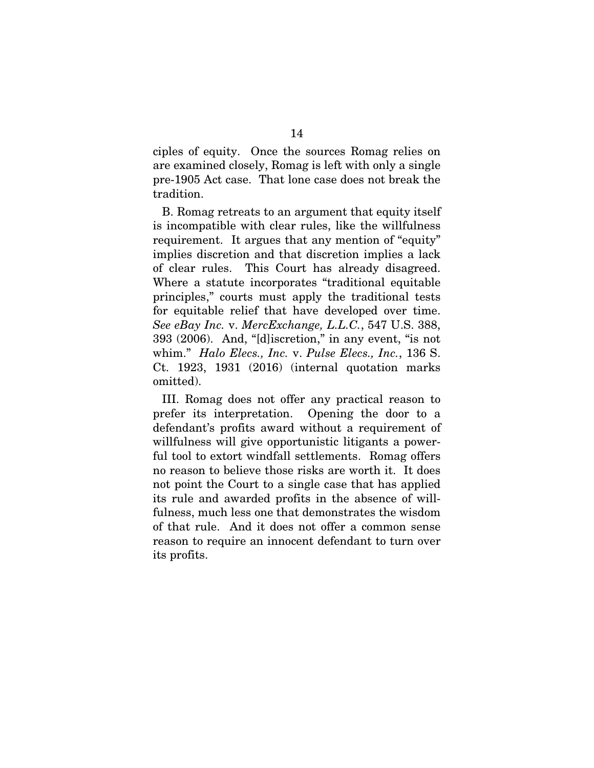ciples of equity. Once the sources Romag relies on are examined closely, Romag is left with only a single pre-1905 Act case. That lone case does not break the tradition.

B. Romag retreats to an argument that equity itself is incompatible with clear rules, like the willfulness requirement. It argues that any mention of "equity" implies discretion and that discretion implies a lack of clear rules. This Court has already disagreed. Where a statute incorporates "traditional equitable principles," courts must apply the traditional tests for equitable relief that have developed over time. *See eBay Inc.* v. *MercExchange, L.L.C.*, 547 U.S. 388, 393 (2006). And, "[d]iscretion," in any event, "is not whim." *Halo Elecs., Inc.* v. *Pulse Elecs., Inc.*, 136 S. Ct. 1923, 1931 (2016) (internal quotation marks omitted).

III. Romag does not offer any practical reason to prefer its interpretation. Opening the door to a defendant's profits award without a requirement of willfulness will give opportunistic litigants a powerful tool to extort windfall settlements. Romag offers no reason to believe those risks are worth it. It does not point the Court to a single case that has applied its rule and awarded profits in the absence of willfulness, much less one that demonstrates the wisdom of that rule. And it does not offer a common sense reason to require an innocent defendant to turn over its profits.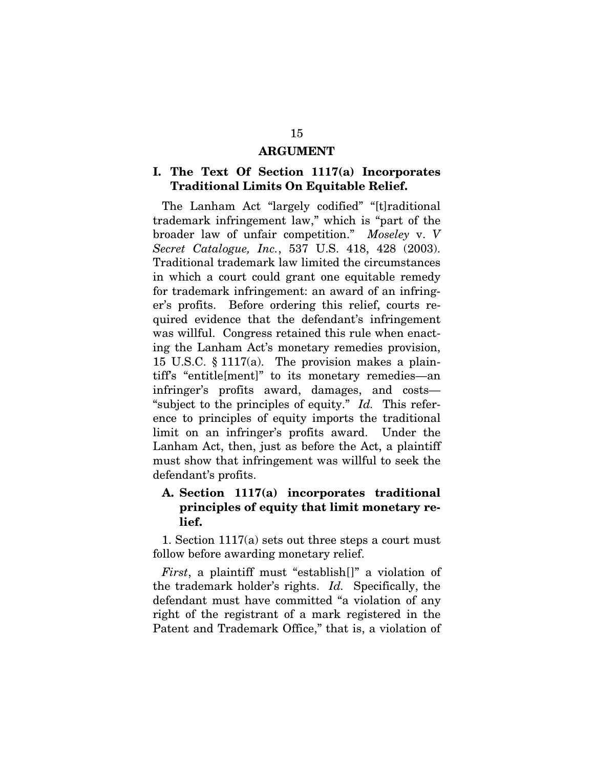#### ARGUMENT

### I. The Text Of Section 1117(a) Incorporates Traditional Limits On Equitable Relief.

The Lanham Act "largely codified" "[t]raditional trademark infringement law," which is "part of the broader law of unfair competition." *Moseley* v. *V Secret Catalogue, Inc.*, 537 U.S. 418, 428 (2003). Traditional trademark law limited the circumstances in which a court could grant one equitable remedy for trademark infringement: an award of an infringer's profits. Before ordering this relief, courts required evidence that the defendant's infringement was willful. Congress retained this rule when enacting the Lanham Act's monetary remedies provision, 15 U.S.C. § 1117(a). The provision makes a plaintiff's "entitle[ment]" to its monetary remedies—an infringer's profits award, damages, and costs— "subject to the principles of equity." *Id.* This reference to principles of equity imports the traditional limit on an infringer's profits award. Under the Lanham Act, then, just as before the Act, a plaintiff must show that infringement was willful to seek the defendant's profits.

### A. Section 1117(a) incorporates traditional principles of equity that limit monetary relief.

1. Section 1117(a) sets out three steps a court must follow before awarding monetary relief.

*First*, a plaintiff must "establish[]" a violation of the trademark holder's rights. *Id.* Specifically, the defendant must have committed "a violation of any right of the registrant of a mark registered in the Patent and Trademark Office," that is, a violation of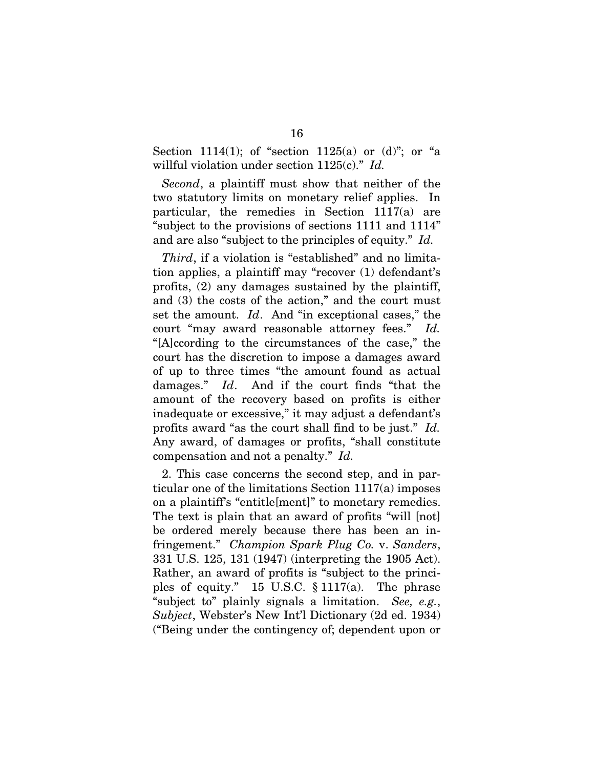Section 1114(1); of "section 1125(a) or  $(d)$ "; or "a willful violation under section 1125(c)." *Id.*

*Second*, a plaintiff must show that neither of the two statutory limits on monetary relief applies. In particular, the remedies in Section 1117(a) are "subject to the provisions of sections 1111 and 1114" and are also "subject to the principles of equity." *Id.* 

*Third*, if a violation is "established" and no limitation applies, a plaintiff may "recover (1) defendant's profits, (2) any damages sustained by the plaintiff, and (3) the costs of the action," and the court must set the amount. *Id*. And "in exceptional cases," the court "may award reasonable attorney fees." *Id.* "[A]ccording to the circumstances of the case," the court has the discretion to impose a damages award of up to three times "the amount found as actual damages." *Id*. And if the court finds "that the amount of the recovery based on profits is either inadequate or excessive," it may adjust a defendant's profits award "as the court shall find to be just." *Id.* Any award, of damages or profits, "shall constitute compensation and not a penalty." *Id.*

2. This case concerns the second step, and in particular one of the limitations Section 1117(a) imposes on a plaintiff's "entitle[ment]" to monetary remedies. The text is plain that an award of profits "will [not] be ordered merely because there has been an infringement." *Champion Spark Plug Co.* v. *Sanders*, 331 U.S. 125, 131 (1947) (interpreting the 1905 Act). Rather, an award of profits is "subject to the principles of equity." 15 U.S.C. § 1117(a). The phrase "subject to" plainly signals a limitation. *See, e.g.*, *Subject*, Webster's New Int'l Dictionary (2d ed. 1934) ("Being under the contingency of; dependent upon or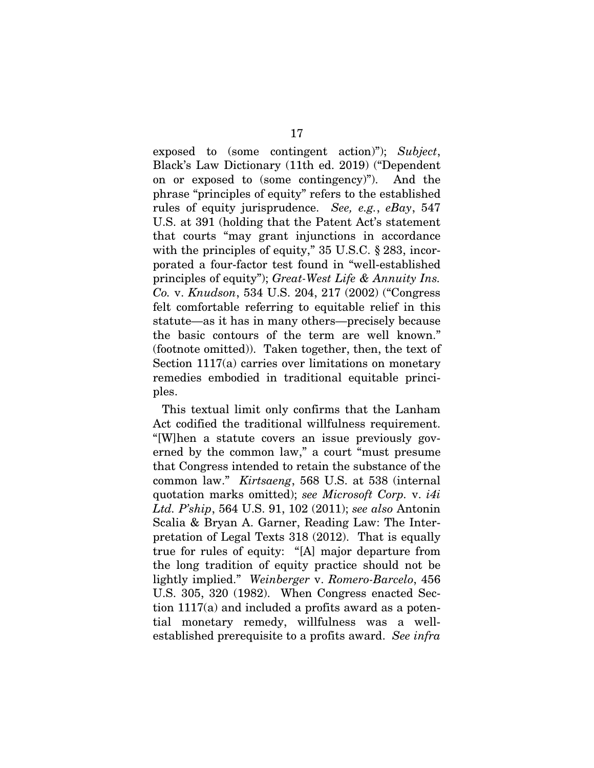exposed to (some contingent action)"); *Subject*, Black's Law Dictionary (11th ed. 2019) ("Dependent on or exposed to (some contingency)"). And the phrase "principles of equity" refers to the established rules of equity jurisprudence. *See, e.g.*, *eBay*, 547 U.S. at 391 (holding that the Patent Act's statement that courts "may grant injunctions in accordance with the principles of equity," 35 U.S.C. § 283, incorporated a four-factor test found in "well-established principles of equity"); *Great-West Life & Annuity Ins. Co.* v. *Knudson*, 534 U.S. 204, 217 (2002) ("Congress felt comfortable referring to equitable relief in this statute—as it has in many others—precisely because the basic contours of the term are well known." (footnote omitted)). Taken together, then, the text of Section 1117(a) carries over limitations on monetary remedies embodied in traditional equitable principles.

This textual limit only confirms that the Lanham Act codified the traditional willfulness requirement. "[W]hen a statute covers an issue previously governed by the common law," a court "must presume that Congress intended to retain the substance of the common law." *Kirtsaeng*, 568 U.S. at 538 (internal quotation marks omitted); *see Microsoft Corp.* v. *i4i Ltd. P'ship*, 564 U.S. 91, 102 (2011); *see also* Antonin Scalia & Bryan A. Garner, Reading Law: The Interpretation of Legal Texts 318 (2012). That is equally true for rules of equity: "[A] major departure from the long tradition of equity practice should not be lightly implied." *Weinberger* v. *Romero-Barcelo*, 456 U.S. 305, 320 (1982). When Congress enacted Section 1117(a) and included a profits award as a potential monetary remedy, willfulness was a wellestablished prerequisite to a profits award. *See infra*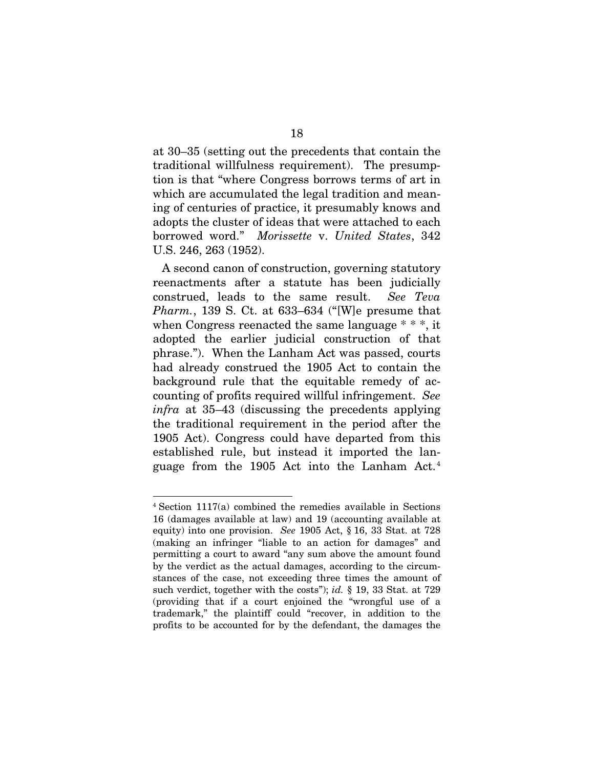at 30–35 (setting out the precedents that contain the traditional willfulness requirement). The presumption is that "where Congress borrows terms of art in which are accumulated the legal tradition and meaning of centuries of practice, it presumably knows and adopts the cluster of ideas that were attached to each borrowed word." *Morissette* v. *United States*, 342 U.S. 246, 263 (1952).

A second canon of construction, governing statutory reenactments after a statute has been judicially construed, leads to the same result. *See Teva Pharm.*, 139 S. Ct. at 633–634 ("[W]e presume that when Congress reenacted the same language \* \* \*, it adopted the earlier judicial construction of that phrase."). When the Lanham Act was passed, courts had already construed the 1905 Act to contain the background rule that the equitable remedy of accounting of profits required willful infringement. *See infra* at 35–43 (discussing the precedents applying the traditional requirement in the period after the 1905 Act). Congress could have departed from this established rule, but instead it imported the language from the 1905 Act into the Lanham Act. <sup>4</sup>

<sup>4</sup> Section 1117(a) combined the remedies available in Sections 16 (damages available at law) and 19 (accounting available at equity) into one provision. *See* 1905 Act, § 16, 33 Stat. at 728 (making an infringer "liable to an action for damages" and permitting a court to award "any sum above the amount found by the verdict as the actual damages, according to the circumstances of the case, not exceeding three times the amount of such verdict, together with the costs"); *id.* § 19, 33 Stat. at 729 (providing that if a court enjoined the "wrongful use of a trademark," the plaintiff could "recover, in addition to the profits to be accounted for by the defendant, the damages the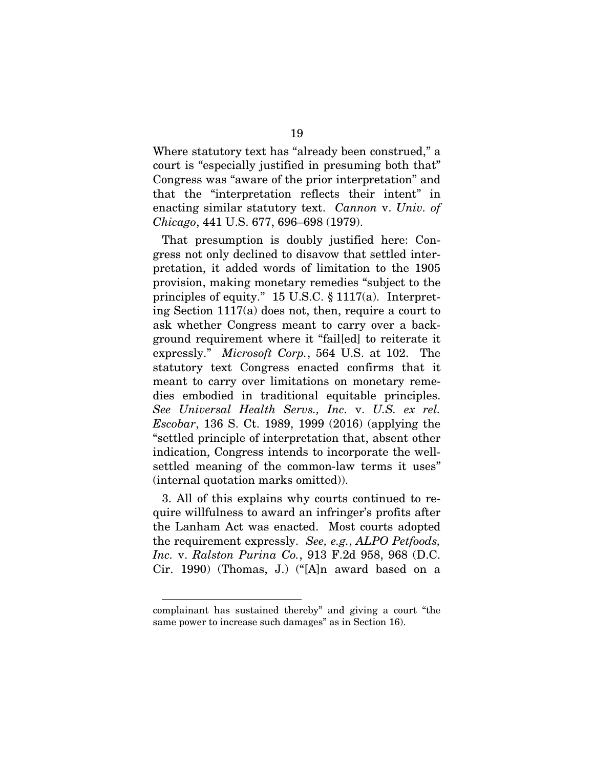Where statutory text has "already been construed," a court is "especially justified in presuming both that" Congress was "aware of the prior interpretation" and that the "interpretation reflects their intent" in enacting similar statutory text. *Cannon* v. *Univ. of Chicago*, 441 U.S. 677, 696–698 (1979).

That presumption is doubly justified here: Congress not only declined to disavow that settled interpretation, it added words of limitation to the 1905 provision, making monetary remedies "subject to the principles of equity." 15 U.S.C. § 1117(a). Interpreting Section 1117(a) does not, then, require a court to ask whether Congress meant to carry over a background requirement where it "fail[ed] to reiterate it expressly." *Microsoft Corp.*, 564 U.S. at 102. The statutory text Congress enacted confirms that it meant to carry over limitations on monetary remedies embodied in traditional equitable principles. *See Universal Health Servs., Inc.* v. *U.S. ex rel. Escobar*, 136 S. Ct. 1989, 1999 (2016) (applying the "settled principle of interpretation that, absent other indication, Congress intends to incorporate the wellsettled meaning of the common-law terms it uses" (internal quotation marks omitted)).

3. All of this explains why courts continued to require willfulness to award an infringer's profits after the Lanham Act was enacted. Most courts adopted the requirement expressly. *See, e.g.*, *ALPO Petfoods, Inc.* v. *Ralston Purina Co.*, 913 F.2d 958, 968 (D.C. Cir. 1990) (Thomas, J.) ("[A]n award based on a

complainant has sustained thereby" and giving a court "the same power to increase such damages" as in Section 16).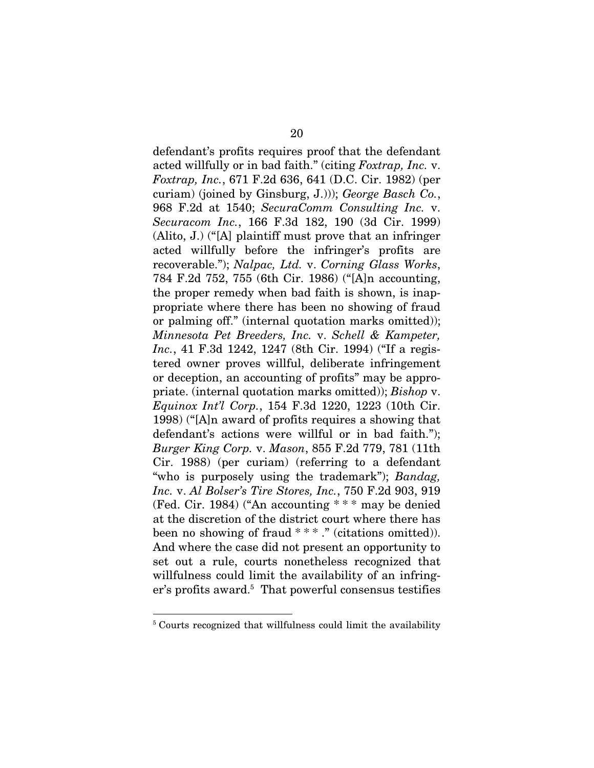defendant's profits requires proof that the defendant acted willfully or in bad faith." (citing *Foxtrap, Inc.* v. *Foxtrap, Inc.*, 671 F.2d 636, 641 (D.C. Cir. 1982) (per curiam) (joined by Ginsburg, J.))); *George Basch Co.*, 968 F.2d at 1540; *SecuraComm Consulting Inc.* v. *Securacom Inc.*, 166 F.3d 182, 190 (3d Cir. 1999) (Alito, J.) ("[A] plaintiff must prove that an infringer acted willfully before the infringer's profits are recoverable."); *Nalpac, Ltd.* v. *Corning Glass Works*, 784 F.2d 752, 755 (6th Cir. 1986) ("[A]n accounting, the proper remedy when bad faith is shown, is inappropriate where there has been no showing of fraud or palming off." (internal quotation marks omitted)); *Minnesota Pet Breeders, Inc.* v. *Schell & Kampeter, Inc.*, 41 F.3d 1242, 1247 (8th Cir. 1994) ("If a registered owner proves willful, deliberate infringement or deception, an accounting of profits" may be appropriate. (internal quotation marks omitted)); *Bishop* v. *Equinox Int'l Corp.*, 154 F.3d 1220, 1223 (10th Cir. 1998) ("[A]n award of profits requires a showing that defendant's actions were willful or in bad faith."); *Burger King Corp.* v. *Mason*, 855 F.2d 779, 781 (11th Cir. 1988) (per curiam) (referring to a defendant "who is purposely using the trademark"); *Bandag, Inc.* v. *Al Bolser's Tire Stores, Inc.*, 750 F.2d 903, 919 (Fed. Cir. 1984) ("An accounting \* \* \* may be denied at the discretion of the district court where there has been no showing of fraud  $***$ ." (citations omitted)). And where the case did not present an opportunity to set out a rule, courts nonetheless recognized that willfulness could limit the availability of an infringer's profits award.<sup>5</sup> That powerful consensus testifies

<sup>&</sup>lt;sup>5</sup> Courts recognized that willfulness could limit the availability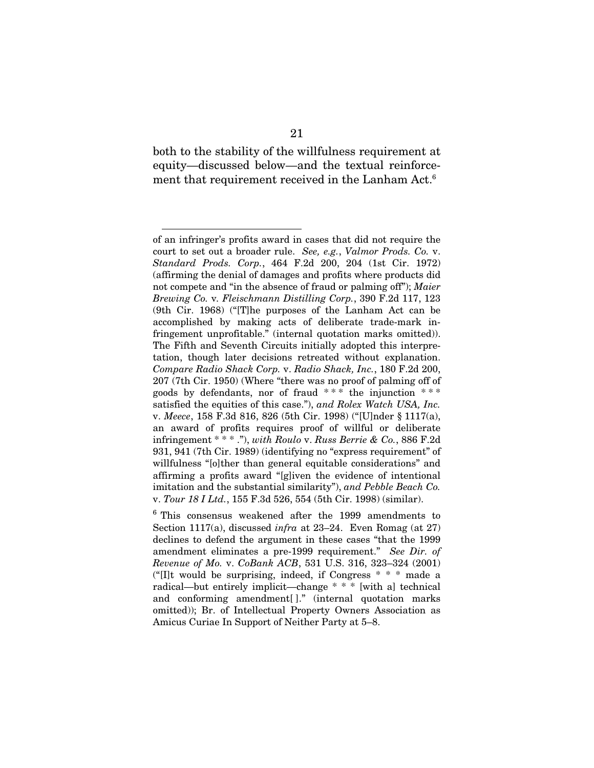both to the stability of the willfulness requirement at equity—discussed below—and the textual reinforcement that requirement received in the Lanham Act.<sup>6</sup>

of an infringer's profits award in cases that did not require the court to set out a broader rule. *See, e.g.*, *Valmor Prods. Co.* v. *Standard Prods. Corp.*, 464 F.2d 200, 204 (1st Cir. 1972) (affirming the denial of damages and profits where products did not compete and "in the absence of fraud or palming off"); *Maier Brewing Co.* v*. Fleischmann Distilling Corp.*, 390 F.2d 117, 123 (9th Cir. 1968) ("[T]he purposes of the Lanham Act can be accomplished by making acts of deliberate trade-mark infringement unprofitable." (internal quotation marks omitted)). The Fifth and Seventh Circuits initially adopted this interpretation, though later decisions retreated without explanation. *Compare Radio Shack Corp.* v. *Radio Shack, Inc.*, 180 F.2d 200, 207 (7th Cir. 1950) (Where "there was no proof of palming off of goods by defendants, nor of fraud  $***$  the injunction  $***$ satisfied the equities of this case."), *and Rolex Watch USA, Inc.* v. *Meece*, 158 F.3d 816, 826 (5th Cir. 1998) ("[U]nder § 1117(a), an award of profits requires proof of willful or deliberate infringement \* \* \* ."), *with Roulo* v. *Russ Berrie & Co.*, 886 F.2d 931, 941 (7th Cir. 1989) (identifying no "express requirement" of willfulness "[o]ther than general equitable considerations" and affirming a profits award "[g]iven the evidence of intentional imitation and the substantial similarity"), *and Pebble Beach Co.*  v. *Tour 18 I Ltd.*, 155 F.3d 526, 554 (5th Cir. 1998) (similar).

<sup>6</sup> This consensus weakened after the 1999 amendments to Section 1117(a), discussed *infra* at 23–24. Even Romag (at 27) declines to defend the argument in these cases "that the 1999 amendment eliminates a pre-1999 requirement." *See Dir. of Revenue of Mo.* v. *CoBank ACB*, 531 U.S. 316, 323–324 (2001) ("[I]t would be surprising, indeed, if Congress \* \* \* made a radical—but entirely implicit—change \* \* \* [with a] technical and conforming amendment[ ]." (internal quotation marks omitted)); Br. of Intellectual Property Owners Association as Amicus Curiae In Support of Neither Party at 5–8.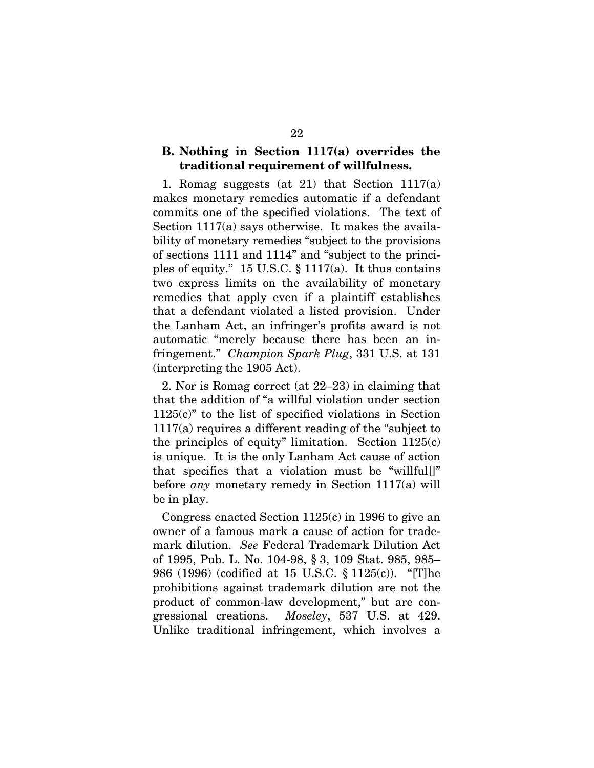## B. Nothing in Section 1117(a) overrides the traditional requirement of willfulness.

1. Romag suggests (at 21) that Section 1117(a) makes monetary remedies automatic if a defendant commits one of the specified violations. The text of Section 1117(a) says otherwise. It makes the availability of monetary remedies "subject to the provisions of sections 1111 and 1114" and "subject to the principles of equity." 15 U.S.C. § 1117(a). It thus contains two express limits on the availability of monetary remedies that apply even if a plaintiff establishes that a defendant violated a listed provision. Under the Lanham Act, an infringer's profits award is not automatic "merely because there has been an infringement." *Champion Spark Plug*, 331 U.S. at 131 (interpreting the 1905 Act).

2. Nor is Romag correct (at 22–23) in claiming that that the addition of "a willful violation under section 1125(c)" to the list of specified violations in Section 1117(a) requires a different reading of the "subject to the principles of equity" limitation. Section 1125(c) is unique. It is the only Lanham Act cause of action that specifies that a violation must be "willful[]" before *any* monetary remedy in Section 1117(a) will be in play.

Congress enacted Section 1125(c) in 1996 to give an owner of a famous mark a cause of action for trademark dilution. *See* Federal Trademark Dilution Act of 1995, Pub. L. No. 104-98, § 3, 109 Stat. 985, 985– 986 (1996) (codified at 15 U.S.C. § 1125(c)). "[T]he prohibitions against trademark dilution are not the product of common-law development," but are congressional creations. *Moseley*, 537 U.S. at 429. Unlike traditional infringement, which involves a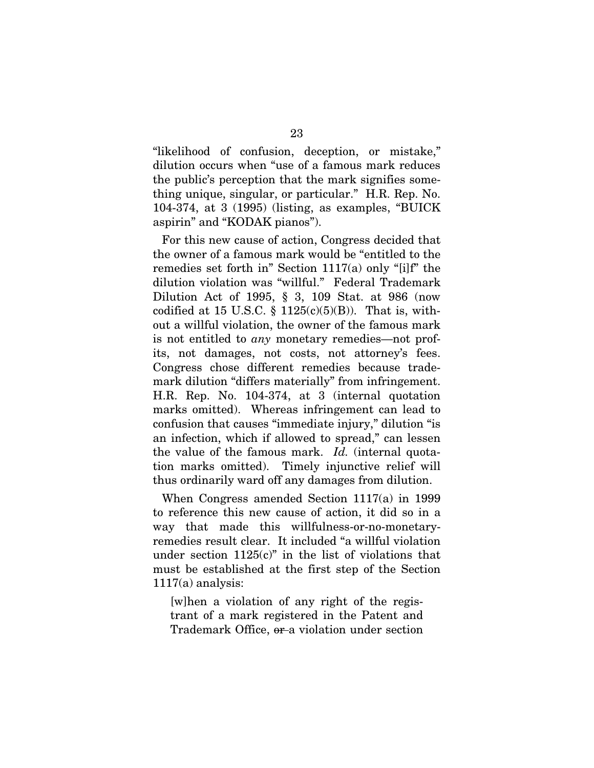"likelihood of confusion, deception, or mistake," dilution occurs when "use of a famous mark reduces the public's perception that the mark signifies something unique, singular, or particular." H.R. Rep. No. 104-374, at 3 (1995) (listing, as examples, "BUICK aspirin" and "KODAK pianos").

For this new cause of action, Congress decided that the owner of a famous mark would be "entitled to the remedies set forth in" Section 1117(a) only "[i]f" the dilution violation was "willful." Federal Trademark Dilution Act of 1995, § 3, 109 Stat. at 986 (now codified at 15 U.S.C. §  $1125(c)(5)(B)$ ). That is, without a willful violation, the owner of the famous mark is not entitled to *any* monetary remedies—not profits, not damages, not costs, not attorney's fees. Congress chose different remedies because trademark dilution "differs materially" from infringement. H.R. Rep. No. 104-374, at 3 (internal quotation marks omitted). Whereas infringement can lead to confusion that causes "immediate injury," dilution "is an infection, which if allowed to spread," can lessen the value of the famous mark. *Id.* (internal quotation marks omitted). Timely injunctive relief will thus ordinarily ward off any damages from dilution.

When Congress amended Section 1117(a) in 1999 to reference this new cause of action, it did so in a way that made this willfulness-or-no-monetaryremedies result clear. It included "a willful violation under section  $1125(c)$ " in the list of violations that must be established at the first step of the Section  $1117(a)$  analysis:

[w]hen a violation of any right of the registrant of a mark registered in the Patent and Trademark Office, or a violation under section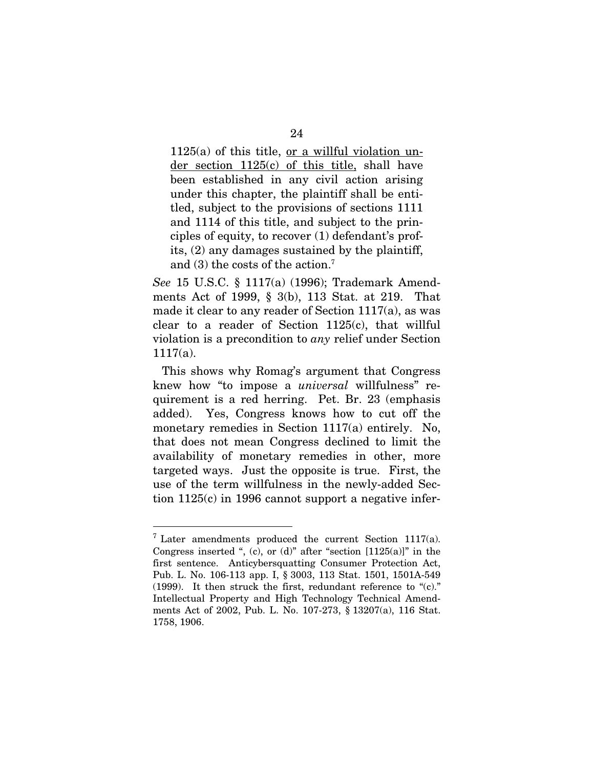$1125(a)$  of this title, <u>or a willful violation un-</u> der section 1125(c) of this title, shall have been established in any civil action arising under this chapter, the plaintiff shall be entitled, subject to the provisions of sections 1111 and 1114 of this title, and subject to the principles of equity, to recover (1) defendant's profits, (2) any damages sustained by the plaintiff, and (3) the costs of the action.<sup>7</sup>

*See* 15 U.S.C. § 1117(a) (1996); Trademark Amendments Act of 1999, § 3(b), 113 Stat. at 219. That made it clear to any reader of Section 1117(a), as was clear to a reader of Section 1125(c), that willful violation is a precondition to *any* relief under Section 1117(a).

This shows why Romag's argument that Congress knew how "to impose a *universal* willfulness" requirement is a red herring. Pet. Br. 23 (emphasis added). Yes, Congress knows how to cut off the monetary remedies in Section 1117(a) entirely. No, that does not mean Congress declined to limit the availability of monetary remedies in other, more targeted ways. Just the opposite is true. First, the use of the term willfulness in the newly-added Section 1125(c) in 1996 cannot support a negative infer-

 $7$  Later amendments produced the current Section 1117(a). Congress inserted ", (c), or (d)" after "section  $[1125(a)]$ " in the first sentence. Anticybersquatting Consumer Protection Act, Pub. L. No. 106-113 app. I, § 3003, 113 Stat. 1501, 1501A-549 (1999). It then struck the first, redundant reference to "(c)." Intellectual Property and High Technology Technical Amendments Act of 2002, Pub. L. No. 107-273, § 13207(a), 116 Stat. 1758, 1906.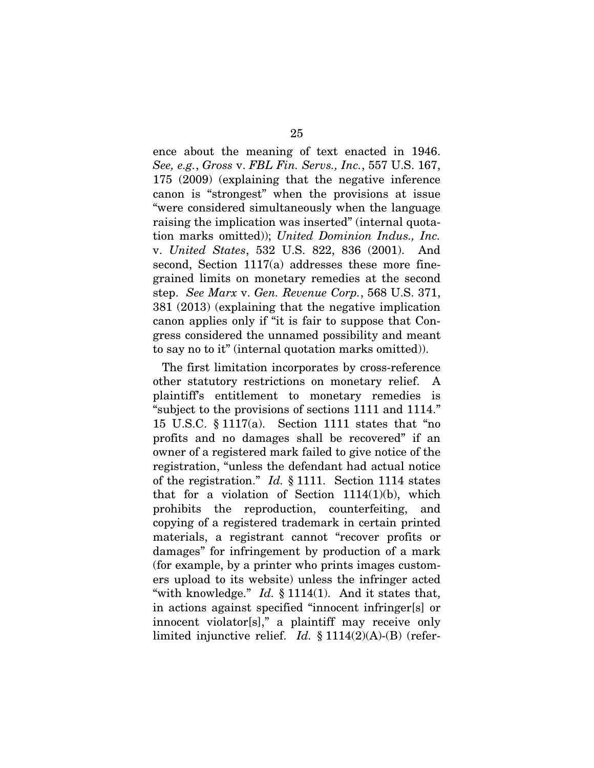ence about the meaning of text enacted in 1946. *See, e.g.*, *Gross* v. *FBL Fin. Servs., Inc.*, 557 U.S. 167, 175 (2009) (explaining that the negative inference canon is "strongest" when the provisions at issue "were considered simultaneously when the language raising the implication was inserted" (internal quotation marks omitted)); *United Dominion Indus., Inc.* v. *United States*, 532 U.S. 822, 836 (2001). And second, Section 1117(a) addresses these more finegrained limits on monetary remedies at the second step. *See Marx* v. *Gen. Revenue Corp.*, 568 U.S. 371, 381 (2013) (explaining that the negative implication canon applies only if "it is fair to suppose that Congress considered the unnamed possibility and meant to say no to it" (internal quotation marks omitted)).

The first limitation incorporates by cross-reference other statutory restrictions on monetary relief. A plaintiff's entitlement to monetary remedies is "subject to the provisions of sections 1111 and 1114." 15 U.S.C. § 1117(a). Section 1111 states that "no profits and no damages shall be recovered" if an owner of a registered mark failed to give notice of the registration, "unless the defendant had actual notice of the registration." *Id.* § 1111. Section 1114 states that for a violation of Section  $1114(1)(b)$ , which prohibits the reproduction, counterfeiting, and copying of a registered trademark in certain printed materials, a registrant cannot "recover profits or damages" for infringement by production of a mark (for example, by a printer who prints images customers upload to its website) unless the infringer acted "with knowledge." *Id.* § 1114(1). And it states that, in actions against specified "innocent infringer[s] or innocent violator[s]," a plaintiff may receive only limited injunctive relief. *Id.* § 1114(2)(A)-(B) (refer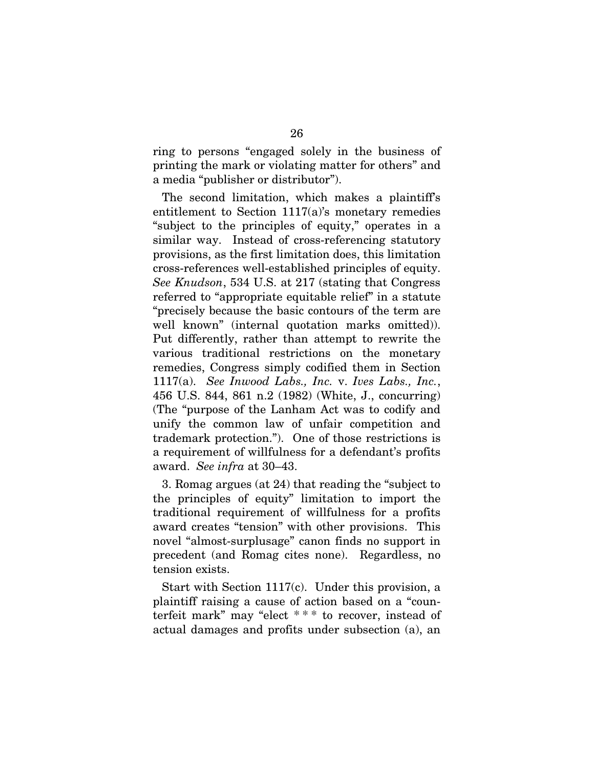ring to persons "engaged solely in the business of printing the mark or violating matter for others" and a media "publisher or distributor").

The second limitation, which makes a plaintiff's entitlement to Section 1117(a)'s monetary remedies "subject to the principles of equity," operates in a similar way. Instead of cross-referencing statutory provisions, as the first limitation does, this limitation cross-references well-established principles of equity. *See Knudson*, 534 U.S. at 217 (stating that Congress referred to "appropriate equitable relief" in a statute "precisely because the basic contours of the term are well known" (internal quotation marks omitted)). Put differently, rather than attempt to rewrite the various traditional restrictions on the monetary remedies, Congress simply codified them in Section 1117(a). *See Inwood Labs., Inc.* v. *Ives Labs., Inc.*, 456 U.S. 844, 861 n.2 (1982) (White, J., concurring) (The "purpose of the Lanham Act was to codify and unify the common law of unfair competition and trademark protection."). One of those restrictions is a requirement of willfulness for a defendant's profits award. *See infra* at 30–43.

3. Romag argues (at 24) that reading the "subject to the principles of equity" limitation to import the traditional requirement of willfulness for a profits award creates "tension" with other provisions. This novel "almost-surplusage" canon finds no support in precedent (and Romag cites none). Regardless, no tension exists.

Start with Section 1117(c). Under this provision, a plaintiff raising a cause of action based on a "counterfeit mark" may "elect \* \* \* to recover, instead of actual damages and profits under subsection (a), an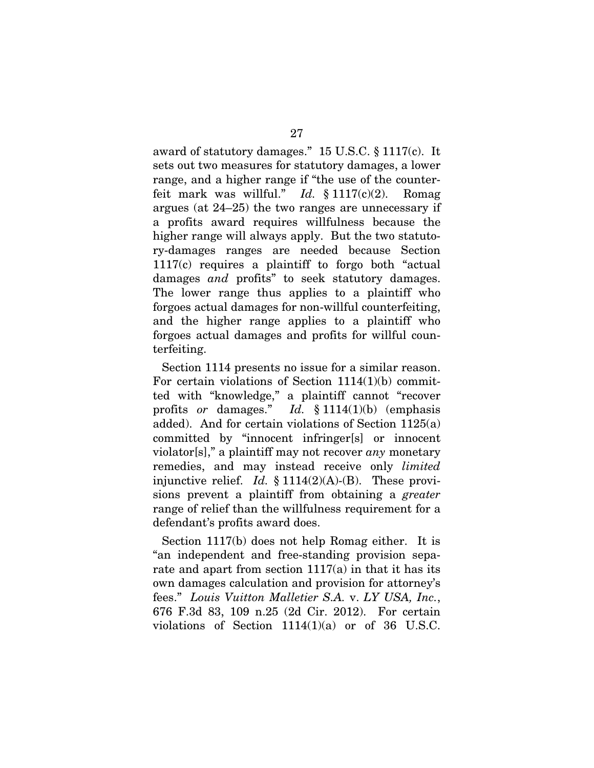award of statutory damages." 15 U.S.C. § 1117(c). It sets out two measures for statutory damages, a lower range, and a higher range if "the use of the counterfeit mark was willful." *Id.* § 1117(c)(2). Romag argues (at 24–25) the two ranges are unnecessary if a profits award requires willfulness because the higher range will always apply. But the two statutory-damages ranges are needed because Section 1117(c) requires a plaintiff to forgo both "actual damages *and* profits" to seek statutory damages. The lower range thus applies to a plaintiff who forgoes actual damages for non-willful counterfeiting, and the higher range applies to a plaintiff who forgoes actual damages and profits for willful counterfeiting.

Section 1114 presents no issue for a similar reason. For certain violations of Section 1114(1)(b) committed with "knowledge," a plaintiff cannot "recover profits *or* damages." *Id.* § 1114(1)(b) (emphasis added). And for certain violations of Section 1125(a) committed by "innocent infringer[s] or innocent violator[s]," a plaintiff may not recover *any* monetary remedies, and may instead receive only *limited* injunctive relief. *Id.* § 1114(2)(A)-(B). These provisions prevent a plaintiff from obtaining a *greater* range of relief than the willfulness requirement for a defendant's profits award does.

Section 1117(b) does not help Romag either. It is "an independent and free-standing provision separate and apart from section  $1117(a)$  in that it has its own damages calculation and provision for attorney's fees." *Louis Vuitton Malletier S.A.* v. *LY USA, Inc.*, 676 F.3d 83, 109 n.25 (2d Cir. 2012). For certain violations of Section 1114(1)(a) or of 36 U.S.C.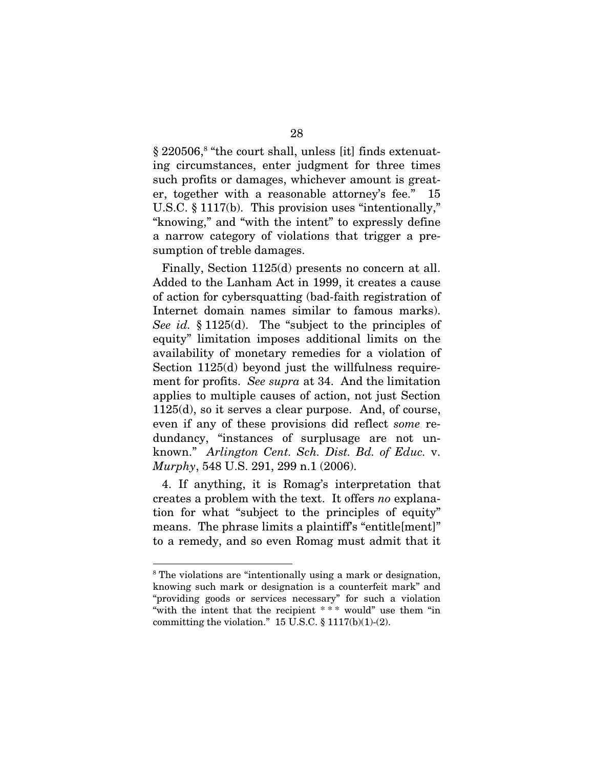§ 220506,<sup>8</sup> "the court shall, unless [it] finds extenuating circumstances, enter judgment for three times such profits or damages, whichever amount is greater, together with a reasonable attorney's fee." 15 U.S.C. § 1117(b). This provision uses "intentionally," "knowing," and "with the intent" to expressly define a narrow category of violations that trigger a presumption of treble damages.

Finally, Section 1125(d) presents no concern at all. Added to the Lanham Act in 1999, it creates a cause of action for cybersquatting (bad-faith registration of Internet domain names similar to famous marks). *See id.* § 1125(d). The "subject to the principles of equity" limitation imposes additional limits on the availability of monetary remedies for a violation of Section 1125(d) beyond just the willfulness requirement for profits. *See supra* at 34. And the limitation applies to multiple causes of action, not just Section 1125(d), so it serves a clear purpose. And, of course, even if any of these provisions did reflect *some* redundancy, "instances of surplusage are not unknown." *Arlington Cent. Sch. Dist. Bd. of Educ.* v. *Murphy*, 548 U.S. 291, 299 n.1 (2006).

4. If anything, it is Romag's interpretation that creates a problem with the text. It offers *no* explanation for what "subject to the principles of equity" means. The phrase limits a plaintiff's "entitle[ment]" to a remedy, and so even Romag must admit that it

<sup>8</sup> The violations are "intentionally using a mark or designation, knowing such mark or designation is a counterfeit mark" and "providing goods or services necessary" for such a violation "with the intent that the recipient \* \* \* would" use them "in committing the violation."  $15 \text{ U.S.C.} \$  $1117(b)(1)-(2)$ .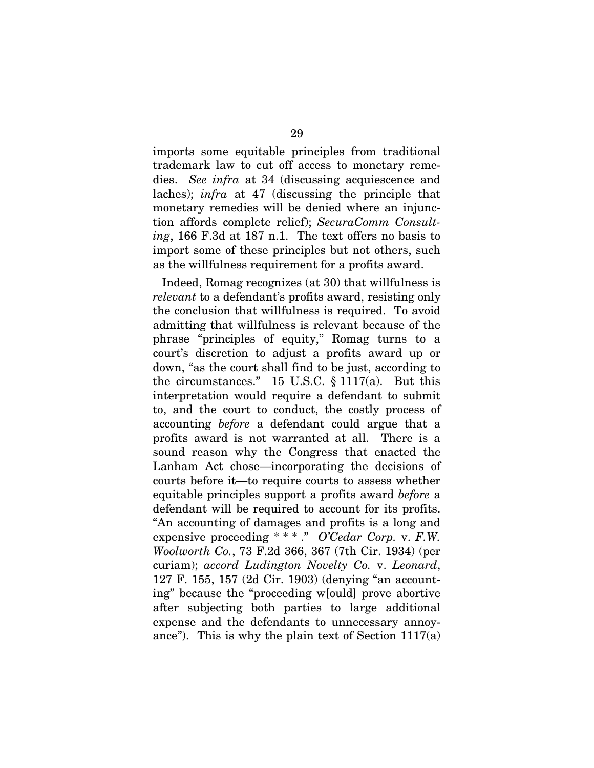imports some equitable principles from traditional trademark law to cut off access to monetary remedies. *See infra* at 34 (discussing acquiescence and laches); *infra* at 47 (discussing the principle that monetary remedies will be denied where an injunction affords complete relief); *SecuraComm Consulting*, 166 F.3d at 187 n.1. The text offers no basis to import some of these principles but not others, such as the willfulness requirement for a profits award.

Indeed, Romag recognizes (at 30) that willfulness is *relevant* to a defendant's profits award, resisting only the conclusion that willfulness is required. To avoid admitting that willfulness is relevant because of the phrase "principles of equity," Romag turns to a court's discretion to adjust a profits award up or down, "as the court shall find to be just, according to the circumstances." 15 U.S.C. § 1117(a). But this interpretation would require a defendant to submit to, and the court to conduct, the costly process of accounting *before* a defendant could argue that a profits award is not warranted at all. There is a sound reason why the Congress that enacted the Lanham Act chose—incorporating the decisions of courts before it—to require courts to assess whether equitable principles support a profits award *before* a defendant will be required to account for its profits. "An accounting of damages and profits is a long and expensive proceeding \* \* \* ." *O'Cedar Corp.* v. *F.W. Woolworth Co.*, 73 F.2d 366, 367 (7th Cir. 1934) (per curiam); *accord Ludington Novelty Co.* v. *Leonard*, 127 F. 155, 157 (2d Cir. 1903) (denying "an accounting" because the "proceeding w[ould] prove abortive after subjecting both parties to large additional expense and the defendants to unnecessary annoyance"). This is why the plain text of Section  $1117(a)$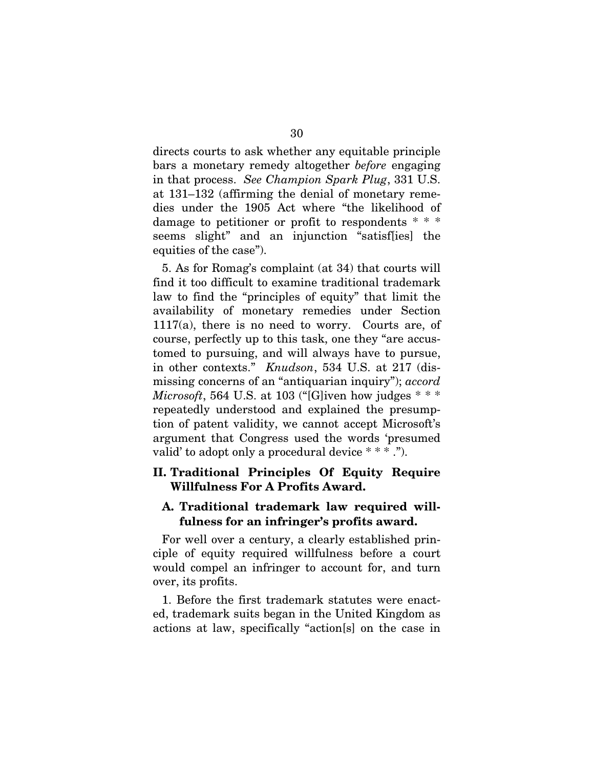directs courts to ask whether any equitable principle bars a monetary remedy altogether *before* engaging in that process. *See Champion Spark Plug*, 331 U.S. at 131–132 (affirming the denial of monetary remedies under the 1905 Act where "the likelihood of damage to petitioner or profit to respondents \* \* \* seems slight" and an injunction "satisf[ies] the equities of the case").

5. As for Romag's complaint (at 34) that courts will find it too difficult to examine traditional trademark law to find the "principles of equity" that limit the availability of monetary remedies under Section 1117(a), there is no need to worry. Courts are, of course, perfectly up to this task, one they "are accustomed to pursuing, and will always have to pursue, in other contexts." *Knudson*, 534 U.S. at 217 (dismissing concerns of an "antiquarian inquiry"); *accord Microsoft*, 564 U.S. at 103 ("[G]iven how judges \* \* \* repeatedly understood and explained the presumption of patent validity, we cannot accept Microsoft's argument that Congress used the words 'presumed valid' to adopt only a procedural device \* \* \* .").

# II. Traditional Principles Of Equity Require Willfulness For A Profits Award.

## A. Traditional trademark law required willfulness for an infringer's profits award.

For well over a century, a clearly established principle of equity required willfulness before a court would compel an infringer to account for, and turn over, its profits.

1. Before the first trademark statutes were enacted, trademark suits began in the United Kingdom as actions at law, specifically "action[s] on the case in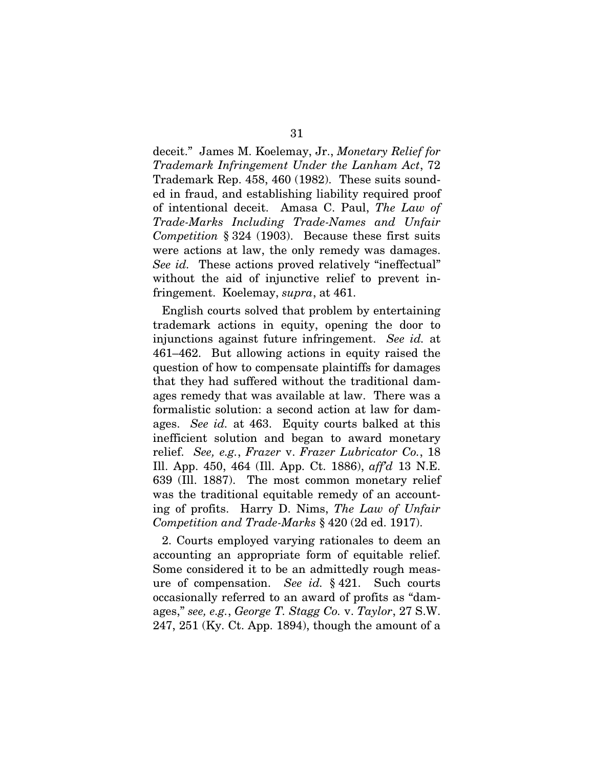deceit." James M. Koelemay, Jr., *Monetary Relief for Trademark Infringement Under the Lanham Act*, 72 Trademark Rep. 458, 460 (1982). These suits sounded in fraud, and establishing liability required proof of intentional deceit. Amasa C. Paul, *The Law of Trade-Marks Including Trade-Names and Unfair Competition* § 324 (1903). Because these first suits were actions at law, the only remedy was damages. *See id.* These actions proved relatively "ineffectual" without the aid of injunctive relief to prevent infringement. Koelemay, *supra*, at 461.

English courts solved that problem by entertaining trademark actions in equity, opening the door to injunctions against future infringement. *See id.* at 461–462. But allowing actions in equity raised the question of how to compensate plaintiffs for damages that they had suffered without the traditional damages remedy that was available at law. There was a formalistic solution: a second action at law for damages. *See id.* at 463. Equity courts balked at this inefficient solution and began to award monetary relief. *See, e.g.*, *Frazer* v. *Frazer Lubricator Co.*, 18 Ill. App. 450, 464 (Ill. App. Ct. 1886), *aff'd* 13 N.E. 639 (Ill. 1887). The most common monetary relief was the traditional equitable remedy of an accounting of profits. Harry D. Nims, *The Law of Unfair Competition and Trade-Marks* § 420 (2d ed. 1917).

2. Courts employed varying rationales to deem an accounting an appropriate form of equitable relief. Some considered it to be an admittedly rough measure of compensation. *See id.* § 421. Such courts occasionally referred to an award of profits as "damages," *see, e.g.*, *George T. Stagg Co.* v. *Taylor*, 27 S.W. 247, 251 (Ky. Ct. App. 1894), though the amount of a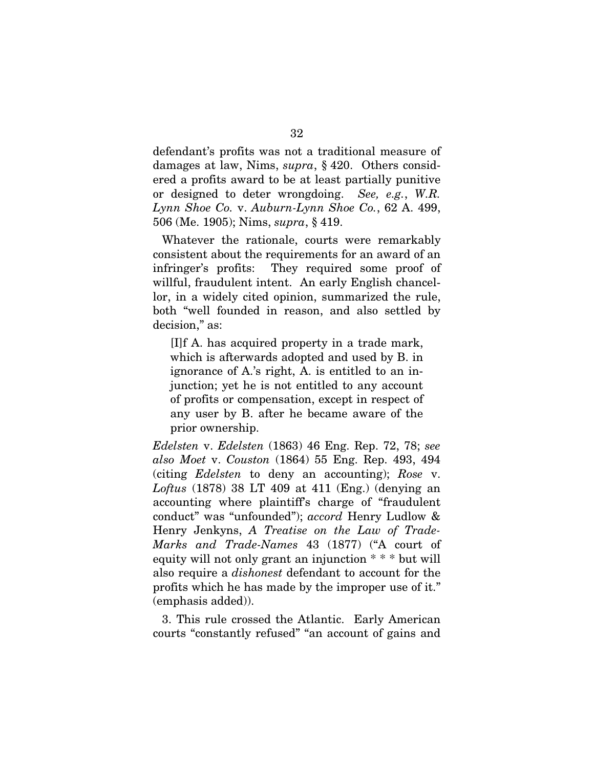defendant's profits was not a traditional measure of damages at law, Nims, *supra*, § 420. Others considered a profits award to be at least partially punitive or designed to deter wrongdoing. *See, e.g.*, *W.R. Lynn Shoe Co.* v. *Auburn-Lynn Shoe Co.*, 62 A. 499, 506 (Me. 1905); Nims, *supra*, § 419.

Whatever the rationale, courts were remarkably consistent about the requirements for an award of an infringer's profits: They required some proof of willful, fraudulent intent. An early English chancellor, in a widely cited opinion, summarized the rule, both "well founded in reason, and also settled by decision," as:

[I]f A. has acquired property in a trade mark, which is afterwards adopted and used by B. in ignorance of A.'s right, A. is entitled to an injunction; yet he is not entitled to any account of profits or compensation, except in respect of any user by B. after he became aware of the prior ownership.

*Edelsten* v. *Edelsten* (1863) 46 Eng. Rep. 72, 78; *see also Moet* v. *Couston* (1864) 55 Eng. Rep. 493, 494 (citing *Edelsten* to deny an accounting); *Rose* v. *Loftus* (1878) 38 LT 409 at 411 (Eng.) (denying an accounting where plaintiff's charge of "fraudulent conduct" was "unfounded"); *accord* Henry Ludlow & Henry Jenkyns, *A Treatise on the Law of Trade-Marks and Trade-Names* 43 (1877) ("A court of equity will not only grant an injunction \* \* \* but will also require a *dishonest* defendant to account for the profits which he has made by the improper use of it." (emphasis added)).

3. This rule crossed the Atlantic. Early American courts "constantly refused" "an account of gains and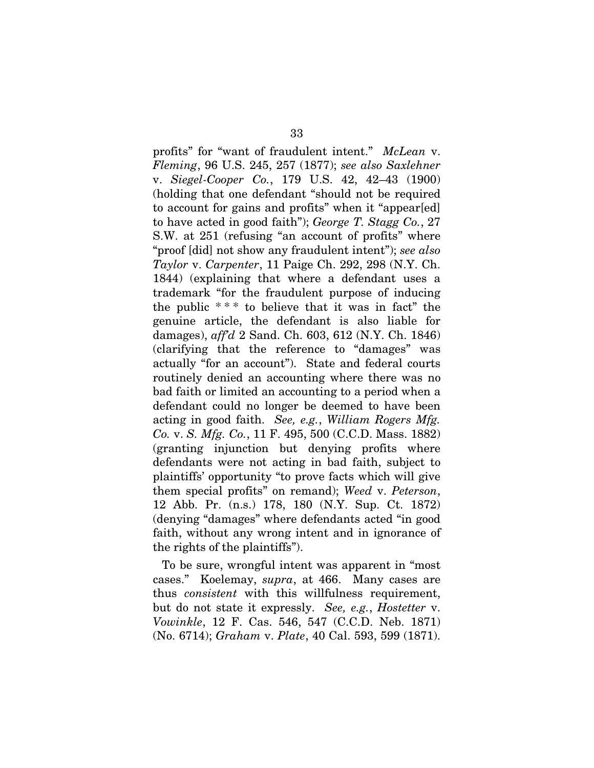profits" for "want of fraudulent intent." *McLean* v. *Fleming*, 96 U.S. 245, 257 (1877); *see also Saxlehner*  v. *Siegel-Cooper Co.*, 179 U.S. 42, 42–43 (1900) (holding that one defendant "should not be required to account for gains and profits" when it "appear[ed] to have acted in good faith"); *George T. Stagg Co.*, 27 S.W. at 251 (refusing "an account of profits" where "proof [did] not show any fraudulent intent"); *see also Taylor* v. *Carpenter*, 11 Paige Ch. 292, 298 (N.Y. Ch. 1844) (explaining that where a defendant uses a trademark "for the fraudulent purpose of inducing the public  $***$  to believe that it was in fact" the genuine article, the defendant is also liable for damages), *aff'd* 2 Sand. Ch. 603, 612 (N.Y. Ch. 1846) (clarifying that the reference to "damages" was actually "for an account"). State and federal courts routinely denied an accounting where there was no bad faith or limited an accounting to a period when a defendant could no longer be deemed to have been acting in good faith. *See, e.g.*, *William Rogers Mfg. Co.* v. *S. Mfg. Co.*, 11 F. 495, 500 (C.C.D. Mass. 1882) (granting injunction but denying profits where defendants were not acting in bad faith, subject to plaintiffs' opportunity "to prove facts which will give them special profits" on remand); *Weed* v. *Peterson*, 12 Abb. Pr. (n.s.) 178, 180 (N.Y. Sup. Ct. 1872) (denying "damages" where defendants acted "in good faith, without any wrong intent and in ignorance of the rights of the plaintiffs").

To be sure, wrongful intent was apparent in "most cases." Koelemay, *supra*, at 466. Many cases are thus *consistent* with this willfulness requirement, but do not state it expressly. *See, e.g.*, *Hostetter* v. *Vowinkle*, 12 F. Cas. 546, 547 (C.C.D. Neb. 1871) (No. 6714); *Graham* v. *Plate*, 40 Cal. 593, 599 (1871).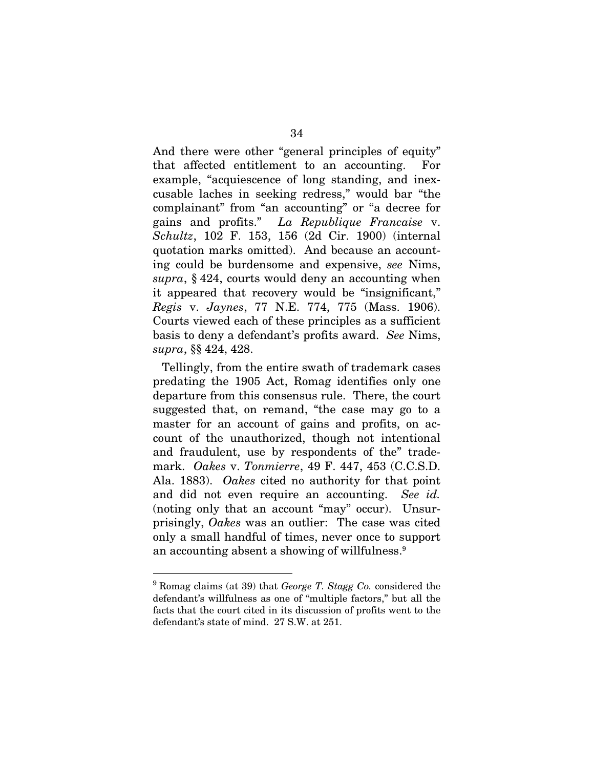And there were other "general principles of equity" that affected entitlement to an accounting. For example, "acquiescence of long standing, and inexcusable laches in seeking redress," would bar "the complainant" from "an accounting" or "a decree for gains and profits." *La Republique Francaise* v. *Schultz*, 102 F. 153, 156 (2d Cir. 1900) (internal quotation marks omitted). And because an accounting could be burdensome and expensive, *see* Nims, *supra*, § 424, courts would deny an accounting when it appeared that recovery would be "insignificant," *Regis* v. *Jaynes*, 77 N.E. 774, 775 (Mass. 1906). Courts viewed each of these principles as a sufficient basis to deny a defendant's profits award. *See* Nims, *supra*, §§ 424, 428.

Tellingly, from the entire swath of trademark cases predating the 1905 Act, Romag identifies only one departure from this consensus rule. There, the court suggested that, on remand, "the case may go to a master for an account of gains and profits, on account of the unauthorized, though not intentional and fraudulent, use by respondents of the" trademark. *Oakes* v. *Tonmierre*, 49 F. 447, 453 (C.C.S.D. Ala. 1883). *Oakes* cited no authority for that point and did not even require an accounting. *See id.* (noting only that an account "may" occur). Unsurprisingly, *Oakes* was an outlier: The case was cited only a small handful of times, never once to support an accounting absent a showing of willfulness.<sup>9</sup>

<sup>9</sup> Romag claims (at 39) that *George T. Stagg Co.* considered the defendant's willfulness as one of "multiple factors," but all the facts that the court cited in its discussion of profits went to the defendant's state of mind. 27 S.W. at 251.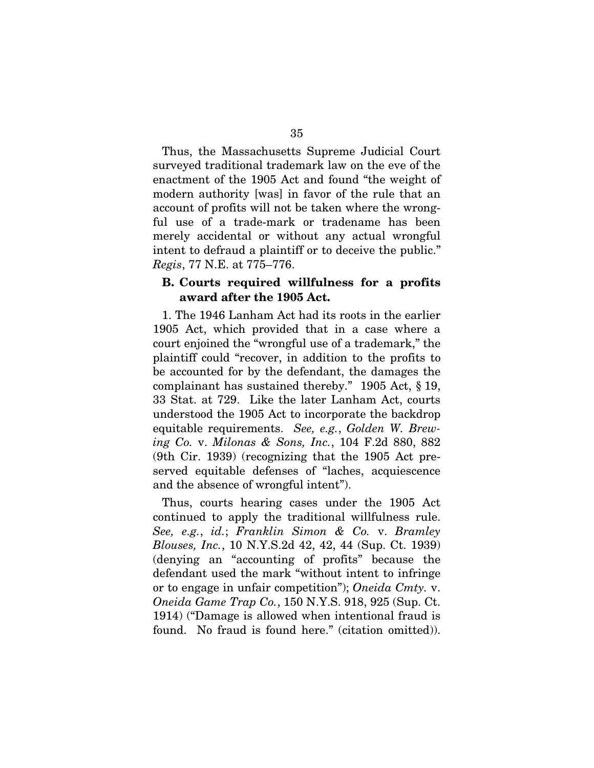Thus, the Massachusetts Supreme Judicial Court surveyed traditional trademark law on the eve of the enactment of the 1905 Act and found "the weight of modern authority [was] in favor of the rule that an account of profits will not be taken where the wrongful use of a trade-mark or tradename has been merely accidental or without any actual wrongful intent to defraud a plaintiff or to deceive the public." *Regis*, 77 N.E. at 775–776.

#### B. Courts required willfulness for a profits award after the 1905 Act.

1. The 1946 Lanham Act had its roots in the earlier 1905 Act, which provided that in a case where a court enjoined the "wrongful use of a trademark," the plaintiff could "recover, in addition to the profits to be accounted for by the defendant, the damages the complainant has sustained thereby." 1905 Act, § 19, 33 Stat. at 729. Like the later Lanham Act, courts understood the 1905 Act to incorporate the backdrop equitable requirements. *See, e.g.*, *Golden W. Brewing Co.* v. *Milonas & Sons, Inc.*, 104 F.2d 880, 882 (9th Cir. 1939) (recognizing that the 1905 Act preserved equitable defenses of "laches, acquiescence and the absence of wrongful intent").

Thus, courts hearing cases under the 1905 Act continued to apply the traditional willfulness rule. *See, e.g.*, *id.*; *Franklin Simon & Co.* v. *Bramley Blouses, Inc.*, 10 N.Y.S.2d 42, 42, 44 (Sup. Ct. 1939) (denying an "accounting of profits" because the defendant used the mark "without intent to infringe or to engage in unfair competition"); *Oneida Cmty.* v. *Oneida Game Trap Co.*, 150 N.Y.S. 918, 925 (Sup. Ct. 1914) ("Damage is allowed when intentional fraud is found. No fraud is found here." (citation omitted)).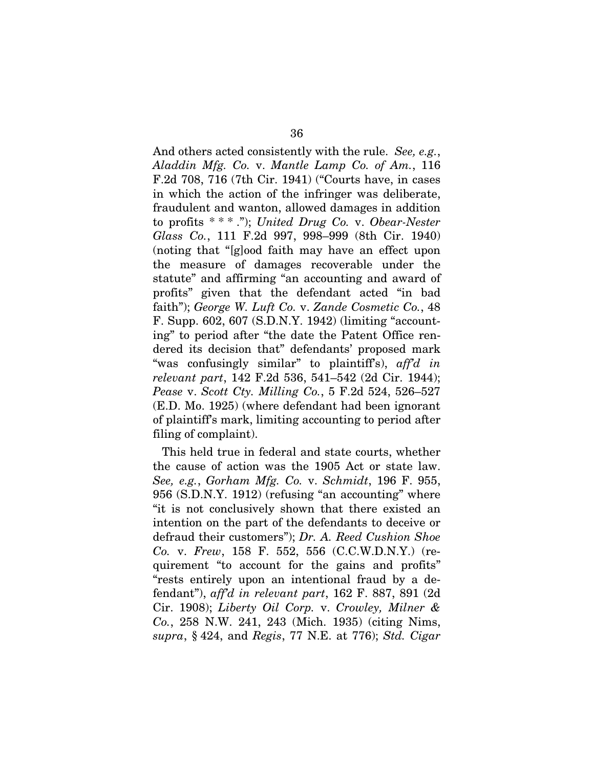And others acted consistently with the rule. *See, e.g.*, *Aladdin Mfg. Co.* v. *Mantle Lamp Co. of Am.*, 116 F.2d 708, 716 (7th Cir. 1941) ("Courts have, in cases in which the action of the infringer was deliberate, fraudulent and wanton, allowed damages in addition to profits \* \* \* ."); *United Drug Co.* v. *Obear-Nester Glass Co.*, 111 F.2d 997, 998–999 (8th Cir. 1940) (noting that "[g]ood faith may have an effect upon the measure of damages recoverable under the statute" and affirming "an accounting and award of profits" given that the defendant acted "in bad faith"); *George W. Luft Co.* v. *Zande Cosmetic Co.*, 48 F. Supp. 602, 607 (S.D.N.Y. 1942) (limiting "accounting" to period after "the date the Patent Office rendered its decision that" defendants' proposed mark "was confusingly similar" to plaintiff's), *aff'd in relevant part*, 142 F.2d 536, 541–542 (2d Cir. 1944); *Pease* v. *Scott Cty. Milling Co.*, 5 F.2d 524, 526–527 (E.D. Mo. 1925) (where defendant had been ignorant of plaintiff's mark, limiting accounting to period after filing of complaint).

This held true in federal and state courts, whether the cause of action was the 1905 Act or state law. *See, e.g.*, *Gorham Mfg. Co.* v. *Schmidt*, 196 F. 955, 956 (S.D.N.Y. 1912) (refusing "an accounting" where "it is not conclusively shown that there existed an intention on the part of the defendants to deceive or defraud their customers"); *Dr. A. Reed Cushion Shoe Co.* v. *Frew*, 158 F. 552, 556 (C.C.W.D.N.Y.) (requirement "to account for the gains and profits" "rests entirely upon an intentional fraud by a defendant"), *aff'd in relevant part*, 162 F. 887, 891 (2d Cir. 1908); *Liberty Oil Corp.* v. *Crowley, Milner & Co.*, 258 N.W. 241, 243 (Mich. 1935) (citing Nims, *supra*, § 424, and *Regis*, 77 N.E. at 776); *Std. Cigar*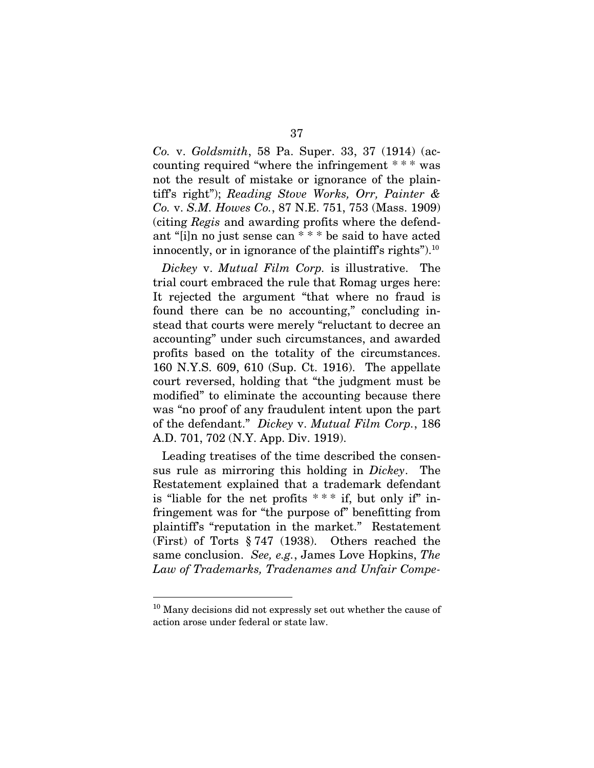*Co.* v. *Goldsmith*, 58 Pa. Super. 33, 37 (1914) (accounting required "where the infringement \* \* \* was not the result of mistake or ignorance of the plaintiff's right"); *Reading Stove Works, Orr, Painter & Co.* v. *S.M. Howes Co.*, 87 N.E. 751, 753 (Mass. 1909) (citing *Regis* and awarding profits where the defendant "[i]n no just sense can \* \* \* be said to have acted innocently, or in ignorance of the plaintiff's rights").<sup>10</sup>

*Dickey* v. *Mutual Film Corp.* is illustrative. The trial court embraced the rule that Romag urges here: It rejected the argument "that where no fraud is found there can be no accounting," concluding instead that courts were merely "reluctant to decree an accounting" under such circumstances, and awarded profits based on the totality of the circumstances. 160 N.Y.S. 609, 610 (Sup. Ct. 1916). The appellate court reversed, holding that "the judgment must be modified" to eliminate the accounting because there was "no proof of any fraudulent intent upon the part of the defendant." *Dickey* v. *Mutual Film Corp.*, 186 A.D. 701, 702 (N.Y. App. Div. 1919).

Leading treatises of the time described the consensus rule as mirroring this holding in *Dickey*. The Restatement explained that a trademark defendant is "liable for the net profits  $***$  if, but only if" infringement was for "the purpose of" benefitting from plaintiff's "reputation in the market." Restatement (First) of Torts § 747 (1938). Others reached the same conclusion. *See, e.g.*, James Love Hopkins, *The Law of Trademarks, Tradenames and Unfair Compe-*

<sup>&</sup>lt;sup>10</sup> Many decisions did not expressly set out whether the cause of action arose under federal or state law.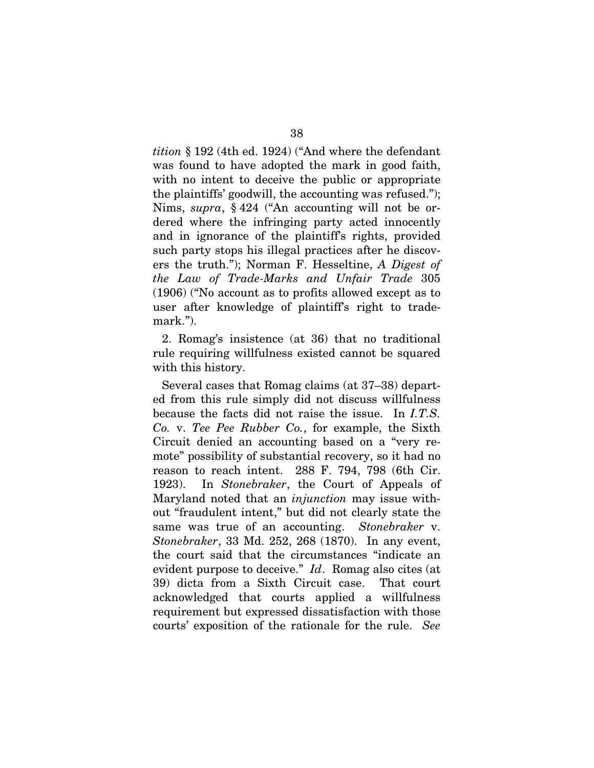*tition* § 192 (4th ed. 1924) ("And where the defendant was found to have adopted the mark in good faith, with no intent to deceive the public or appropriate the plaintiffs' goodwill, the accounting was refused."); Nims, *supra*, § 424 ("An accounting will not be ordered where the infringing party acted innocently and in ignorance of the plaintiff's rights, provided such party stops his illegal practices after he discovers the truth."); Norman F. Hesseltine, *A Digest of the Law of Trade-Marks and Unfair Trade* 305 (1906) ("No account as to profits allowed except as to user after knowledge of plaintiff's right to trademark.").

2. Romag's insistence (at 36) that no traditional rule requiring willfulness existed cannot be squared with this history.

Several cases that Romag claims (at 37–38) departed from this rule simply did not discuss willfulness because the facts did not raise the issue. In *I.T.S. Co.* v. *Tee Pee Rubber Co.*, for example, the Sixth Circuit denied an accounting based on a "very remote" possibility of substantial recovery, so it had no reason to reach intent. 288 F. 794, 798 (6th Cir. 1923). In *Stonebraker*, the Court of Appeals of Maryland noted that an *injunction* may issue without "fraudulent intent," but did not clearly state the same was true of an accounting. *Stonebraker* v. *Stonebraker*, 33 Md. 252, 268 (1870). In any event, the court said that the circumstances "indicate an evident purpose to deceive." *Id*. Romag also cites (at 39) dicta from a Sixth Circuit case. That court acknowledged that courts applied a willfulness requirement but expressed dissatisfaction with those courts' exposition of the rationale for the rule. *See*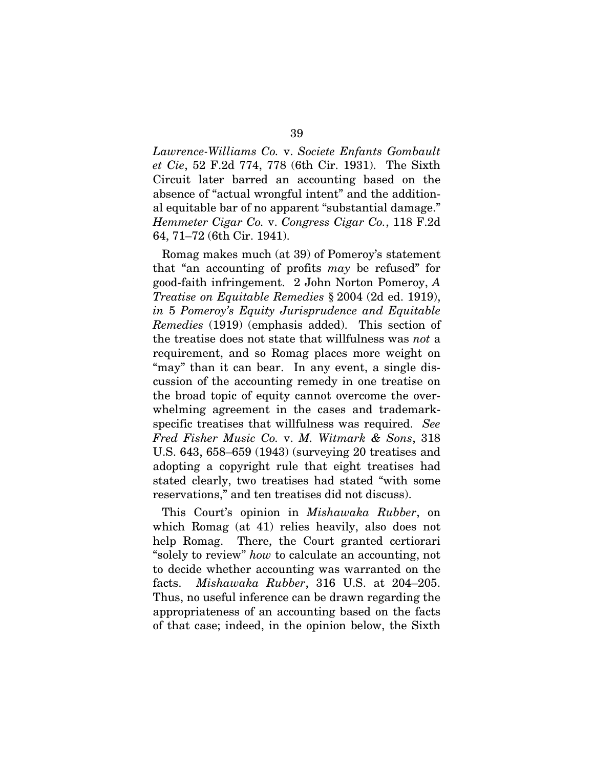*Lawrence-Williams Co.* v. *Societe Enfants Gombault et Cie*, 52 F.2d 774, 778 (6th Cir. 1931). The Sixth Circuit later barred an accounting based on the absence of "actual wrongful intent" and the additional equitable bar of no apparent "substantial damage." *Hemmeter Cigar Co.* v. *Congress Cigar Co.*, 118 F.2d 64, 71–72 (6th Cir. 1941).

Romag makes much (at 39) of Pomeroy's statement that "an accounting of profits *may* be refused" for good-faith infringement. 2 John Norton Pomeroy, *A Treatise on Equitable Remedies* § 2004 (2d ed. 1919), *in* 5 *Pomeroy's Equity Jurisprudence and Equitable Remedies* (1919) (emphasis added). This section of the treatise does not state that willfulness was *not* a requirement, and so Romag places more weight on "may" than it can bear. In any event, a single discussion of the accounting remedy in one treatise on the broad topic of equity cannot overcome the overwhelming agreement in the cases and trademarkspecific treatises that willfulness was required. *See Fred Fisher Music Co.* v. *M. Witmark & Sons*, 318 U.S. 643, 658–659 (1943) (surveying 20 treatises and adopting a copyright rule that eight treatises had stated clearly, two treatises had stated "with some reservations," and ten treatises did not discuss).

This Court's opinion in *Mishawaka Rubber*, on which Romag (at 41) relies heavily, also does not help Romag. There, the Court granted certiorari "solely to review" *how* to calculate an accounting, not to decide whether accounting was warranted on the facts. *Mishawaka Rubber*, 316 U.S. at 204–205. Thus, no useful inference can be drawn regarding the appropriateness of an accounting based on the facts of that case; indeed, in the opinion below, the Sixth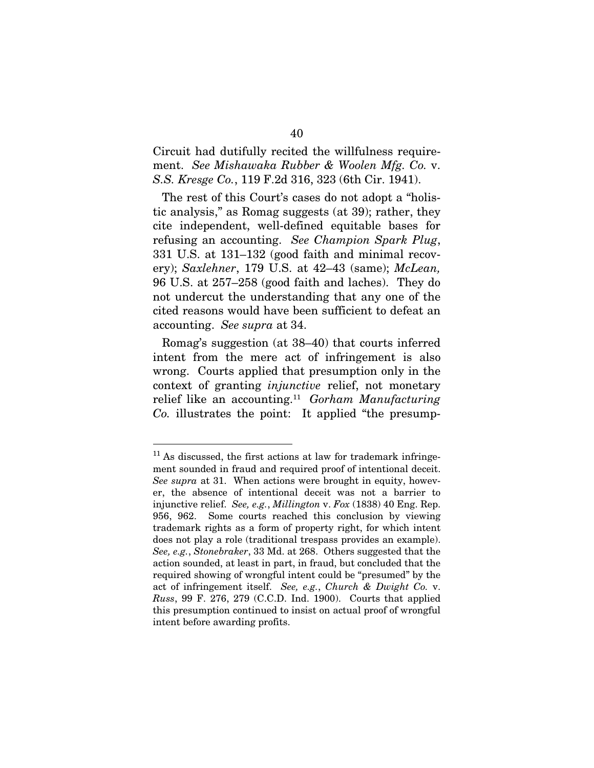Circuit had dutifully recited the willfulness requirement. *See Mishawaka Rubber & Woolen Mfg. Co.* v. *S.S. Kresge Co.*, 119 F.2d 316, 323 (6th Cir. 1941).

The rest of this Court's cases do not adopt a "holistic analysis," as Romag suggests (at 39); rather, they cite independent, well-defined equitable bases for refusing an accounting. *See Champion Spark Plug*, 331 U.S. at 131–132 (good faith and minimal recovery); *Saxlehner*, 179 U.S. at 42–43 (same); *McLean,*  96 U.S. at 257–258 (good faith and laches). They do not undercut the understanding that any one of the cited reasons would have been sufficient to defeat an accounting. *See supra* at 34.

Romag's suggestion (at 38–40) that courts inferred intent from the mere act of infringement is also wrong. Courts applied that presumption only in the context of granting *injunctive* relief, not monetary relief like an accounting.<sup>11</sup> *Gorham Manufacturing Co.* illustrates the point: It applied "the presump-

 $11$  As discussed, the first actions at law for trademark infringement sounded in fraud and required proof of intentional deceit. *See supra* at 31. When actions were brought in equity, however, the absence of intentional deceit was not a barrier to injunctive relief. *See, e.g.*, *Millington* v. *Fox* (1838) 40 Eng. Rep. 956, 962. Some courts reached this conclusion by viewing trademark rights as a form of property right, for which intent does not play a role (traditional trespass provides an example). *See, e.g.*, *Stonebraker*, 33 Md. at 268. Others suggested that the action sounded, at least in part, in fraud, but concluded that the required showing of wrongful intent could be "presumed" by the act of infringement itself. *See, e.g.*, *Church & Dwight Co.* v. *Russ*, 99 F. 276, 279 (C.C.D. Ind. 1900). Courts that applied this presumption continued to insist on actual proof of wrongful intent before awarding profits.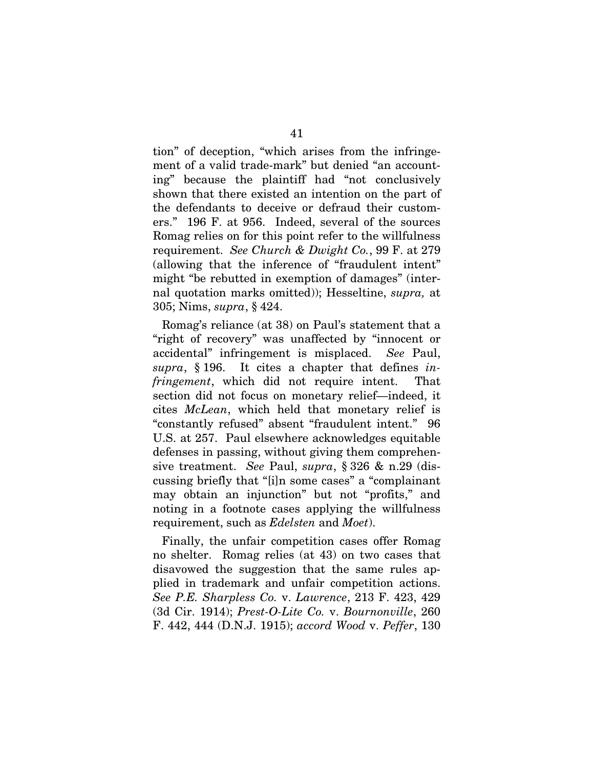tion" of deception, "which arises from the infringement of a valid trade-mark" but denied "an accounting" because the plaintiff had "not conclusively shown that there existed an intention on the part of the defendants to deceive or defraud their customers." 196 F. at 956. Indeed, several of the sources Romag relies on for this point refer to the willfulness requirement. *See Church & Dwight Co.*, 99 F. at 279 (allowing that the inference of "fraudulent intent" might "be rebutted in exemption of damages" (internal quotation marks omitted)); Hesseltine, *supra,* at 305; Nims, *supra*, § 424.

Romag's reliance (at 38) on Paul's statement that a "right of recovery" was unaffected by "innocent or accidental" infringement is misplaced. *See* Paul, *supra*, § 196. It cites a chapter that defines *infringement*, which did not require intent. That section did not focus on monetary relief—indeed, it cites *McLean*, which held that monetary relief is "constantly refused" absent "fraudulent intent." 96 U.S. at 257. Paul elsewhere acknowledges equitable defenses in passing, without giving them comprehensive treatment. *See* Paul, *supra*, § 326 & n.29 (discussing briefly that "[i]n some cases" a "complainant may obtain an injunction" but not "profits," and noting in a footnote cases applying the willfulness requirement, such as *Edelsten* and *Moet*).

Finally, the unfair competition cases offer Romag no shelter. Romag relies (at 43) on two cases that disavowed the suggestion that the same rules applied in trademark and unfair competition actions. *See P.E. Sharpless Co.* v. *Lawrence*, 213 F. 423, 429 (3d Cir. 1914); *Prest-O-Lite Co.* v. *Bournonville*, 260 F. 442, 444 (D.N.J. 1915); *accord Wood* v. *Peffer*, 130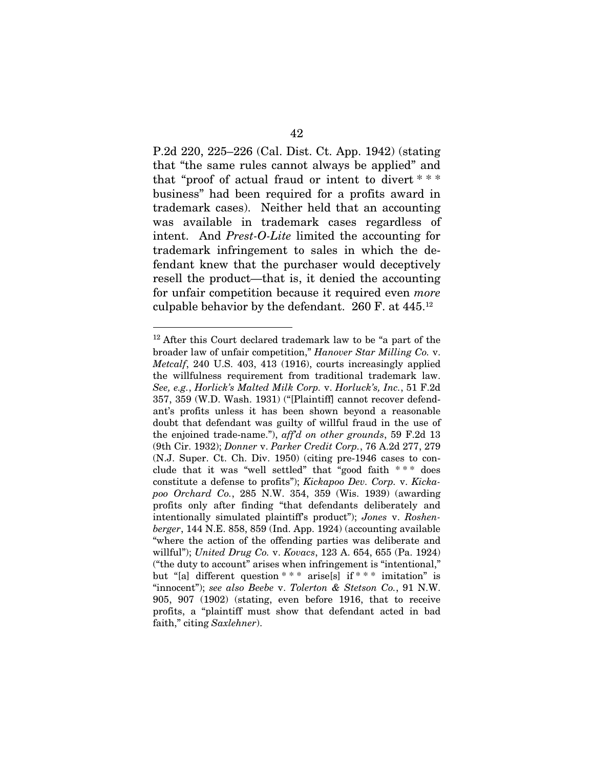P.2d 220, 225–226 (Cal. Dist. Ct. App. 1942) (stating that "the same rules cannot always be applied" and that "proof of actual fraud or intent to divert \* \* \* business" had been required for a profits award in trademark cases). Neither held that an accounting was available in trademark cases regardless of intent. And *Prest-O-Lite* limited the accounting for trademark infringement to sales in which the defendant knew that the purchaser would deceptively resell the product—that is, it denied the accounting for unfair competition because it required even *more* culpable behavior by the defendant. 260 F. at 445.<sup>12</sup>

<sup>&</sup>lt;sup>12</sup> After this Court declared trademark law to be "a part of the broader law of unfair competition," *Hanover Star Milling Co.* v. *Metcalf*, 240 U.S. 403, 413 (1916), courts increasingly applied the willfulness requirement from traditional trademark law. *See, e.g.*, *Horlick's Malted Milk Corp.* v. *Horluck's, Inc.*, 51 F.2d 357, 359 (W.D. Wash. 1931) ("[Plaintiff] cannot recover defendant's profits unless it has been shown beyond a reasonable doubt that defendant was guilty of willful fraud in the use of the enjoined trade-name."), *aff'd on other grounds*, 59 F.2d 13 (9th Cir. 1932); *Donner* v. *Parker Credit Corp.*, 76 A.2d 277, 279 (N.J. Super. Ct. Ch. Div. 1950) (citing pre-1946 cases to conclude that it was "well settled" that "good faith \* \* \* does constitute a defense to profits"); *Kickapoo Dev. Corp.* v. *Kickapoo Orchard Co.*, 285 N.W. 354, 359 (Wis. 1939) (awarding profits only after finding "that defendants deliberately and intentionally simulated plaintiff's product"); *Jones* v. *Roshenberger*, 144 N.E. 858, 859 (Ind. App. 1924) (accounting available "where the action of the offending parties was deliberate and willful"); *United Drug Co.* v. *Kovacs*, 123 A. 654, 655 (Pa. 1924) ("the duty to account" arises when infringement is "intentional," but "[a] different question \* \* \* arise[s] if \* \* \* imitation" is "innocent"); *see also Beebe* v. *Tolerton & Stetson Co.*, 91 N.W. 905, 907 (1902) (stating, even before 1916, that to receive profits, a "plaintiff must show that defendant acted in bad faith," citing *Saxlehner*).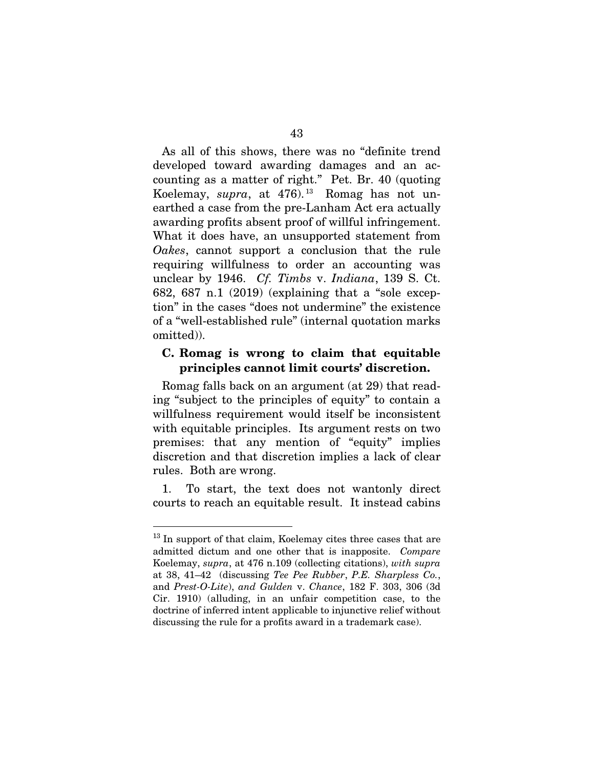As all of this shows, there was no "definite trend developed toward awarding damages and an accounting as a matter of right." Pet. Br. 40 (quoting Koelemay, *supra*, at 476). <sup>13</sup> Romag has not unearthed a case from the pre-Lanham Act era actually awarding profits absent proof of willful infringement. What it does have, an unsupported statement from *Oakes*, cannot support a conclusion that the rule requiring willfulness to order an accounting was unclear by 1946. *Cf. Timbs* v. *Indiana*, 139 S. Ct. 682, 687 n.1 (2019) (explaining that a "sole exception" in the cases "does not undermine" the existence of a "well-established rule" (internal quotation marks omitted)).

## C. Romag is wrong to claim that equitable principles cannot limit courts' discretion.

Romag falls back on an argument (at 29) that reading "subject to the principles of equity" to contain a willfulness requirement would itself be inconsistent with equitable principles. Its argument rests on two premises: that any mention of "equity" implies discretion and that discretion implies a lack of clear rules. Both are wrong.

1. To start, the text does not wantonly direct courts to reach an equitable result. It instead cabins

<sup>&</sup>lt;sup>13</sup> In support of that claim, Koelemay cites three cases that are admitted dictum and one other that is inapposite. *Compare* Koelemay, *supra*, at 476 n.109 (collecting citations), *with supra* at 38, 41–42 (discussing *Tee Pee Rubber*, *P.E. Sharpless Co.*, and *Prest-O-Lite*), *and Gulden* v. *Chance*, 182 F. 303, 306 (3d Cir. 1910) (alluding, in an unfair competition case, to the doctrine of inferred intent applicable to injunctive relief without discussing the rule for a profits award in a trademark case).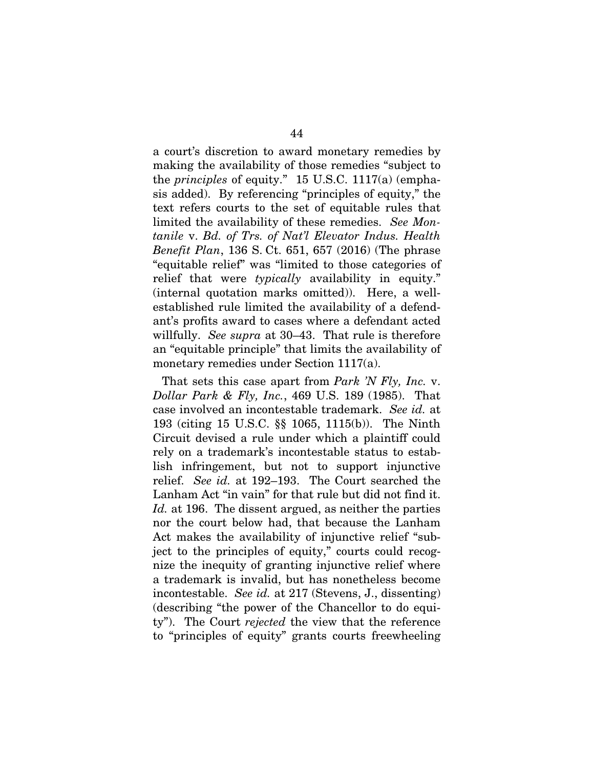a court's discretion to award monetary remedies by making the availability of those remedies "subject to the *principles* of equity." 15 U.S.C. 1117(a) (emphasis added). By referencing "principles of equity," the text refers courts to the set of equitable rules that limited the availability of these remedies. *See Montanile* v. *Bd. of Trs. of Nat'l Elevator Indus. Health Benefit Plan*, 136 S. Ct. 651, 657 (2016) (The phrase "equitable relief" was "limited to those categories of relief that were *typically* availability in equity." (internal quotation marks omitted)). Here, a wellestablished rule limited the availability of a defendant's profits award to cases where a defendant acted willfully. *See supra* at 30–43. That rule is therefore an "equitable principle" that limits the availability of monetary remedies under Section 1117(a).

That sets this case apart from *Park 'N Fly, Inc.* v. *Dollar Park & Fly, Inc.*, 469 U.S. 189 (1985). That case involved an incontestable trademark. *See id.* at 193 (citing 15 U.S.C. §§ 1065, 1115(b)). The Ninth Circuit devised a rule under which a plaintiff could rely on a trademark's incontestable status to establish infringement, but not to support injunctive relief. *See id.* at 192–193. The Court searched the Lanham Act "in vain" for that rule but did not find it. *Id.* at 196. The dissent argued, as neither the parties nor the court below had, that because the Lanham Act makes the availability of injunctive relief "subject to the principles of equity," courts could recognize the inequity of granting injunctive relief where a trademark is invalid, but has nonetheless become incontestable. *See id.* at 217 (Stevens, J., dissenting) (describing "the power of the Chancellor to do equity"). The Court *rejected* the view that the reference to "principles of equity" grants courts freewheeling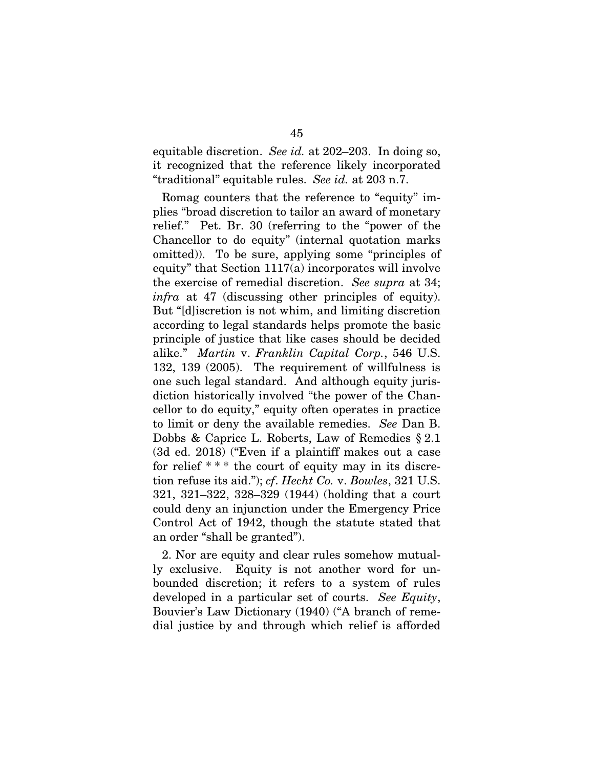equitable discretion. *See id.* at 202–203. In doing so, it recognized that the reference likely incorporated "traditional" equitable rules. *See id.* at 203 n.7.

Romag counters that the reference to "equity" implies "broad discretion to tailor an award of monetary relief." Pet. Br. 30 (referring to the "power of the Chancellor to do equity" (internal quotation marks omitted)). To be sure, applying some "principles of equity" that Section 1117(a) incorporates will involve the exercise of remedial discretion. *See supra* at 34; *infra* at 47 (discussing other principles of equity). But "[d]iscretion is not whim, and limiting discretion according to legal standards helps promote the basic principle of justice that like cases should be decided alike." *Martin* v. *Franklin Capital Corp.*, 546 U.S. 132, 139 (2005). The requirement of willfulness is one such legal standard. And although equity jurisdiction historically involved "the power of the Chancellor to do equity," equity often operates in practice to limit or deny the available remedies. *See* Dan B. Dobbs & Caprice L. Roberts, Law of Remedies § 2.1 (3d ed. 2018) ("Even if a plaintiff makes out a case for relief  $***$  the court of equity may in its discretion refuse its aid."); *cf*. *Hecht Co.* v. *Bowles*, 321 U.S. 321, 321–322, 328–329 (1944) (holding that a court could deny an injunction under the Emergency Price Control Act of 1942, though the statute stated that an order "shall be granted").

2. Nor are equity and clear rules somehow mutually exclusive. Equity is not another word for unbounded discretion; it refers to a system of rules developed in a particular set of courts. *See Equity*, Bouvier's Law Dictionary (1940) ("A branch of remedial justice by and through which relief is afforded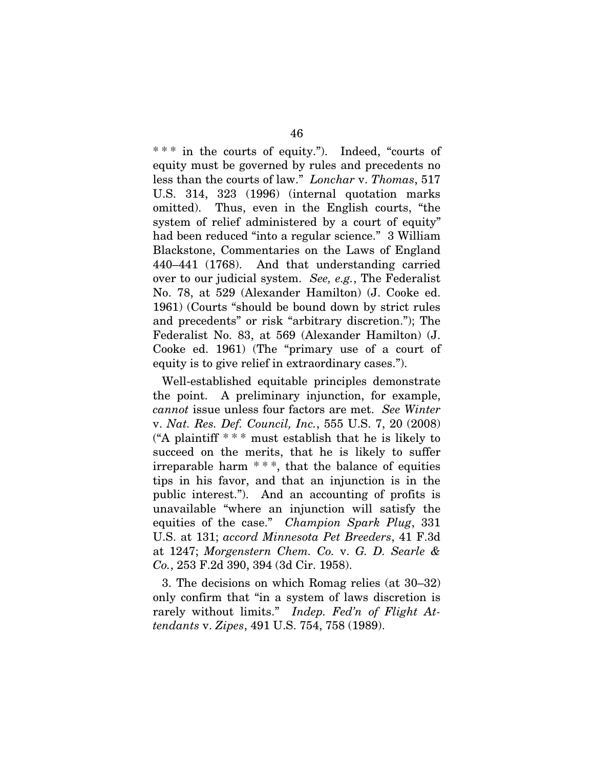\* \* \* in the courts of equity."). Indeed, "courts of equity must be governed by rules and precedents no less than the courts of law." *Lonchar* v. *Thomas*, 517 U.S. 314, 323 (1996) (internal quotation marks omitted). Thus, even in the English courts, "the system of relief administered by a court of equity" had been reduced "into a regular science." 3 William Blackstone, Commentaries on the Laws of England 440–441 (1768). And that understanding carried over to our judicial system. *See, e.g.*, The Federalist No. 78, at 529 (Alexander Hamilton) (J. Cooke ed. 1961) (Courts "should be bound down by strict rules and precedents" or risk "arbitrary discretion."); The Federalist No. 83, at 569 (Alexander Hamilton) (J. Cooke ed. 1961) (The "primary use of a court of equity is to give relief in extraordinary cases.").

Well-established equitable principles demonstrate the point. A preliminary injunction, for example, *cannot* issue unless four factors are met. *See Winter* v. *Nat. Res. Def. Council, Inc.*, 555 U.S. 7, 20 (2008) ("A plaintiff  $***$  must establish that he is likely to succeed on the merits, that he is likely to suffer irreparable harm  $***$ , that the balance of equities tips in his favor, and that an injunction is in the public interest."). And an accounting of profits is unavailable "where an injunction will satisfy the equities of the case." *Champion Spark Plug*, 331 U.S. at 131; *accord Minnesota Pet Breeders*, 41 F.3d at 1247; *Morgenstern Chem. Co.* v. *G. D. Searle & Co.*, 253 F.2d 390, 394 (3d Cir. 1958).

3. The decisions on which Romag relies (at 30–32) only confirm that "in a system of laws discretion is rarely without limits." *Indep. Fed'n of Flight Attendants* v. *Zipes*, 491 U.S. 754, 758 (1989).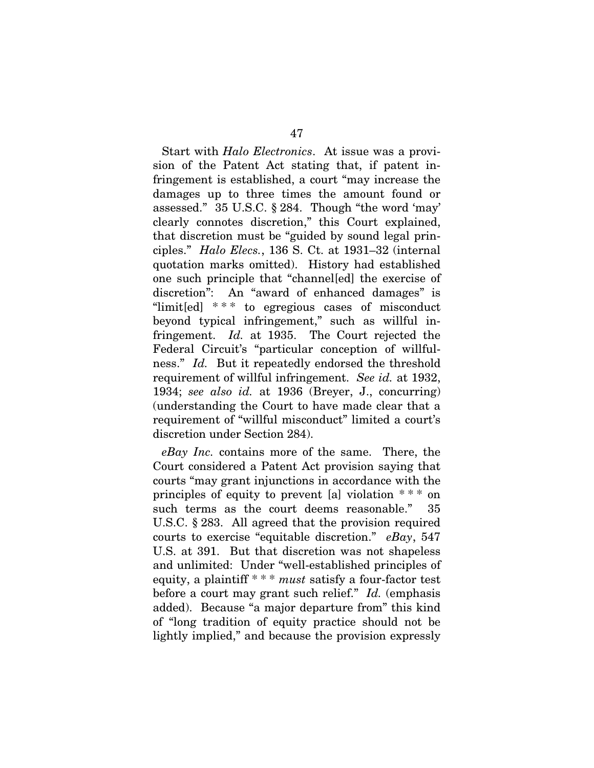Start with *Halo Electronics*. At issue was a provision of the Patent Act stating that, if patent infringement is established, a court "may increase the damages up to three times the amount found or assessed." 35 U.S.C. § 284. Though "the word 'may' clearly connotes discretion," this Court explained, that discretion must be "guided by sound legal principles." *Halo Elecs.*, 136 S. Ct. at 1931–32 (internal quotation marks omitted). History had established one such principle that "channel[ed] the exercise of discretion": An "award of enhanced damages" is "limit[ed]  $***$  to egregious cases of misconduct beyond typical infringement," such as willful infringement. *Id.* at 1935. The Court rejected the Federal Circuit's "particular conception of willfulness." *Id.* But it repeatedly endorsed the threshold requirement of willful infringement. *See id.* at 1932, 1934; *see also id.* at 1936 (Breyer, J., concurring) (understanding the Court to have made clear that a requirement of "willful misconduct" limited a court's discretion under Section 284).

*eBay Inc.* contains more of the same. There, the Court considered a Patent Act provision saying that courts "may grant injunctions in accordance with the principles of equity to prevent [a] violation \* \* \* on such terms as the court deems reasonable." 35 U.S.C. § 283. All agreed that the provision required courts to exercise "equitable discretion." *eBay*, 547 U.S. at 391. But that discretion was not shapeless and unlimited: Under "well-established principles of equity, a plaintiff \* \* \* *must* satisfy a four-factor test before a court may grant such relief." *Id.* (emphasis added). Because "a major departure from" this kind of "long tradition of equity practice should not be lightly implied," and because the provision expressly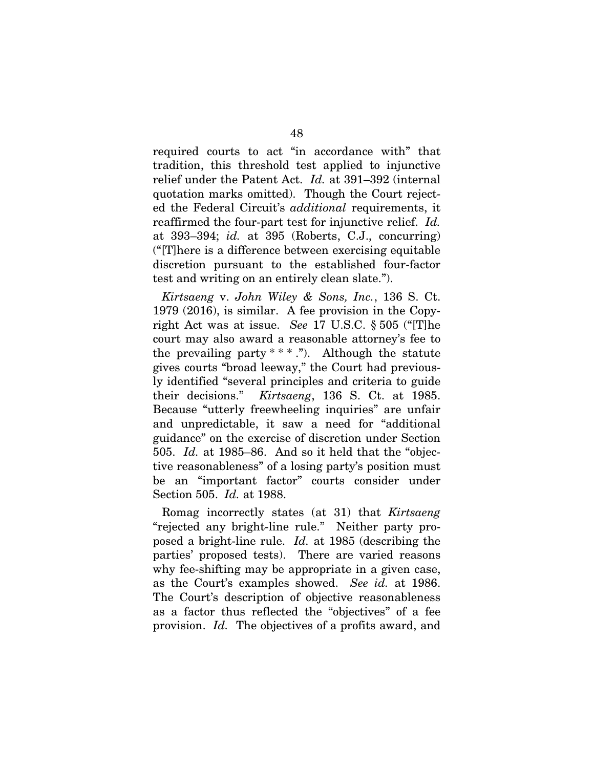required courts to act "in accordance with" that tradition, this threshold test applied to injunctive relief under the Patent Act. *Id.* at 391–392 (internal quotation marks omitted). Though the Court rejected the Federal Circuit's *additional* requirements, it reaffirmed the four-part test for injunctive relief. *Id.* at 393–394; *id.* at 395 (Roberts, C.J., concurring) ("[T]here is a difference between exercising equitable discretion pursuant to the established four-factor test and writing on an entirely clean slate.").

*Kirtsaeng* v. *John Wiley & Sons, Inc.*, 136 S. Ct. 1979 (2016), is similar. A fee provision in the Copyright Act was at issue. *See* 17 U.S.C. § 505 ("[T]he court may also award a reasonable attorney's fee to the prevailing party  $**$ ."). Although the statute gives courts "broad leeway," the Court had previously identified "several principles and criteria to guide their decisions." *Kirtsaeng*, 136 S. Ct. at 1985. Because "utterly freewheeling inquiries" are unfair and unpredictable, it saw a need for "additional guidance" on the exercise of discretion under Section 505. *Id.* at 1985–86. And so it held that the "objective reasonableness" of a losing party's position must be an "important factor" courts consider under Section 505. *Id.* at 1988.

Romag incorrectly states (at 31) that *Kirtsaeng* "rejected any bright-line rule." Neither party proposed a bright-line rule. *Id.* at 1985 (describing the parties' proposed tests). There are varied reasons why fee-shifting may be appropriate in a given case, as the Court's examples showed. *See id.* at 1986. The Court's description of objective reasonableness as a factor thus reflected the "objectives" of a fee provision. *Id.* The objectives of a profits award, and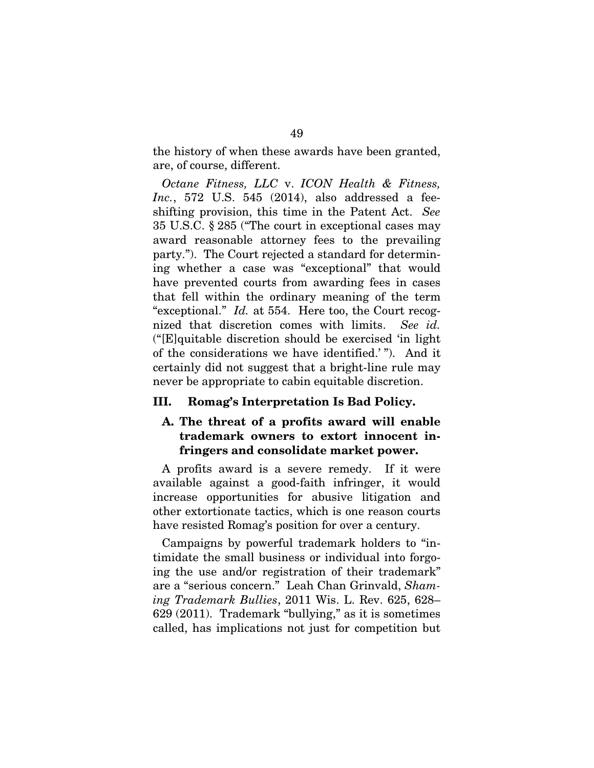the history of when these awards have been granted, are, of course, different.

*Octane Fitness, LLC* v. *ICON Health & Fitness, Inc.*, 572 U.S. 545 (2014), also addressed a feeshifting provision, this time in the Patent Act. *See*  35 U.S.C. § 285 ("The court in exceptional cases may award reasonable attorney fees to the prevailing party."). The Court rejected a standard for determining whether a case was "exceptional" that would have prevented courts from awarding fees in cases that fell within the ordinary meaning of the term "exceptional." *Id.* at 554. Here too, the Court recognized that discretion comes with limits. *See id.* ("[E]quitable discretion should be exercised 'in light of the considerations we have identified.' "). And it certainly did not suggest that a bright-line rule may never be appropriate to cabin equitable discretion.

#### III. Romag's Interpretation Is Bad Policy.

# A. The threat of a profits award will enable trademark owners to extort innocent infringers and consolidate market power.

A profits award is a severe remedy. If it were available against a good-faith infringer, it would increase opportunities for abusive litigation and other extortionate tactics, which is one reason courts have resisted Romag's position for over a century.

Campaigns by powerful trademark holders to "intimidate the small business or individual into forgoing the use and/or registration of their trademark" are a "serious concern." Leah Chan Grinvald, *Shaming Trademark Bullies*, 2011 Wis. L. Rev. 625, 628– 629 (2011). Trademark "bullying," as it is sometimes called, has implications not just for competition but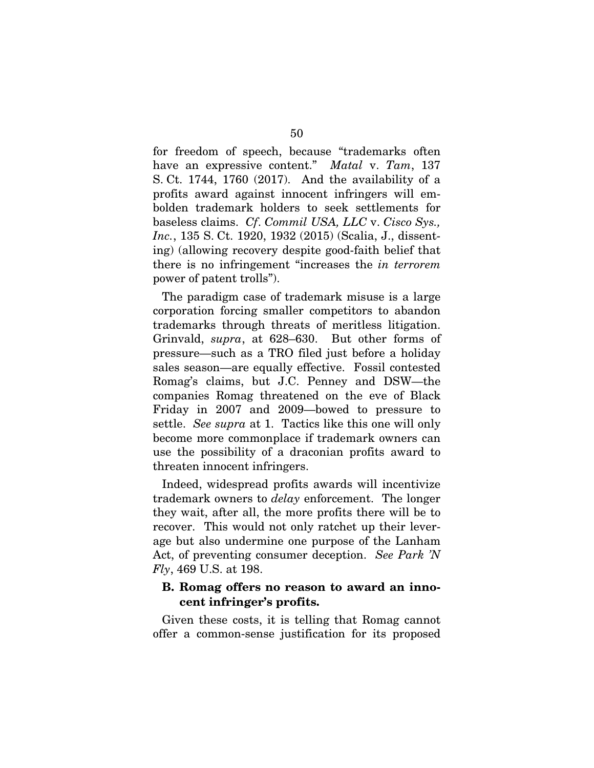for freedom of speech, because "trademarks often have an expressive content." *Matal* v. *Tam*, 137 S. Ct. 1744, 1760 (2017). And the availability of a profits award against innocent infringers will embolden trademark holders to seek settlements for baseless claims. *Cf*. *Commil USA, LLC* v. *Cisco Sys., Inc.*, 135 S. Ct. 1920, 1932 (2015) (Scalia, J., dissenting) (allowing recovery despite good-faith belief that there is no infringement "increases the *in terrorem* power of patent trolls").

The paradigm case of trademark misuse is a large corporation forcing smaller competitors to abandon trademarks through threats of meritless litigation. Grinvald, *supra*, at 628–630. But other forms of pressure—such as a TRO filed just before a holiday sales season—are equally effective. Fossil contested Romag's claims, but J.C. Penney and DSW—the companies Romag threatened on the eve of Black Friday in 2007 and 2009—bowed to pressure to settle. *See supra* at 1. Tactics like this one will only become more commonplace if trademark owners can use the possibility of a draconian profits award to threaten innocent infringers.

Indeed, widespread profits awards will incentivize trademark owners to *delay* enforcement. The longer they wait, after all, the more profits there will be to recover. This would not only ratchet up their leverage but also undermine one purpose of the Lanham Act, of preventing consumer deception. *See Park 'N Fly*, 469 U.S. at 198.

## B. Romag offers no reason to award an innocent infringer's profits.

Given these costs, it is telling that Romag cannot offer a common-sense justification for its proposed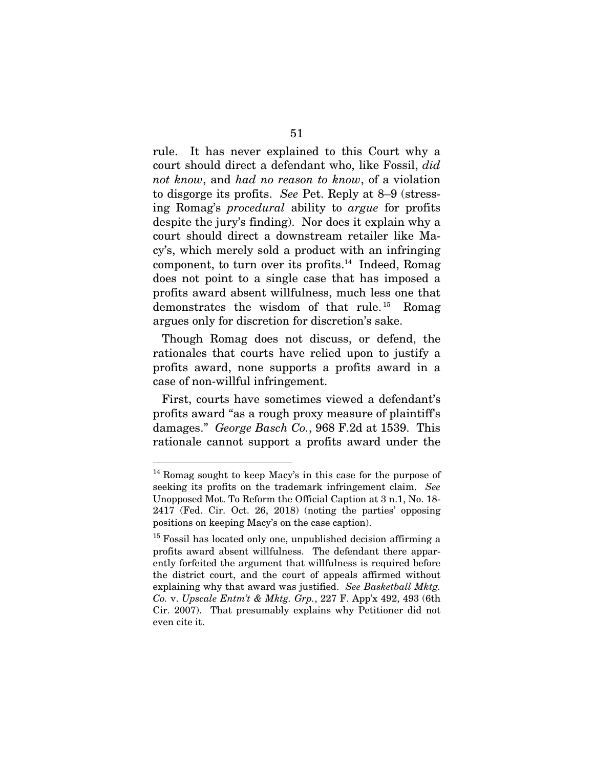rule. It has never explained to this Court why a court should direct a defendant who, like Fossil, *did not know*, and *had no reason to know*, of a violation to disgorge its profits. *See* Pet. Reply at 8–9 (stressing Romag's *procedural* ability to *argue* for profits despite the jury's finding). Nor does it explain why a court should direct a downstream retailer like Macy's, which merely sold a product with an infringing component, to turn over its profits.<sup>14</sup> Indeed, Romag does not point to a single case that has imposed a profits award absent willfulness, much less one that demonstrates the wisdom of that rule. <sup>15</sup> Romag argues only for discretion for discretion's sake.

Though Romag does not discuss, or defend, the rationales that courts have relied upon to justify a profits award, none supports a profits award in a case of non-willful infringement.

First, courts have sometimes viewed a defendant's profits award "as a rough proxy measure of plaintiff's damages." *George Basch Co.*, 968 F.2d at 1539. This rationale cannot support a profits award under the

<sup>&</sup>lt;sup>14</sup> Romag sought to keep Macy's in this case for the purpose of seeking its profits on the trademark infringement claim. *See*  Unopposed Mot. To Reform the Official Caption at 3 n.1, No. 18- 2417 (Fed. Cir. Oct. 26, 2018) (noting the parties' opposing positions on keeping Macy's on the case caption).

<sup>&</sup>lt;sup>15</sup> Fossil has located only one, unpublished decision affirming a profits award absent willfulness. The defendant there apparently forfeited the argument that willfulness is required before the district court, and the court of appeals affirmed without explaining why that award was justified. *See Basketball Mktg. Co.* v. *Upscale Entm't & Mktg. Grp.*, 227 F. App'x 492, 493 (6th Cir. 2007). That presumably explains why Petitioner did not even cite it.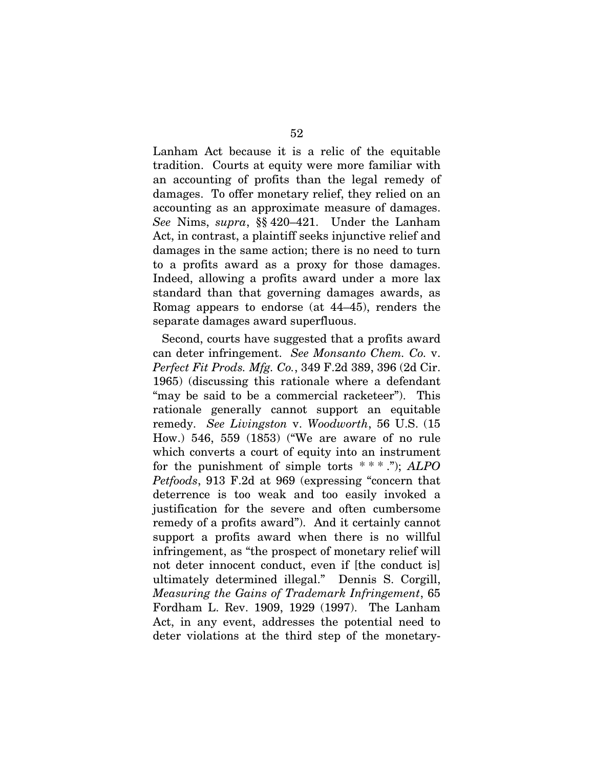Lanham Act because it is a relic of the equitable tradition. Courts at equity were more familiar with an accounting of profits than the legal remedy of damages. To offer monetary relief, they relied on an accounting as an approximate measure of damages. *See* Nims, *supra*, §§ 420–421. Under the Lanham Act, in contrast, a plaintiff seeks injunctive relief and damages in the same action; there is no need to turn to a profits award as a proxy for those damages. Indeed, allowing a profits award under a more lax standard than that governing damages awards, as Romag appears to endorse (at 44–45), renders the separate damages award superfluous.

Second, courts have suggested that a profits award can deter infringement. *See Monsanto Chem. Co.* v. *Perfect Fit Prods. Mfg. Co.*, 349 F.2d 389, 396 (2d Cir. 1965) (discussing this rationale where a defendant "may be said to be a commercial racketeer"). This rationale generally cannot support an equitable remedy. *See Livingston* v. *Woodworth*, 56 U.S. (15 How.) 546, 559 (1853) ("We are aware of no rule which converts a court of equity into an instrument for the punishment of simple torts \* \* \* ."); *ALPO Petfoods*, 913 F.2d at 969 (expressing "concern that deterrence is too weak and too easily invoked a justification for the severe and often cumbersome remedy of a profits award"). And it certainly cannot support a profits award when there is no willful infringement, as "the prospect of monetary relief will not deter innocent conduct, even if [the conduct is] ultimately determined illegal." Dennis S. Corgill, *Measuring the Gains of Trademark Infringement*, 65 Fordham L. Rev. 1909, 1929 (1997). The Lanham Act, in any event, addresses the potential need to deter violations at the third step of the monetary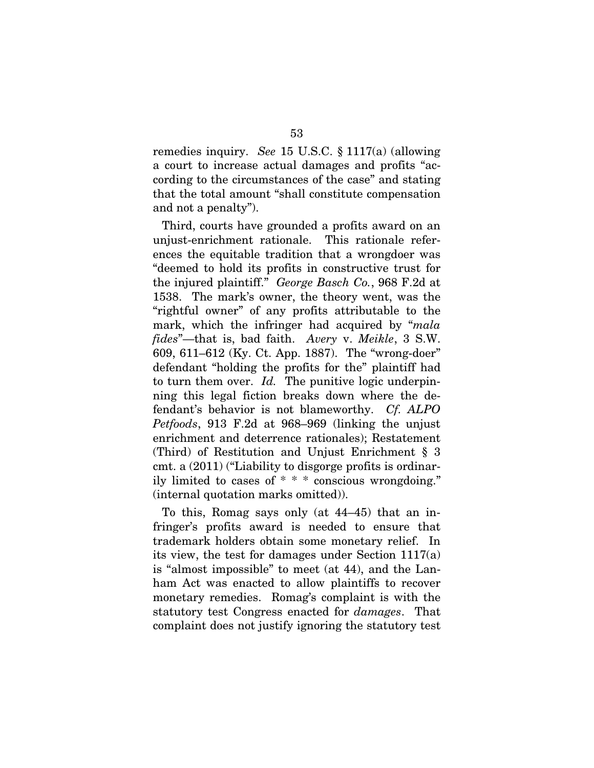remedies inquiry. *See* 15 U.S.C. § 1117(a) (allowing a court to increase actual damages and profits "according to the circumstances of the case" and stating that the total amount "shall constitute compensation and not a penalty").

Third, courts have grounded a profits award on an unjust-enrichment rationale. This rationale references the equitable tradition that a wrongdoer was "deemed to hold its profits in constructive trust for the injured plaintiff." *George Basch Co.*, 968 F.2d at 1538. The mark's owner, the theory went, was the "rightful owner" of any profits attributable to the mark, which the infringer had acquired by "*mala fides*"—that is, bad faith. *Avery* v. *Meikle*, 3 S.W. 609, 611–612 (Ky. Ct. App. 1887). The "wrong-doer" defendant "holding the profits for the" plaintiff had to turn them over. *Id.* The punitive logic underpinning this legal fiction breaks down where the defendant's behavior is not blameworthy. *Cf. ALPO Petfoods*, 913 F.2d at 968–969 (linking the unjust enrichment and deterrence rationales); Restatement (Third) of Restitution and Unjust Enrichment § 3 cmt. a (2011) ("Liability to disgorge profits is ordinarily limited to cases of \* \* \* conscious wrongdoing." (internal quotation marks omitted)).

To this, Romag says only (at 44–45) that an infringer's profits award is needed to ensure that trademark holders obtain some monetary relief. In its view, the test for damages under Section 1117(a) is "almost impossible" to meet (at 44), and the Lanham Act was enacted to allow plaintiffs to recover monetary remedies. Romag's complaint is with the statutory test Congress enacted for *damages*. That complaint does not justify ignoring the statutory test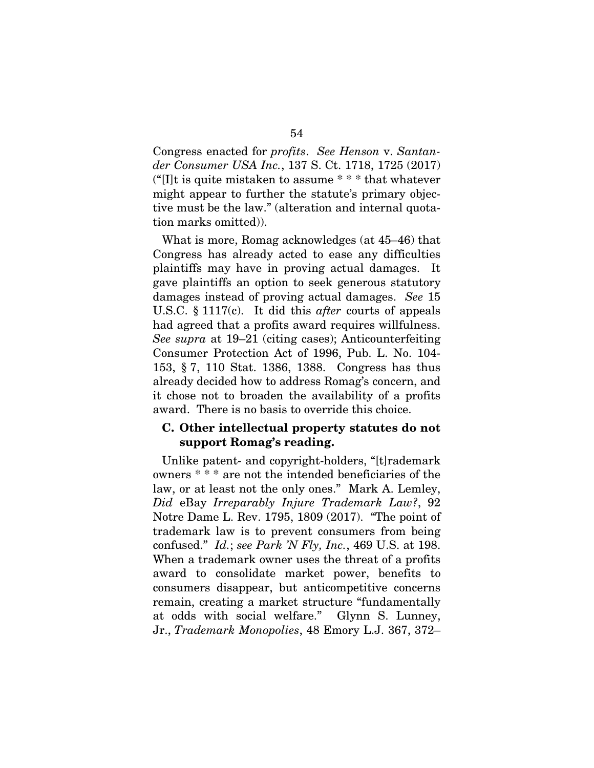Congress enacted for *profits*. *See Henson* v. *Santander Consumer USA Inc.*, 137 S. Ct. 1718, 1725 (2017) ("[I]t is quite mistaken to assume  $**$  that whatever might appear to further the statute's primary objective must be the law." (alteration and internal quotation marks omitted)).

What is more, Romag acknowledges (at 45–46) that Congress has already acted to ease any difficulties plaintiffs may have in proving actual damages. It gave plaintiffs an option to seek generous statutory damages instead of proving actual damages. *See* 15 U.S.C. § 1117(c). It did this *after* courts of appeals had agreed that a profits award requires willfulness. *See supra* at 19–21 (citing cases); Anticounterfeiting Consumer Protection Act of 1996, Pub. L. No. 104- 153, § 7, 110 Stat. 1386, 1388. Congress has thus already decided how to address Romag's concern, and it chose not to broaden the availability of a profits award. There is no basis to override this choice.

## C. Other intellectual property statutes do not support Romag's reading.

Unlike patent- and copyright-holders, "[t]rademark owners \* \* \* are not the intended beneficiaries of the law, or at least not the only ones." Mark A. Lemley, *Did* eBay *Irreparably Injure Trademark Law?*, 92 Notre Dame L. Rev. 1795, 1809 (2017). "The point of trademark law is to prevent consumers from being confused." *Id.*; *see Park 'N Fly, Inc.*, 469 U.S. at 198. When a trademark owner uses the threat of a profits award to consolidate market power, benefits to consumers disappear, but anticompetitive concerns remain, creating a market structure "fundamentally at odds with social welfare." Glynn S. Lunney, Jr., *Trademark Monopolies*, 48 Emory L.J. 367, 372–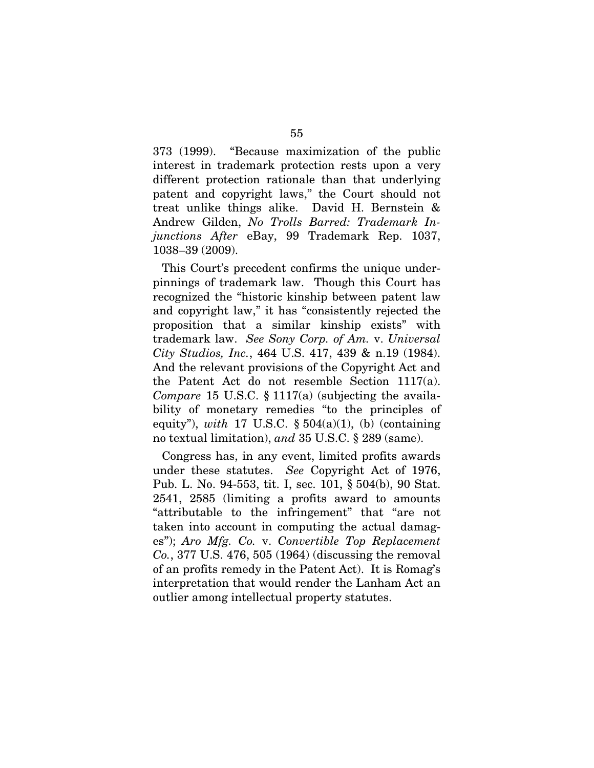373 (1999). "Because maximization of the public interest in trademark protection rests upon a very different protection rationale than that underlying patent and copyright laws," the Court should not treat unlike things alike. David H. Bernstein & Andrew Gilden, *No Trolls Barred: Trademark Injunctions After* eBay, 99 Trademark Rep. 1037, 1038–39 (2009).

This Court's precedent confirms the unique underpinnings of trademark law. Though this Court has recognized the "historic kinship between patent law and copyright law," it has "consistently rejected the proposition that a similar kinship exists" with trademark law. *See Sony Corp. of Am.* v. *Universal City Studios, Inc.*, 464 U.S. 417, 439 & n.19 (1984). And the relevant provisions of the Copyright Act and the Patent Act do not resemble Section 1117(a). *Compare* 15 U.S.C. § 1117(a) (subjecting the availability of monetary remedies "to the principles of equity"), *with* 17 U.S.C.  $\S 504(a)(1)$ , (b) (containing no textual limitation), *and* 35 U.S.C. § 289 (same).

Congress has, in any event, limited profits awards under these statutes. *See* Copyright Act of 1976, Pub. L. No. 94-553, tit. I, sec. 101, § 504(b), 90 Stat. 2541, 2585 (limiting a profits award to amounts "attributable to the infringement" that "are not taken into account in computing the actual damages"); *Aro Mfg. Co.* v. *Convertible Top Replacement Co.*, 377 U.S. 476, 505 (1964) (discussing the removal of an profits remedy in the Patent Act). It is Romag's interpretation that would render the Lanham Act an outlier among intellectual property statutes.